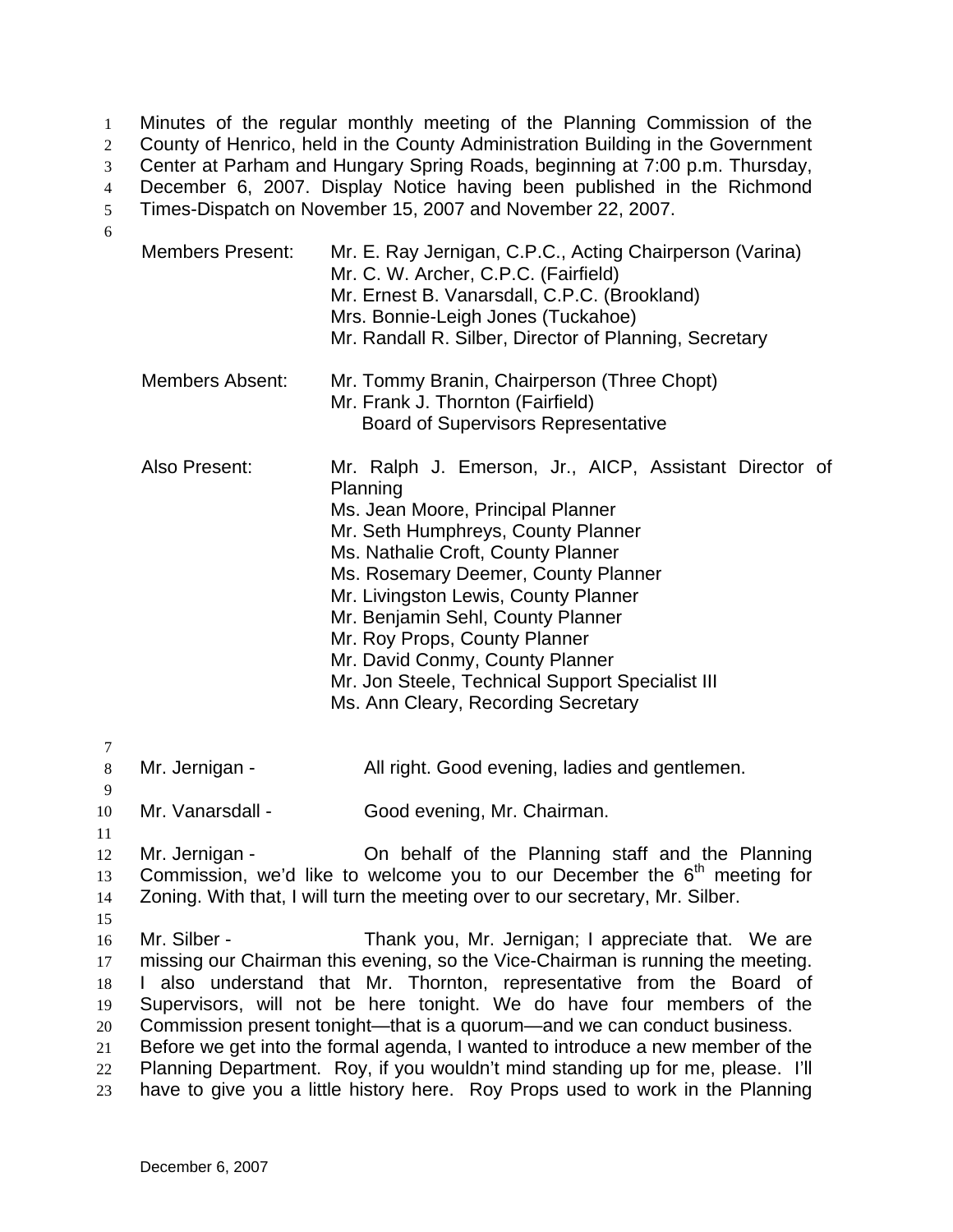Minutes of the regular monthly meeting of the Planning Commission of the County of Henrico, held in the County Administration Building in the Government Center at Parham and Hungary Spring Roads, beginning at 7:00 p.m. Thursday, 1 2 3

December 6, 2007. Display Notice having been published in the Richmond 4

Times-Dispatch on November 15, 2007 and November 22, 2007. 5

6

| <b>Members Present:</b> | Mr. E. Ray Jernigan, C.P.C., Acting Chairperson (Varina)<br>Mr. C. W. Archer, C.P.C. (Fairfield)<br>Mr. Ernest B. Vanarsdall, C.P.C. (Brookland)<br>Mrs. Bonnie-Leigh Jones (Tuckahoe)<br>Mr. Randall R. Silber, Director of Planning, Secretary                                                                                                                                                                                                                       |
|-------------------------|------------------------------------------------------------------------------------------------------------------------------------------------------------------------------------------------------------------------------------------------------------------------------------------------------------------------------------------------------------------------------------------------------------------------------------------------------------------------|
| <b>Members Absent:</b>  | Mr. Tommy Branin, Chairperson (Three Chopt)<br>Mr. Frank J. Thornton (Fairfield)<br><b>Board of Supervisors Representative</b>                                                                                                                                                                                                                                                                                                                                         |
| Also Present:           | Mr. Ralph J. Emerson, Jr., AICP, Assistant Director of<br>Planning<br>Ms. Jean Moore, Principal Planner<br>Mr. Seth Humphreys, County Planner<br>Ms. Nathalie Croft, County Planner<br>Ms. Rosemary Deemer, County Planner<br>Mr. Livingston Lewis, County Planner<br>Mr. Benjamin Sehl, County Planner<br>Mr. Roy Props, County Planner<br>Mr. David Conmy, County Planner<br>Mr. Jon Steele, Technical Support Specialist III<br>Ms. Ann Cleary, Recording Secretary |

7

8 Mr. Jernigan - All right. Good evening, ladies and gentlemen.

10 Mr. Vanarsdall - Good evening, Mr. Chairman.

11

9

12 13 14 15 Mr. Jernigan - Ch behalf of the Planning staff and the Planning Commission, we'd like to welcome you to our December the  $6<sup>th</sup>$  meeting for Zoning. With that, I will turn the meeting over to our secretary, Mr. Silber.

16 17 18 19 20 Mr. Silber - Thank you, Mr. Jernigan; I appreciate that. We are missing our Chairman this evening, so the Vice-Chairman is running the meeting. I also understand that Mr. Thornton, representative from the Board of Supervisors, will not be here tonight. We do have four members of the Commission present tonight—that is a quorum—and we can conduct business.

21 22 Before we get into the formal agenda, I wanted to introduce a new member of the Planning Department. Roy, if you wouldn't mind standing up for me, please. I'll

23 have to give you a little history here. Roy Props used to work in the Planning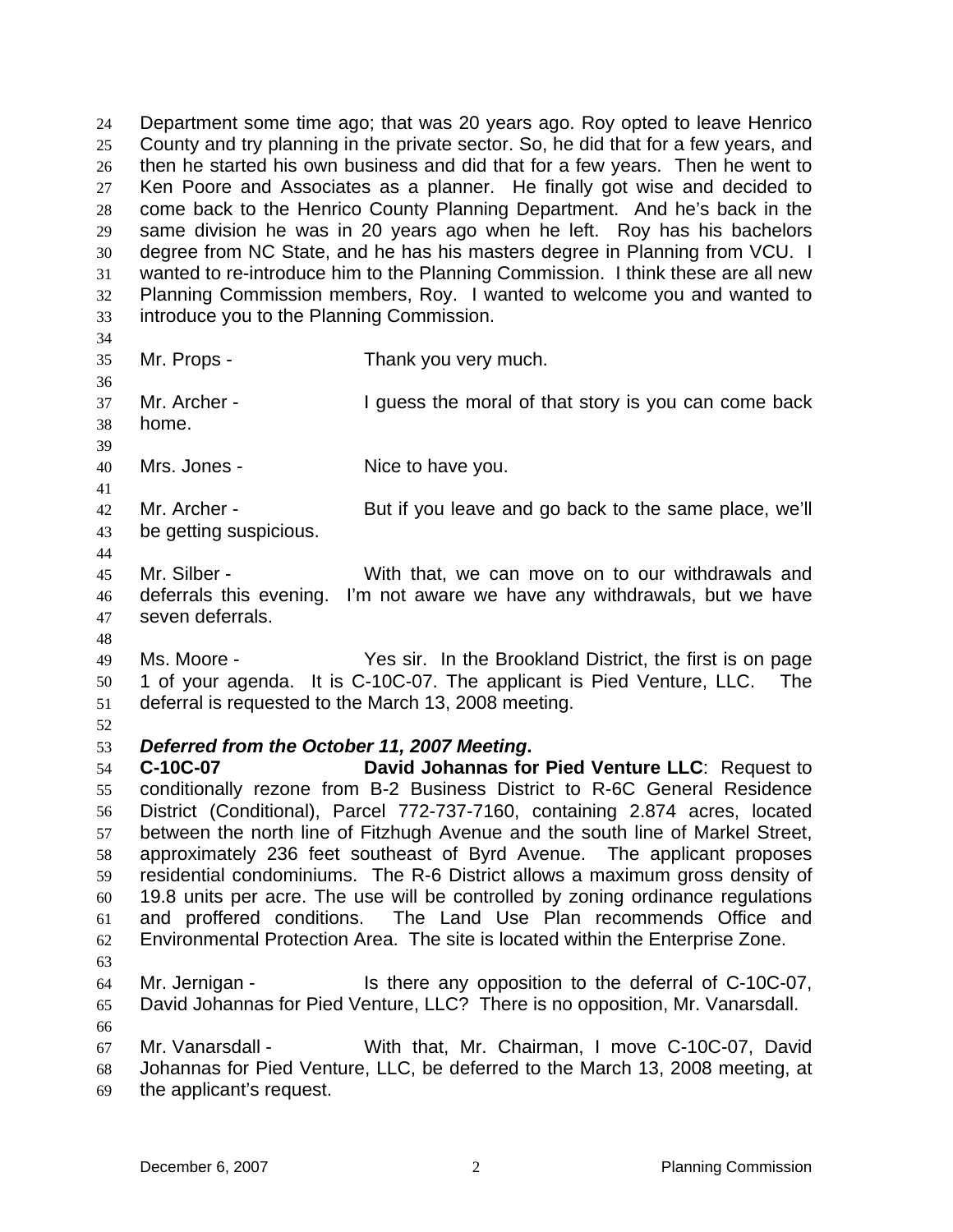Department some time ago; that was 20 years ago. Roy opted to leave Henrico County and try planning in the private sector. So, he did that for a few years, and then he started his own business and did that for a few years. Then he went to Ken Poore and Associates as a planner. He finally got wise and decided to come back to the Henrico County Planning Department. And he's back in the same division he was in 20 years ago when he left. Roy has his bachelors degree from NC State, and he has his masters degree in Planning from VCU. I wanted to re-introduce him to the Planning Commission. I think these are all new Planning Commission members, Roy. I wanted to welcome you and wanted to introduce you to the Planning Commission. 24 25 26 27 28 29 30 31 32 33 34 35 36 37 38 39 40 41 42 43 44 45 46 47 48 49 50 51 52 53 54 55 56 57 58 59 60 61 62 63 64 65 66 67 68 69 Mr. Props - Thank you very much. Mr. Archer - I guess the moral of that story is you can come back home. Mrs. Jones - Nice to have you. Mr. Archer - But if you leave and go back to the same place, we'll be getting suspicious. Mr. Silber - With that, we can move on to our withdrawals and deferrals this evening. I'm not aware we have any withdrawals, but we have seven deferrals. Ms. Moore - The Yes sir. In the Brookland District, the first is on page 1 of your agenda. It is C-10C-07. The applicant is Pied Venture, LLC. The deferral is requested to the March 13, 2008 meeting. *Deferred from the October 11, 2007 Meeting***. C-10C-07 David Johannas for Pied Venture LLC**: Request to conditionally rezone from B-2 Business District to R-6C General Residence District (Conditional), Parcel 772-737-7160, containing 2.874 acres, located between the north line of Fitzhugh Avenue and the south line of Markel Street, approximately 236 feet southeast of Byrd Avenue. The applicant proposes residential condominiums. The R-6 District allows a maximum gross density of 19.8 units per acre. The use will be controlled by zoning ordinance regulations and proffered conditions. The Land Use Plan recommends Office and Environmental Protection Area. The site is located within the Enterprise Zone. Mr. Jernigan - Is there any opposition to the deferral of C-10C-07, David Johannas for Pied Venture, LLC? There is no opposition, Mr. Vanarsdall. Mr. Vanarsdall - With that, Mr. Chairman, I move C-10C-07, David Johannas for Pied Venture, LLC, be deferred to the March 13, 2008 meeting, at the applicant's request.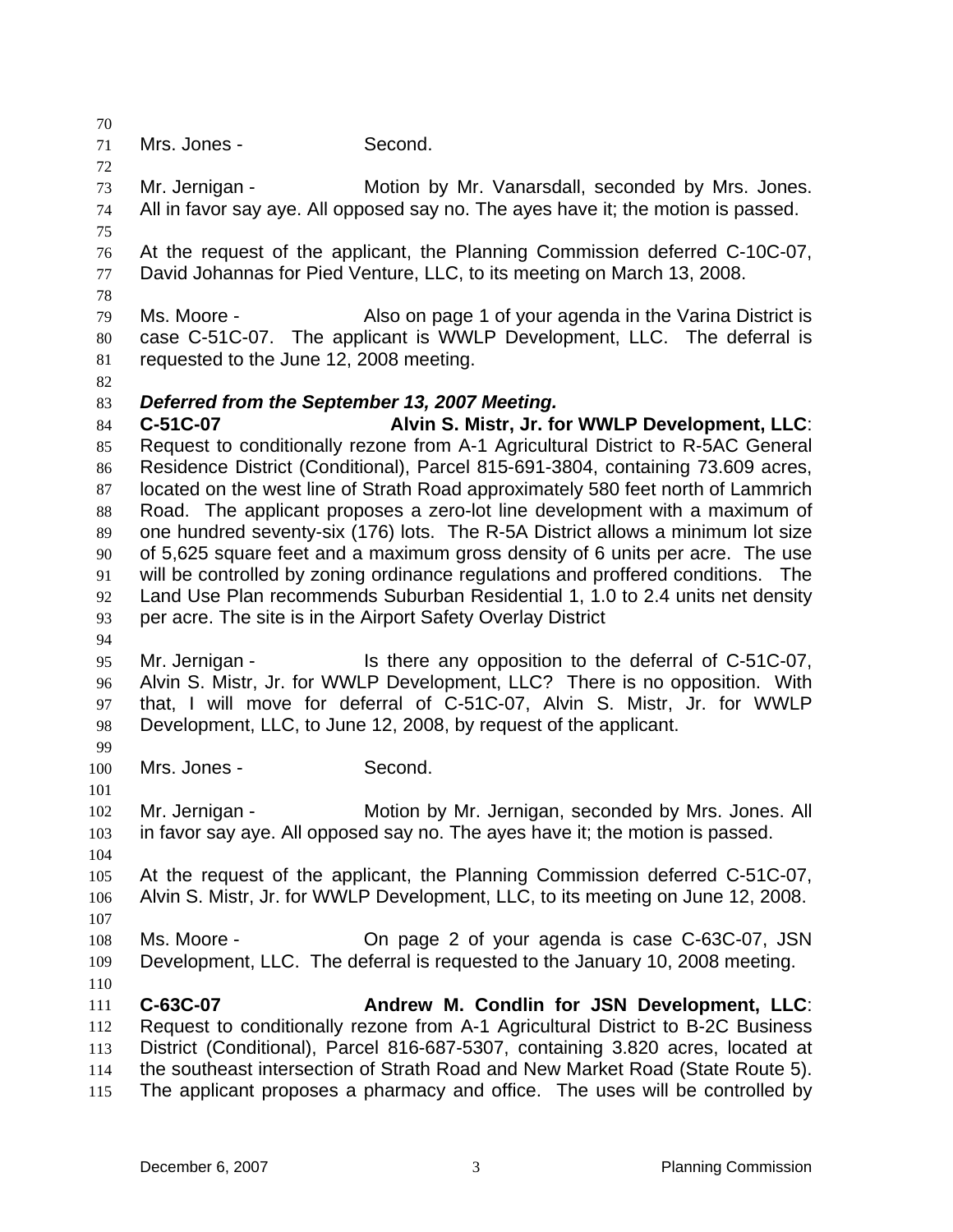70 71 72 73 74 75 76 77 78 79 80 81 82 83 84 85 86 87 88 89 90 91 92 93 94 95 96 97 98 99 100 101 102 103 104 105 106 107 108 109 110 111 112 113 114 115 Mrs. Jones - Second. Mr. Jernigan - Motion by Mr. Vanarsdall, seconded by Mrs. Jones. All in favor say aye. All opposed say no. The ayes have it; the motion is passed. At the request of the applicant, the Planning Commission deferred C-10C-07, David Johannas for Pied Venture, LLC, to its meeting on March 13, 2008. Ms. Moore - **Also on page 1 of your agenda in the Varina District is** case C-51C-07. The applicant is WWLP Development, LLC. The deferral is requested to the June 12, 2008 meeting. *Deferred from the September 13, 2007 Meeting.*  **C-51C-07 Alvin S. Mistr, Jr. for WWLP Development, LLC**: Request to conditionally rezone from A-1 Agricultural District to R-5AC General Residence District (Conditional), Parcel 815-691-3804, containing 73.609 acres, located on the west line of Strath Road approximately 580 feet north of Lammrich Road. The applicant proposes a zero-lot line development with a maximum of one hundred seventy-six (176) lots. The R-5A District allows a minimum lot size of 5,625 square feet and a maximum gross density of 6 units per acre. The use will be controlled by zoning ordinance regulations and proffered conditions. The Land Use Plan recommends Suburban Residential 1, 1.0 to 2.4 units net density per acre. The site is in the Airport Safety Overlay District Mr. Jernigan - Is there any opposition to the deferral of C-51C-07, Alvin S. Mistr, Jr. for WWLP Development, LLC? There is no opposition. With that, I will move for deferral of C-51C-07, Alvin S. Mistr, Jr. for WWLP Development, LLC, to June 12, 2008, by request of the applicant. Mrs. Jones - Second. Mr. Jernigan - Motion by Mr. Jernigan, seconded by Mrs. Jones. All in favor say aye. All opposed say no. The ayes have it; the motion is passed. At the request of the applicant, the Planning Commission deferred C-51C-07, Alvin S. Mistr, Jr. for WWLP Development, LLC, to its meeting on June 12, 2008. Ms. Moore - On page 2 of your agenda is case C-63C-07, JSN Development, LLC. The deferral is requested to the January 10, 2008 meeting. **C-63C-07 Andrew M. Condlin for JSN Development, LLC**: Request to conditionally rezone from A-1 Agricultural District to B-2C Business District (Conditional), Parcel 816-687-5307, containing 3.820 acres, located at the southeast intersection of Strath Road and New Market Road (State Route 5). The applicant proposes a pharmacy and office. The uses will be controlled by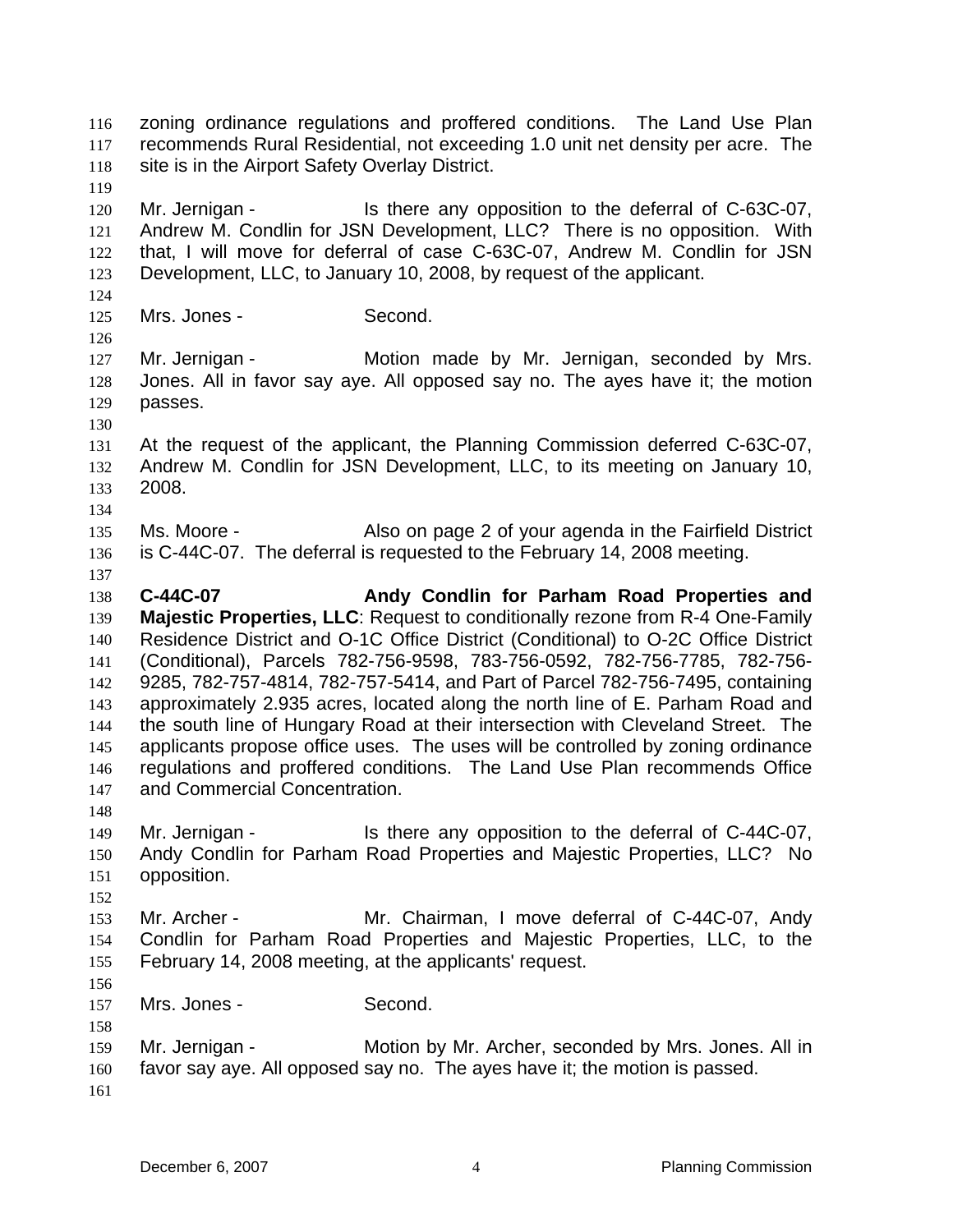zoning ordinance regulations and proffered conditions. The Land Use Plan recommends Rural Residential, not exceeding 1.0 unit net density per acre. The site is in the Airport Safety Overlay District. 116 117 118 119 120 121 122 123 124 125 126 127 128 129 130 131 132 133 134 135 136 137 138 139 140 141 142 143 144 145 146 147 148 149 150 151 152 153 154 155 156 157 158 159 160 161 Mr. Jernigan - The state any opposition to the deferral of C-63C-07, Andrew M. Condlin for JSN Development, LLC? There is no opposition. With that, I will move for deferral of case C-63C-07, Andrew M. Condlin for JSN Development, LLC, to January 10, 2008, by request of the applicant. Mrs. Jones - Second. Mr. Jernigan - The Motion made by Mr. Jernigan, seconded by Mrs. Jones. All in favor say aye. All opposed say no. The ayes have it; the motion passes. At the request of the applicant, the Planning Commission deferred C-63C-07, Andrew M. Condlin for JSN Development, LLC, to its meeting on January 10, 2008. Ms. Moore - **Also on page 2 of your agenda in the Fairfield District** is C-44C-07. The deferral is requested to the February 14, 2008 meeting. **C-44C-07 Andy Condlin for Parham Road Properties and Majestic Properties, LLC**: Request to conditionally rezone from R-4 One-Family Residence District and O-1C Office District (Conditional) to O-2C Office District (Conditional), Parcels 782-756-9598, 783-756-0592, 782-756-7785, 782-756- 9285, 782-757-4814, 782-757-5414, and Part of Parcel 782-756-7495, containing approximately 2.935 acres, located along the north line of E. Parham Road and the south line of Hungary Road at their intersection with Cleveland Street. The applicants propose office uses. The uses will be controlled by zoning ordinance regulations and proffered conditions. The Land Use Plan recommends Office and Commercial Concentration. Mr. Jernigan - The Is there any opposition to the deferral of C-44C-07, Andy Condlin for Parham Road Properties and Majestic Properties, LLC? No opposition. Mr. Archer - **Mr. Chairman, I move deferral of C-44C-07, Andy** Condlin for Parham Road Properties and Majestic Properties, LLC, to the February 14, 2008 meeting, at the applicants' request. Mrs. Jones - Second. Mr. Jernigan - Motion by Mr. Archer, seconded by Mrs. Jones. All in favor say aye. All opposed say no. The ayes have it; the motion is passed.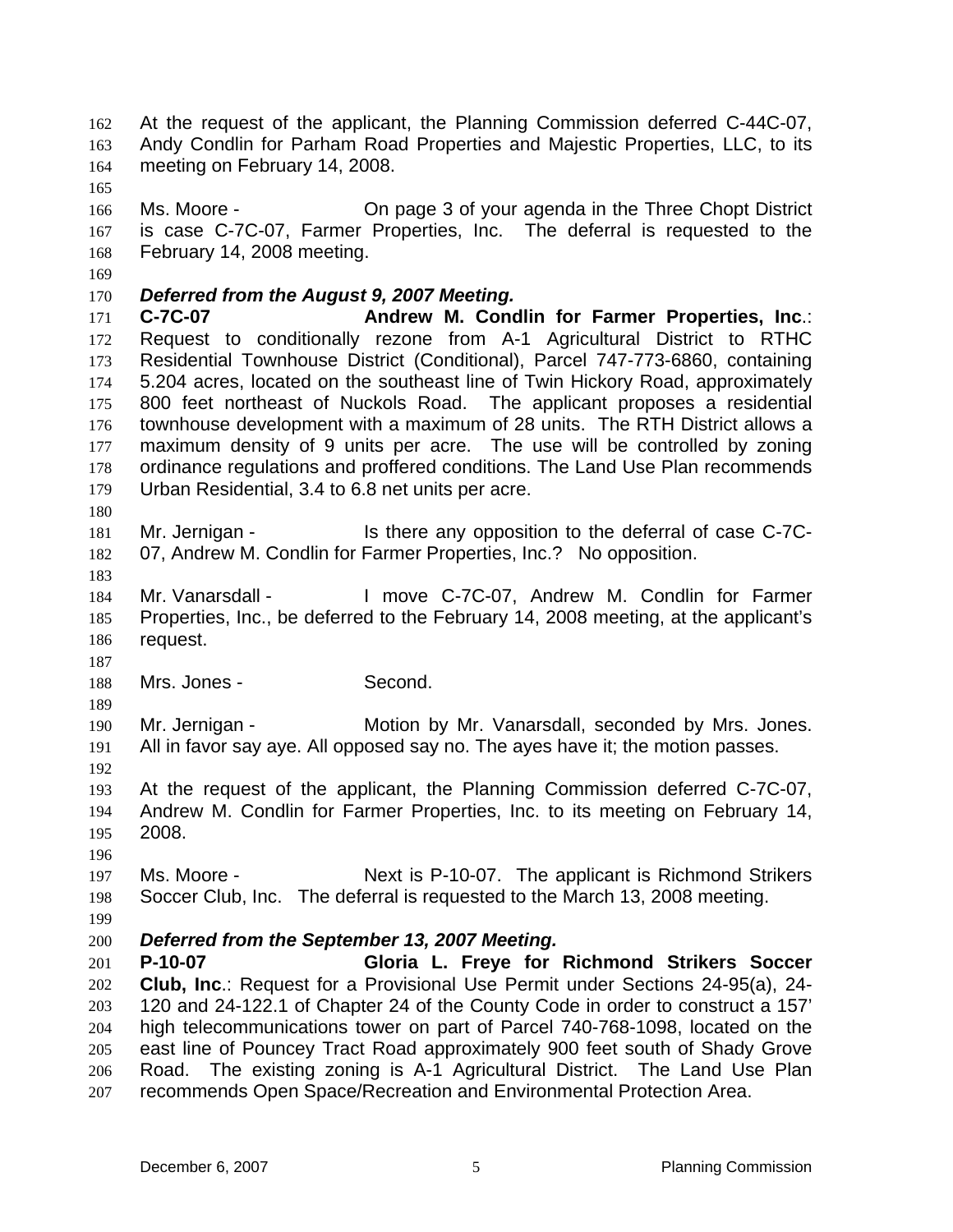At the request of the applicant, the Planning Commission deferred C-44C-07, Andy Condlin for Parham Road Properties and Majestic Properties, LLC, to its meeting on February 14, 2008. 162 163 164

166 167 168 Ms. Moore - On page 3 of your agenda in the Three Chopt District is case C-7C-07, Farmer Properties, Inc. The deferral is requested to the February 14, 2008 meeting.

169

165

## 170 *Deferred from the August 9, 2007 Meeting.*

171 172 173 174 175 176 177 178 179 **C-7C-07 Andrew M. Condlin for Farmer Properties, Inc**.: Request to conditionally rezone from A-1 Agricultural District to RTHC Residential Townhouse District (Conditional), Parcel 747-773-6860, containing 5.204 acres, located on the southeast line of Twin Hickory Road, approximately 800 feet northeast of Nuckols Road. The applicant proposes a residential townhouse development with a maximum of 28 units. The RTH District allows a maximum density of 9 units per acre. The use will be controlled by zoning ordinance regulations and proffered conditions. The Land Use Plan recommends Urban Residential, 3.4 to 6.8 net units per acre.

181 182 Mr. Jernigan - The sthere any opposition to the deferral of case C-7C-07, Andrew M. Condlin for Farmer Properties, Inc.? No opposition.

183

187

180

184 185 186 Mr. Vanarsdall - I move C-7C-07, Andrew M. Condlin for Farmer Properties, Inc., be deferred to the February 14, 2008 meeting, at the applicant's request.

188 Mrs. Jones - Second.

189 190 191 192 Mr. Jernigan - Motion by Mr. Vanarsdall, seconded by Mrs. Jones. All in favor say aye. All opposed say no. The ayes have it; the motion passes.

193 194 195 At the request of the applicant, the Planning Commission deferred C-7C-07, Andrew M. Condlin for Farmer Properties, Inc. to its meeting on February 14, 2008.

196

197 198 Ms. Moore - Next is P-10-07. The applicant is Richmond Strikers Soccer Club, Inc. The deferral is requested to the March 13, 2008 meeting.

199

## 200

201 202 203 204 205 206 207 *Deferred from the September 13, 2007 Meeting.*  **P-10-07 Gloria L. Freye for Richmond Strikers Soccer Club, Inc**.: Request for a Provisional Use Permit under Sections 24-95(a), 24- 120 and 24-122.1 of Chapter 24 of the County Code in order to construct a 157' high telecommunications tower on part of Parcel 740-768-1098, located on the east line of Pouncey Tract Road approximately 900 feet south of Shady Grove Road. The existing zoning is A-1 Agricultural District. The Land Use Plan recommends Open Space/Recreation and Environmental Protection Area.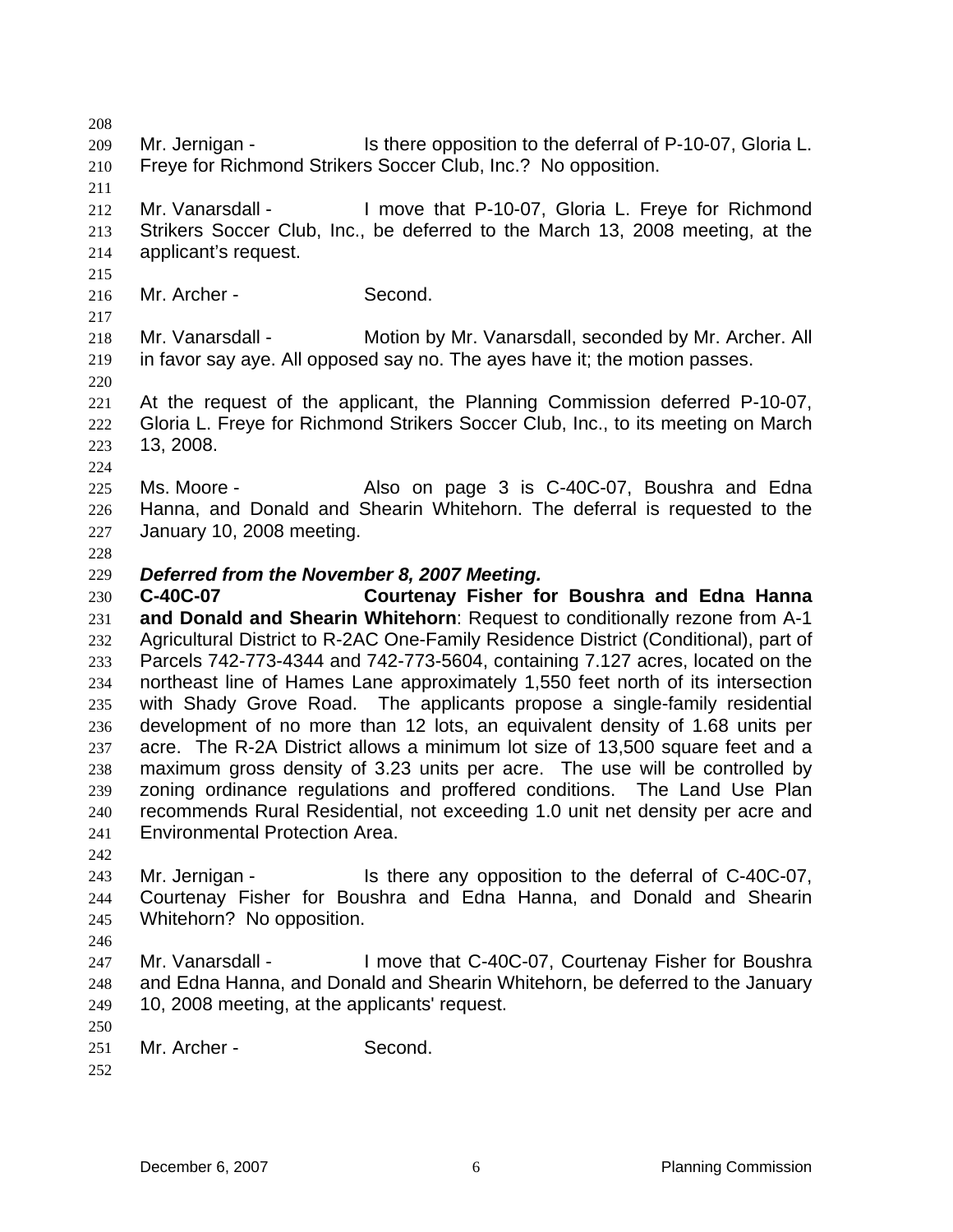208 209 210 211 212 213 214 215 216 217 218 219 220 221 222 223 224 225 226 227 228 229 230 231 232 233 234 235 236 237 238 239 240 241 242 243 244 245 246 247 248 249 250 251 252 Mr. Jernigan - Is there opposition to the deferral of P-10-07, Gloria L. Freye for Richmond Strikers Soccer Club, Inc.? No opposition. Mr. Vanarsdall - I move that P-10-07, Gloria L. Freye for Richmond Strikers Soccer Club, Inc., be deferred to the March 13, 2008 meeting, at the applicant's request. Mr. Archer - Second. Mr. Vanarsdall - Motion by Mr. Vanarsdall, seconded by Mr. Archer. All in favor say aye. All opposed say no. The ayes have it; the motion passes. At the request of the applicant, the Planning Commission deferred P-10-07, Gloria L. Freye for Richmond Strikers Soccer Club, Inc., to its meeting on March 13, 2008. Ms. Moore - Also on page 3 is C-40C-07, Boushra and Edna Hanna, and Donald and Shearin Whitehorn. The deferral is requested to the January 10, 2008 meeting. *Deferred from the November 8, 2007 Meeting.*  **C-40C-07 Courtenay Fisher for Boushra and Edna Hanna and Donald and Shearin Whitehorn**: Request to conditionally rezone from A-1 Agricultural District to R-2AC One-Family Residence District (Conditional), part of Parcels 742-773-4344 and 742-773-5604, containing 7.127 acres, located on the northeast line of Hames Lane approximately 1,550 feet north of its intersection with Shady Grove Road. The applicants propose a single-family residential development of no more than 12 lots, an equivalent density of 1.68 units per acre. The R-2A District allows a minimum lot size of 13,500 square feet and a maximum gross density of 3.23 units per acre. The use will be controlled by zoning ordinance regulations and proffered conditions. The Land Use Plan recommends Rural Residential, not exceeding 1.0 unit net density per acre and Environmental Protection Area. Mr. Jernigan - The state of the eny opposition to the deferral of C-40C-07, Courtenay Fisher for Boushra and Edna Hanna, and Donald and Shearin Whitehorn? No opposition. Mr. Vanarsdall - I move that C-40C-07, Courtenay Fisher for Boushra and Edna Hanna, and Donald and Shearin Whitehorn, be deferred to the January 10, 2008 meeting, at the applicants' request. Mr. Archer - Second.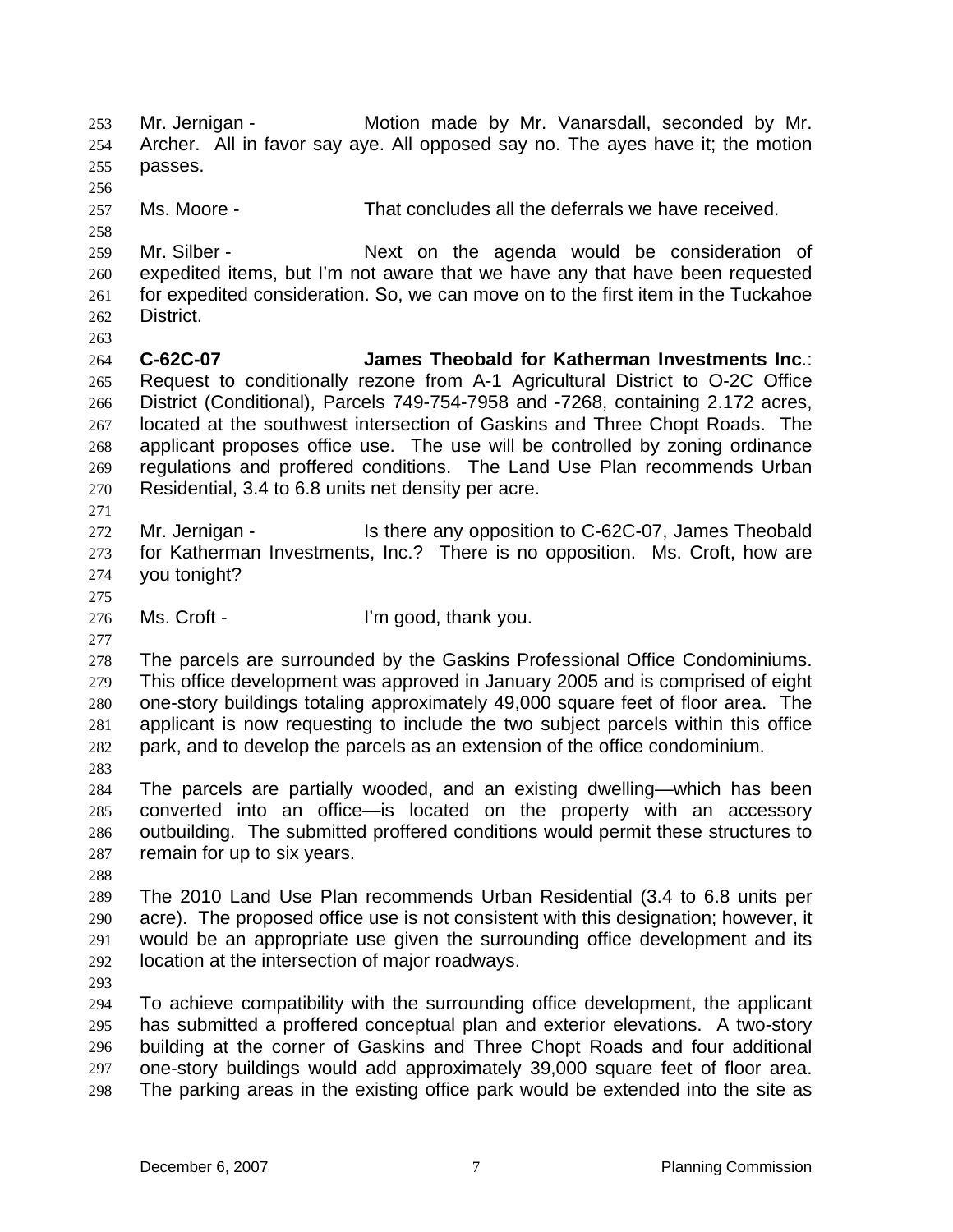Mr. Jernigan - **Motion made by Mr. Vanarsdall, seconded by Mr.** Archer. All in favor say aye. All opposed say no. The ayes have it; the motion passes. 253 254 255 256 257 258 259 260 261 262 263 264 265 266 267 268 269 270 271 272 273 274 275 276 277 278 279 280 281 282 283 284 285 286 287 288 289 290 291 292 293 294 295 296 297 298 Ms. Moore - That concludes all the deferrals we have received. Mr. Silber - Next on the agenda would be consideration of expedited items, but I'm not aware that we have any that have been requested for expedited consideration. So, we can move on to the first item in the Tuckahoe District. **C-62C-07 James Theobald for Katherman Investments Inc**.: Request to conditionally rezone from A-1 Agricultural District to O-2C Office District (Conditional), Parcels 749-754-7958 and -7268, containing 2.172 acres, located at the southwest intersection of Gaskins and Three Chopt Roads. The applicant proposes office use. The use will be controlled by zoning ordinance regulations and proffered conditions. The Land Use Plan recommends Urban Residential, 3.4 to 6.8 units net density per acre. Mr. Jernigan - Is there any opposition to C-62C-07, James Theobald for Katherman Investments, Inc.? There is no opposition. Ms. Croft, how are you tonight? Ms. Croft - The U'm good, thank you. The parcels are surrounded by the Gaskins Professional Office Condominiums. This office development was approved in January 2005 and is comprised of eight one-story buildings totaling approximately 49,000 square feet of floor area. The applicant is now requesting to include the two subject parcels within this office park, and to develop the parcels as an extension of the office condominium. The parcels are partially wooded, and an existing dwelling—which has been converted into an office—is located on the property with an accessory outbuilding. The submitted proffered conditions would permit these structures to remain for up to six years. The 2010 Land Use Plan recommends Urban Residential (3.4 to 6.8 units per acre). The proposed office use is not consistent with this designation; however, it would be an appropriate use given the surrounding office development and its location at the intersection of major roadways. To achieve compatibility with the surrounding office development, the applicant has submitted a proffered conceptual plan and exterior elevations. A two-story building at the corner of Gaskins and Three Chopt Roads and four additional one-story buildings would add approximately 39,000 square feet of floor area. The parking areas in the existing office park would be extended into the site as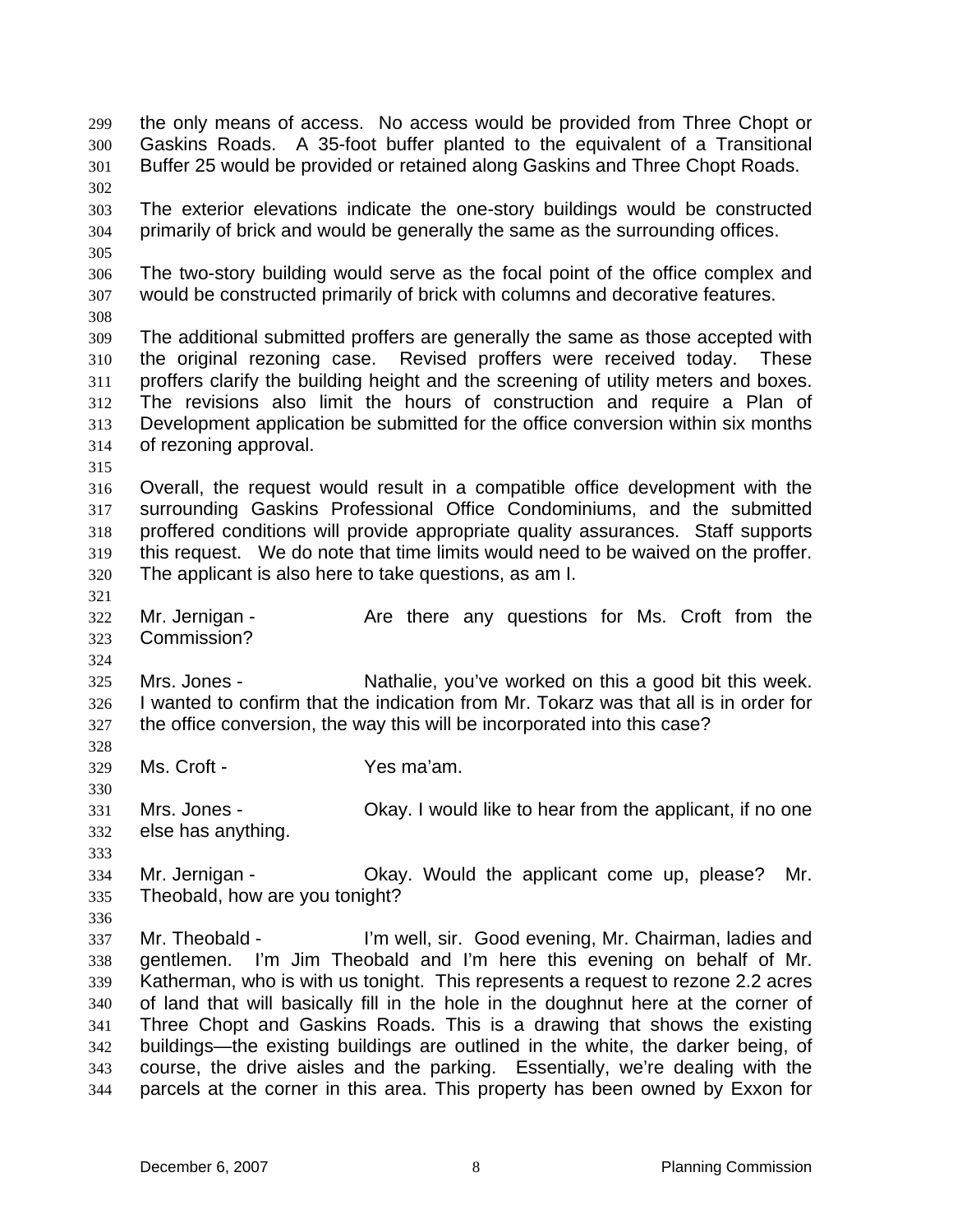the only means of access. No access would be provided from Three Chopt or Gaskins Roads. A 35-foot buffer planted to the equivalent of a Transitional Buffer 25 would be provided or retained along Gaskins and Three Chopt Roads. 299 300 301 302 303 304 305 306 307 308 309 310 311 312 313 314 315 316 317 318 319 320 321 322 323 324 325 326 327 328 329 330 331 332 333 334 335 336 337 338 339 340 341 342 343 344 The exterior elevations indicate the one-story buildings would be constructed primarily of brick and would be generally the same as the surrounding offices. The two-story building would serve as the focal point of the office complex and would be constructed primarily of brick with columns and decorative features. The additional submitted proffers are generally the same as those accepted with the original rezoning case. Revised proffers were received today. These proffers clarify the building height and the screening of utility meters and boxes. The revisions also limit the hours of construction and require a Plan of Development application be submitted for the office conversion within six months of rezoning approval. Overall, the request would result in a compatible office development with the surrounding Gaskins Professional Office Condominiums, and the submitted proffered conditions will provide appropriate quality assurances. Staff supports this request. We do note that time limits would need to be waived on the proffer. The applicant is also here to take questions, as am I. Mr. Jernigan - The Are there any questions for Ms. Croft from the Commission? Mrs. Jones - Nathalie, you've worked on this a good bit this week. I wanted to confirm that the indication from Mr. Tokarz was that all is in order for the office conversion, the way this will be incorporated into this case? Ms. Croft - Yes ma'am. Mrs. Jones - Chay. I would like to hear from the applicant, if no one else has anything. Mr. Jernigan - Ckay. Would the applicant come up, please? Mr. Theobald, how are you tonight? Mr. Theobald - I'm well, sir. Good evening, Mr. Chairman, ladies and gentlemen. I'm Jim Theobald and I'm here this evening on behalf of Mr. Katherman, who is with us tonight. This represents a request to rezone 2.2 acres of land that will basically fill in the hole in the doughnut here at the corner of Three Chopt and Gaskins Roads. This is a drawing that shows the existing buildings—the existing buildings are outlined in the white, the darker being, of course, the drive aisles and the parking. Essentially, we're dealing with the parcels at the corner in this area. This property has been owned by Exxon for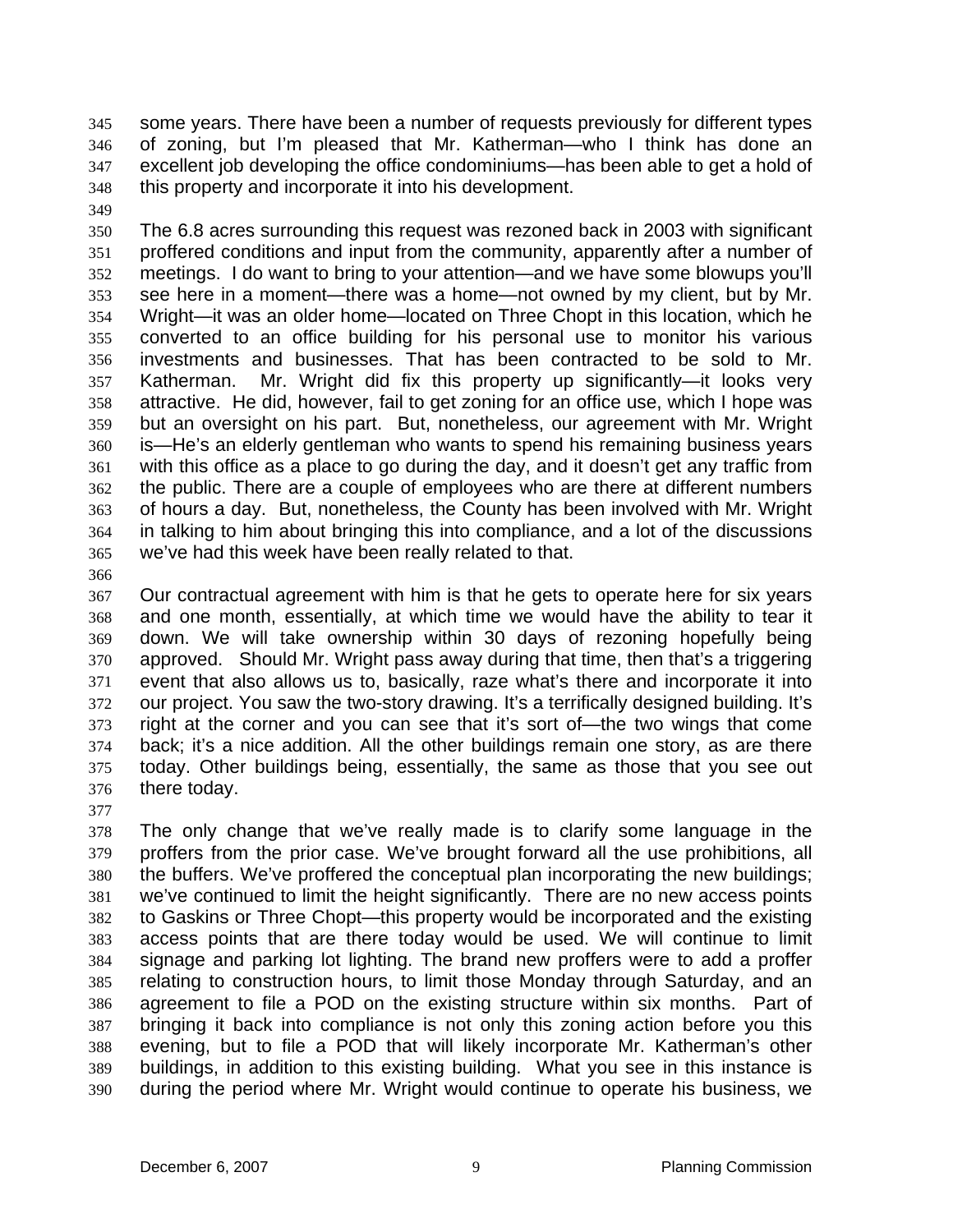some years. There have been a number of requests previously for different types of zoning, but I'm pleased that Mr. Katherman—who I think has done an excellent job developing the office condominiums—has been able to get a hold of this property and incorporate it into his development. 345 346 347 348

349

350 351 352 353 354 355 356 357 358 359 360 361 362 363 364 365 The 6.8 acres surrounding this request was rezoned back in 2003 with significant proffered conditions and input from the community, apparently after a number of meetings. I do want to bring to your attention—and we have some blowups you'll see here in a moment—there was a home—not owned by my client, but by Mr. Wright—it was an older home—located on Three Chopt in this location, which he converted to an office building for his personal use to monitor his various investments and businesses. That has been contracted to be sold to Mr. Katherman. Mr. Wright did fix this property up significantly—it looks very attractive. He did, however, fail to get zoning for an office use, which I hope was but an oversight on his part. But, nonetheless, our agreement with Mr. Wright is—He's an elderly gentleman who wants to spend his remaining business years with this office as a place to go during the day, and it doesn't get any traffic from the public. There are a couple of employees who are there at different numbers of hours a day. But, nonetheless, the County has been involved with Mr. Wright in talking to him about bringing this into compliance, and a lot of the discussions we've had this week have been really related to that.

366

367 368 369 370 371 372 373 374 375 376 Our contractual agreement with him is that he gets to operate here for six years and one month, essentially, at which time we would have the ability to tear it down. We will take ownership within 30 days of rezoning hopefully being approved. Should Mr. Wright pass away during that time, then that's a triggering event that also allows us to, basically, raze what's there and incorporate it into our project. You saw the two-story drawing. It's a terrifically designed building. It's right at the corner and you can see that it's sort of—the two wings that come back; it's a nice addition. All the other buildings remain one story, as are there today. Other buildings being, essentially, the same as those that you see out there today.

377

378 379 380 381 382 383 384 385 386 387 388 389 390 The only change that we've really made is to clarify some language in the proffers from the prior case. We've brought forward all the use prohibitions, all the buffers. We've proffered the conceptual plan incorporating the new buildings; we've continued to limit the height significantly. There are no new access points to Gaskins or Three Chopt—this property would be incorporated and the existing access points that are there today would be used. We will continue to limit signage and parking lot lighting. The brand new proffers were to add a proffer relating to construction hours, to limit those Monday through Saturday, and an agreement to file a POD on the existing structure within six months. Part of bringing it back into compliance is not only this zoning action before you this evening, but to file a POD that will likely incorporate Mr. Katherman's other buildings, in addition to this existing building. What you see in this instance is during the period where Mr. Wright would continue to operate his business, we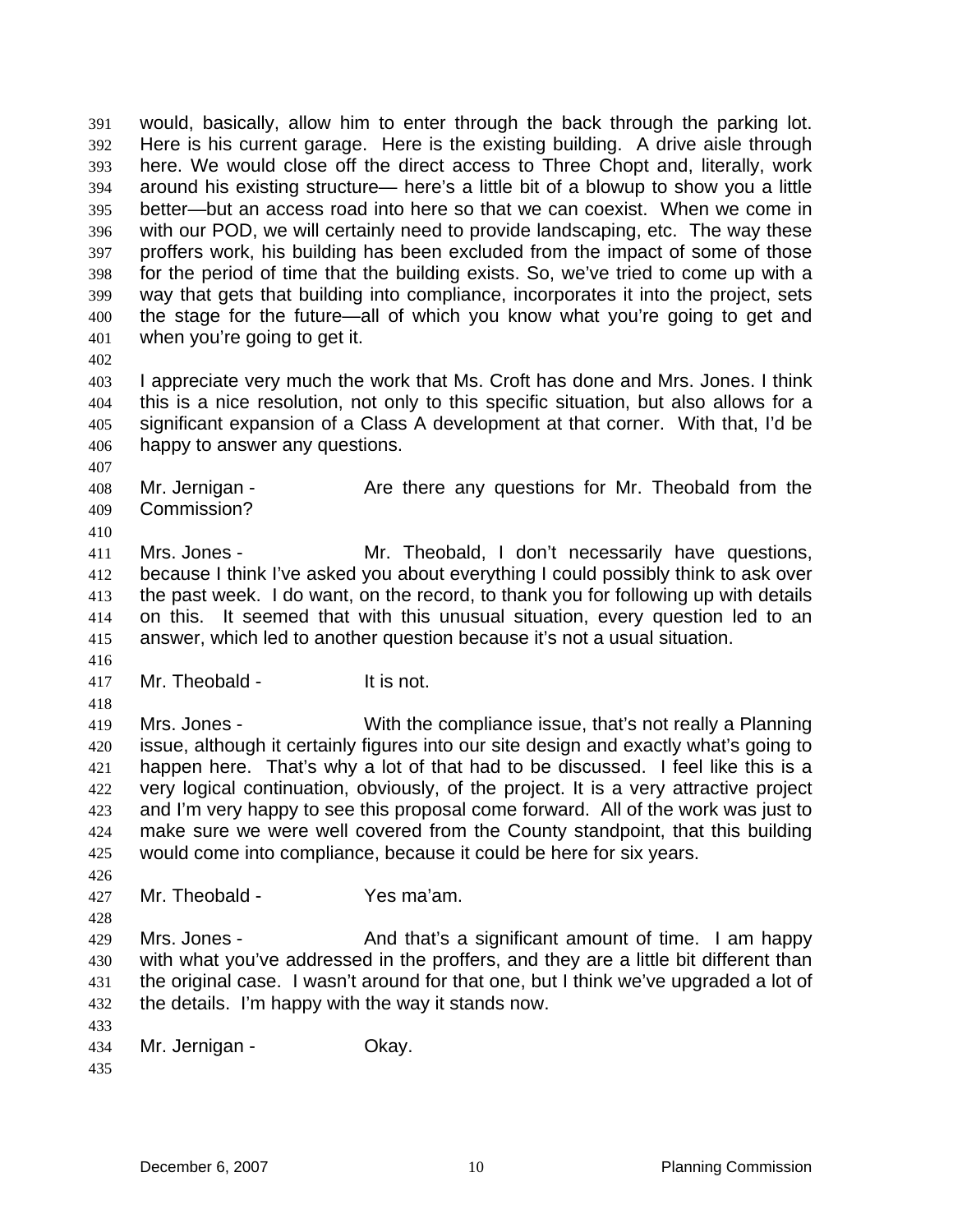would, basically, allow him to enter through the back through the parking lot. Here is his current garage. Here is the existing building. A drive aisle through here. We would close off the direct access to Three Chopt and, literally, work around his existing structure— here's a little bit of a blowup to show you a little better—but an access road into here so that we can coexist. When we come in with our POD, we will certainly need to provide landscaping, etc. The way these proffers work, his building has been excluded from the impact of some of those for the period of time that the building exists. So, we've tried to come up with a way that gets that building into compliance, incorporates it into the project, sets the stage for the future—all of which you know what you're going to get and when you're going to get it. 391 392 393 394 395 396 397 398 399 400 401

402

403 404 405 406 I appreciate very much the work that Ms. Croft has done and Mrs. Jones. I think this is a nice resolution, not only to this specific situation, but also allows for a significant expansion of a Class A development at that corner. With that, I'd be happy to answer any questions.

407

410

408 409 Mr. Jernigan - Are there any questions for Mr. Theobald from the Commission?

411 412 413 414 415 Mrs. Jones - Mr. Theobald, I don't necessarily have questions, because I think I've asked you about everything I could possibly think to ask over the past week. I do want, on the record, to thank you for following up with details on this. It seemed that with this unusual situation, every question led to an answer, which led to another question because it's not a usual situation.

- 417 Mr. Theobald - It is not.
- 418

426

428

416

419 420 421 422 423 424 425 Mrs. Jones - With the compliance issue, that's not really a Planning issue, although it certainly figures into our site design and exactly what's going to happen here. That's why a lot of that had to be discussed. I feel like this is a very logical continuation, obviously, of the project. It is a very attractive project and I'm very happy to see this proposal come forward. All of the work was just to make sure we were well covered from the County standpoint, that this building would come into compliance, because it could be here for six years.

427 Mr. Theobald - Yes ma'am.

429 430 431 432 Mrs. Jones - And that's a significant amount of time. I am happy with what you've addressed in the proffers, and they are a little bit different than the original case. I wasn't around for that one, but I think we've upgraded a lot of the details. I'm happy with the way it stands now.

433 434 Mr. Jernigan - **Okay.** 

435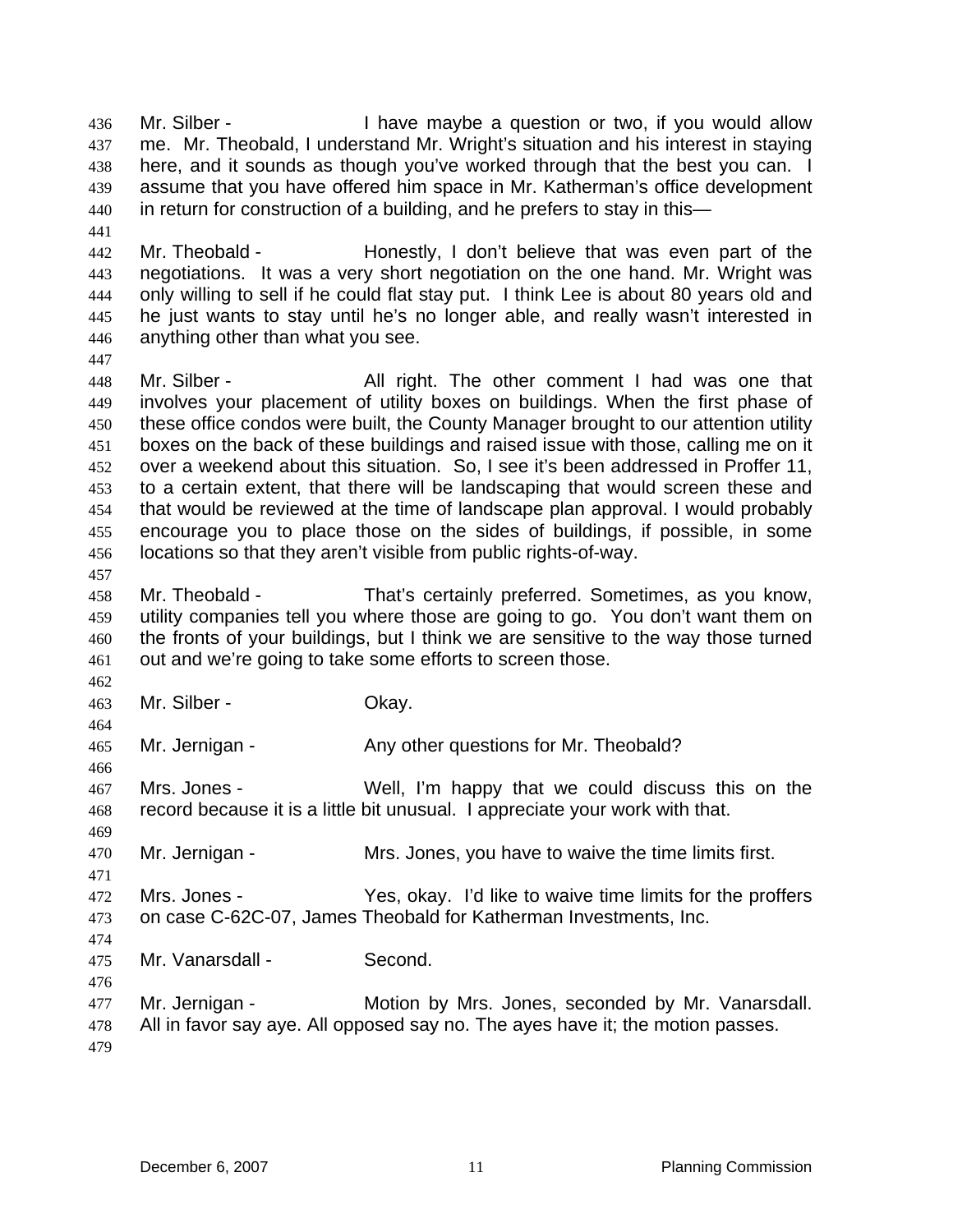Mr. Silber - Thave maybe a question or two, if you would allow me. Mr. Theobald, I understand Mr. Wright's situation and his interest in staying here, and it sounds as though you've worked through that the best you can. I assume that you have offered him space in Mr. Katherman's office development in return for construction of a building, and he prefers to stay in this— 436 437 438 439 440

442 443 444 445 446 Mr. Theobald - Honestly, I don't believe that was even part of the negotiations. It was a very short negotiation on the one hand. Mr. Wright was only willing to sell if he could flat stay put. I think Lee is about 80 years old and he just wants to stay until he's no longer able, and really wasn't interested in anything other than what you see.

448 449 450 451 452 453 454 455 456 Mr. Silber - All right. The other comment I had was one that involves your placement of utility boxes on buildings. When the first phase of these office condos were built, the County Manager brought to our attention utility boxes on the back of these buildings and raised issue with those, calling me on it over a weekend about this situation. So, I see it's been addressed in Proffer 11, to a certain extent, that there will be landscaping that would screen these and that would be reviewed at the time of landscape plan approval. I would probably encourage you to place those on the sides of buildings, if possible, in some locations so that they aren't visible from public rights-of-way.

457

464

466

469

471

476

441

447

458 459 460 461 Mr. Theobald - That's certainly preferred. Sometimes, as you know, utility companies tell you where those are going to go. You don't want them on the fronts of your buildings, but I think we are sensitive to the way those turned out and we're going to take some efforts to screen those.

462 463 Mr. Silber - Ckay.

465 Mr. Jernigan - Any other questions for Mr. Theobald?

467 468 Mrs. Jones - Well, I'm happy that we could discuss this on the record because it is a little bit unusual. I appreciate your work with that.

470 Mr. Jernigan - Mrs. Jones, you have to waive the time limits first.

472 473 474 Mrs. Jones - Yes, okay. I'd like to waive time limits for the proffers on case C-62C-07, James Theobald for Katherman Investments, Inc.

475 Mr. Vanarsdall - Second.

477 478 479 Mr. Jernigan - Motion by Mrs. Jones, seconded by Mr. Vanarsdall. All in favor say aye. All opposed say no. The ayes have it; the motion passes.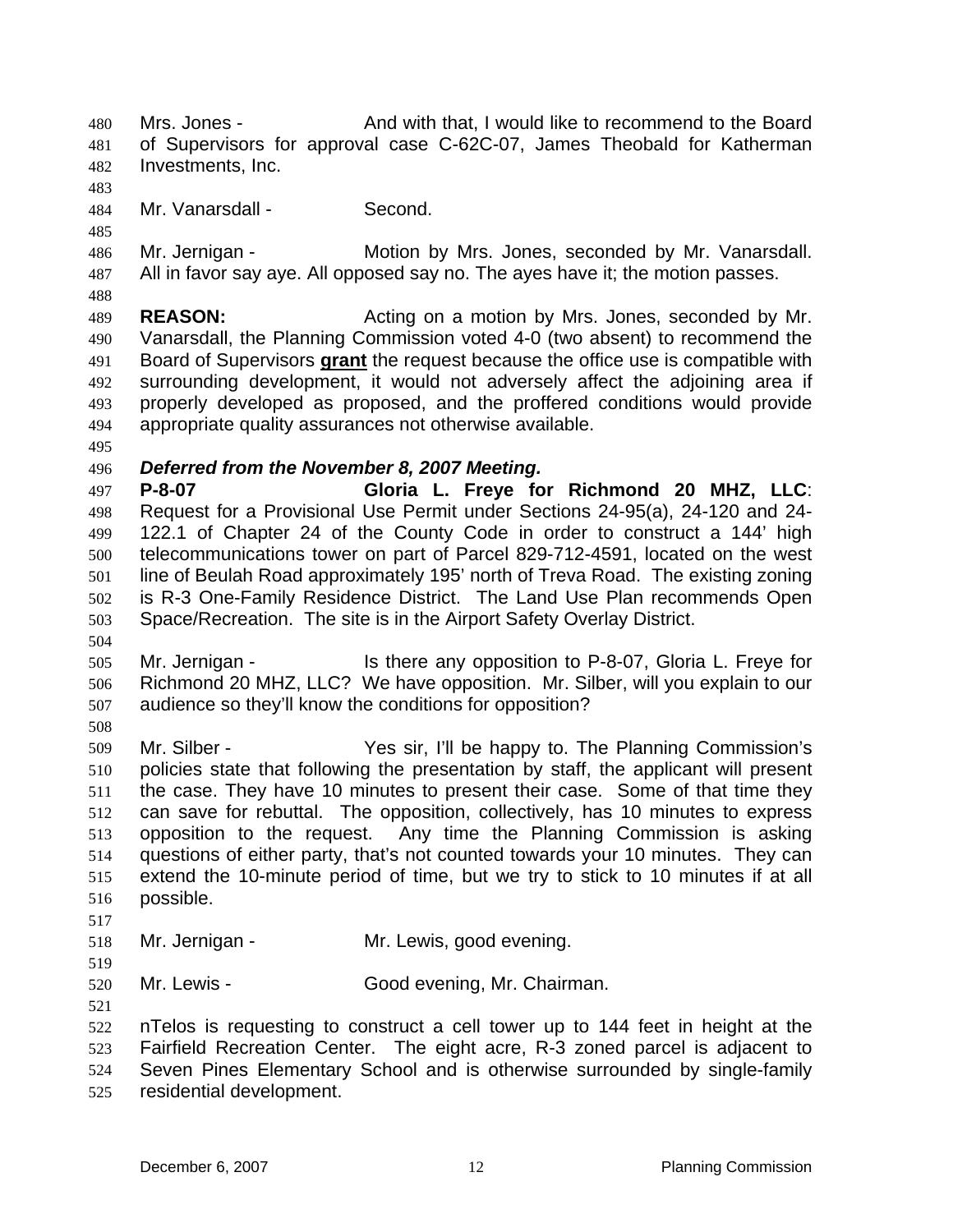Mrs. Jones - And with that, I would like to recommend to the Board of Supervisors for approval case C-62C-07, James Theobald for Katherman Investments, Inc. 480 481 482

483 484

Mr. Vanarsdall - Second.

485

488

486 487 Mr. Jernigan - Motion by Mrs. Jones, seconded by Mr. Vanarsdall. All in favor say aye. All opposed say no. The ayes have it; the motion passes.

489 490 **REASON:** Acting on a motion by Mrs. Jones, seconded by Mr. Vanarsdall, the Planning Commission voted 4-0 (two absent) to recommend the Board of Supervisors **grant** the request because the office use is compatible with surrounding development, it would not adversely affect the adjoining area if properly developed as proposed, and the proffered conditions would provide appropriate quality assurances not otherwise available. 491 492 493 494

495

## 496 *Deferred from the November 8, 2007 Meeting.*

497 498 499 500 501 502 503 **P-8-07 Gloria L. Freye for Richmond 20 MHZ, LLC**: Request for a Provisional Use Permit under Sections 24-95(a), 24-120 and 24- 122.1 of Chapter 24 of the County Code in order to construct a 144' high telecommunications tower on part of Parcel 829-712-4591, located on the west line of Beulah Road approximately 195' north of Treva Road. The existing zoning is R-3 One-Family Residence District. The Land Use Plan recommends Open Space/Recreation. The site is in the Airport Safety Overlay District.

504

505 506 507 Mr. Jernigan - The Is there any opposition to P-8-07, Gloria L. Freye for Richmond 20 MHZ, LLC? We have opposition. Mr. Silber, will you explain to our audience so they'll know the conditions for opposition?

508

509 510 511 512 513 514 515 516 517 Mr. Silber - Yes sir, I'll be happy to. The Planning Commission's policies state that following the presentation by staff, the applicant will present the case. They have 10 minutes to present their case. Some of that time they can save for rebuttal. The opposition, collectively, has 10 minutes to express opposition to the request. Any time the Planning Commission is asking questions of either party, that's not counted towards your 10 minutes. They can extend the 10-minute period of time, but we try to stick to 10 minutes if at all possible.

518 Mr. Jernigan - Mr. Lewis, good evening.

519 520

521

Mr. Lewis - Good evening, Mr. Chairman.

522 523 nTelos is requesting to construct a cell tower up to 144 feet in height at the Fairfield Recreation Center. The eight acre, R-3 zoned parcel is adjacent to

524 525 Seven Pines Elementary School and is otherwise surrounded by single-family residential development.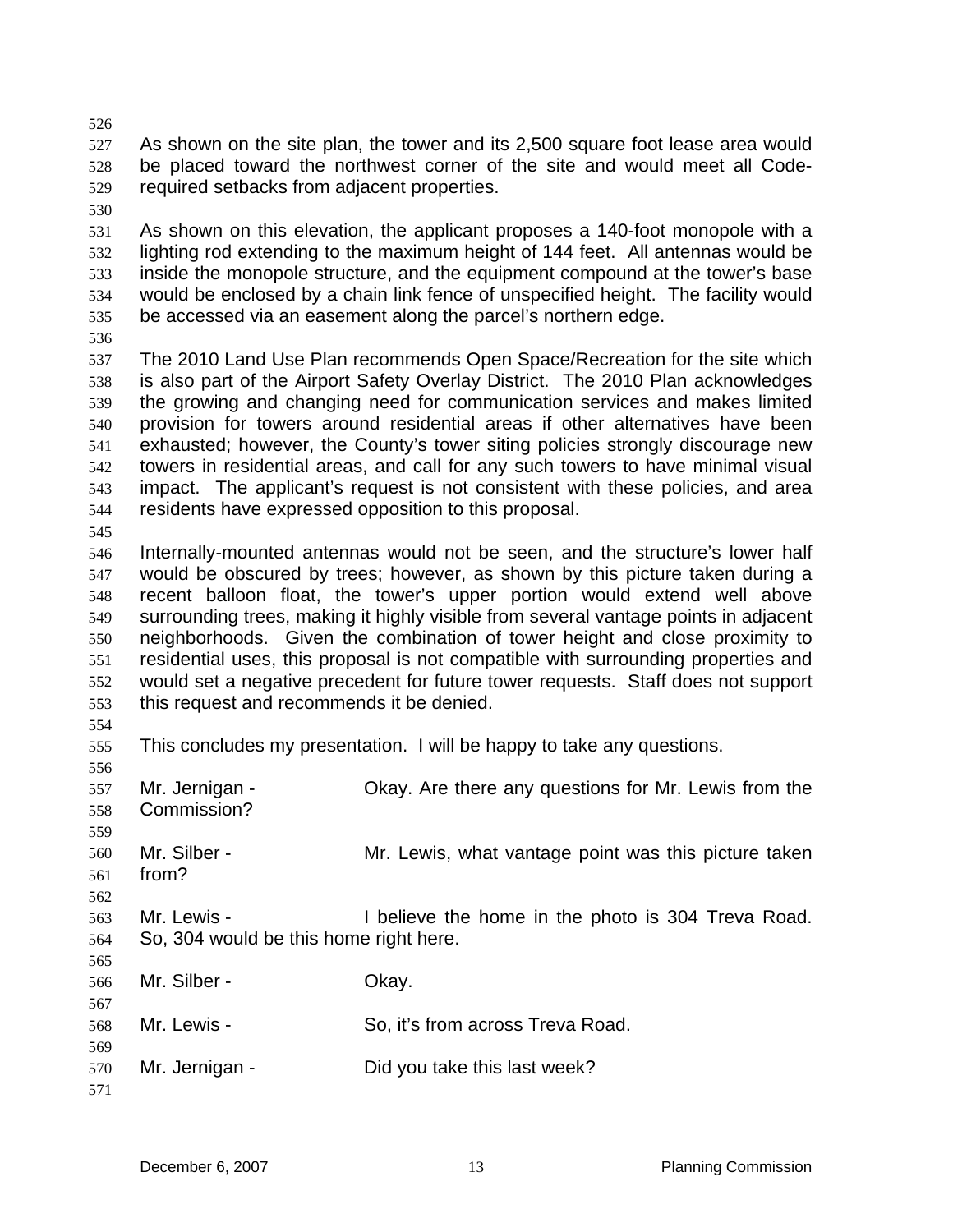- 526 527 528 529 As shown on the site plan, the tower and its 2,500 square foot lease area would be placed toward the northwest corner of the site and would meet all Coderequired setbacks from adjacent properties.
- 530

531 532 533 534 535 As shown on this elevation, the applicant proposes a 140-foot monopole with a lighting rod extending to the maximum height of 144 feet. All antennas would be inside the monopole structure, and the equipment compound at the tower's base would be enclosed by a chain link fence of unspecified height. The facility would be accessed via an easement along the parcel's northern edge.

536

537 538 539 540 541 542 543 544 The 2010 Land Use Plan recommends Open Space/Recreation for the site which is also part of the Airport Safety Overlay District. The 2010 Plan acknowledges the growing and changing need for communication services and makes limited provision for towers around residential areas if other alternatives have been exhausted; however, the County's tower siting policies strongly discourage new towers in residential areas, and call for any such towers to have minimal visual impact. The applicant's request is not consistent with these policies, and area residents have expressed opposition to this proposal.

545

546 547 548 549 550 551 552 553 Internally-mounted antennas would not be seen, and the structure's lower half would be obscured by trees; however, as shown by this picture taken during a recent balloon float, the tower's upper portion would extend well above surrounding trees, making it highly visible from several vantage points in adjacent neighborhoods. Given the combination of tower height and close proximity to residential uses, this proposal is not compatible with surrounding properties and would set a negative precedent for future tower requests. Staff does not support this request and recommends it be denied.

554

555 This concludes my presentation. I will be happy to take any questions.

556 557 558 559 560 561 562 563 564 565 566 567 568 569 570 571 Mr. Jernigan - Okay. Are there any questions for Mr. Lewis from the Commission? Mr. Silber - Mr. Lewis, what vantage point was this picture taken from? Mr. Lewis - I believe the home in the photo is 304 Treva Road. So, 304 would be this home right here. Mr. Silber - Chay. Mr. Lewis - So, it's from across Treva Road. Mr. Jernigan - Did you take this last week?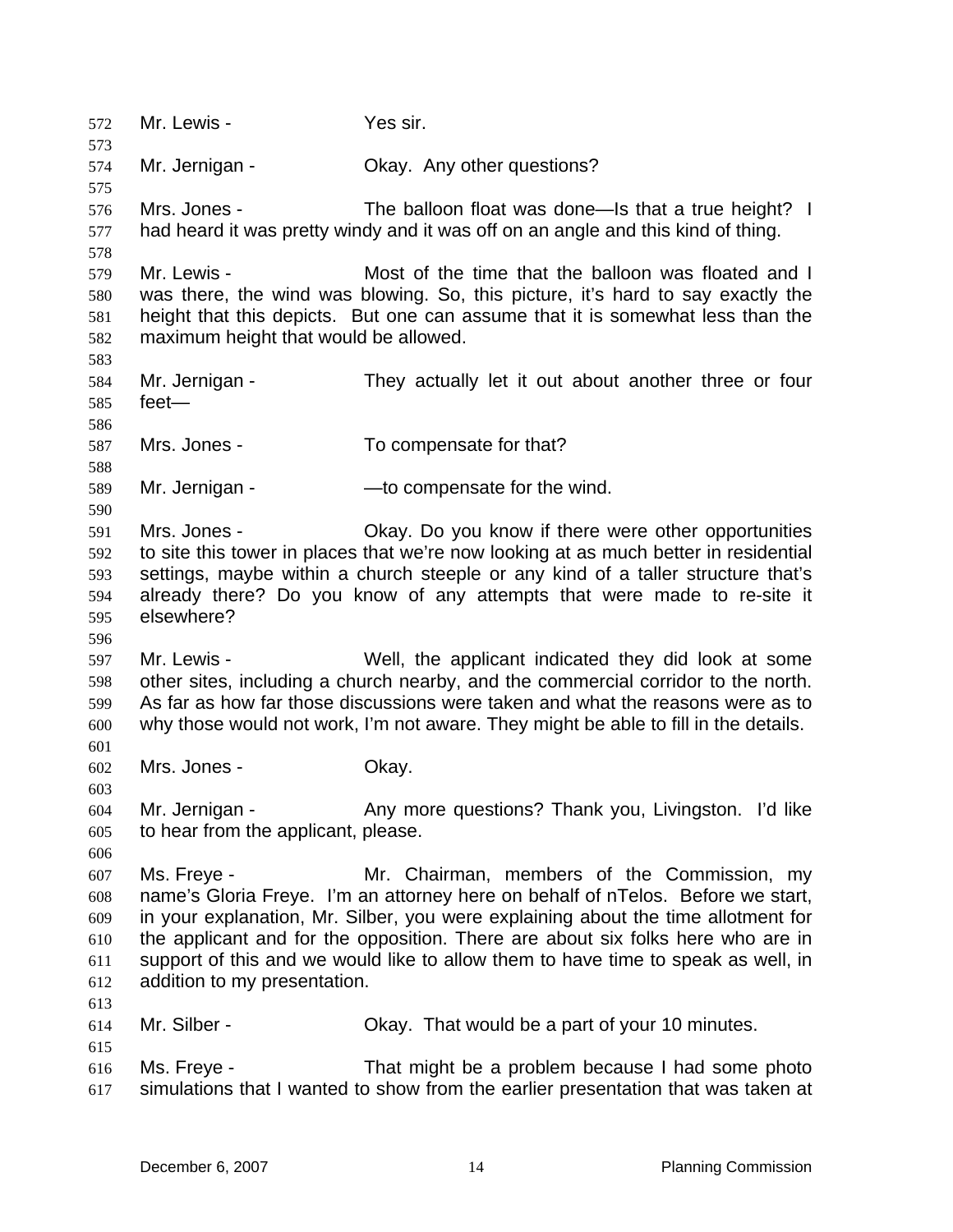572 Mr. Lewis - Yes sir. 573 574 575 576 577 578 579 580 581 582 583 584 585 586 587 588 589 590 591 592 593 594 595 596 597 598 599 600 601 602 603 604 605 606 607 608 609 610 611 612 613 614 615 616 617 Mr. Jernigan - Ckay. Any other questions? Mrs. Jones - The balloon float was done—Is that a true height? I had heard it was pretty windy and it was off on an angle and this kind of thing. Mr. Lewis - Most of the time that the balloon was floated and I was there, the wind was blowing. So, this picture, it's hard to say exactly the height that this depicts. But one can assume that it is somewhat less than the maximum height that would be allowed. Mr. Jernigan - They actually let it out about another three or four feet— Mrs. Jones - To compensate for that? Mr. Jernigan - — — — to compensate for the wind. Mrs. Jones - Ckay. Do you know if there were other opportunities to site this tower in places that we're now looking at as much better in residential settings, maybe within a church steeple or any kind of a taller structure that's already there? Do you know of any attempts that were made to re-site it elsewhere? Mr. Lewis - Well, the applicant indicated they did look at some other sites, including a church nearby, and the commercial corridor to the north. As far as how far those discussions were taken and what the reasons were as to why those would not work, I'm not aware. They might be able to fill in the details. Mrs. Jones - Ckay. Mr. Jernigan - Thany more questions? Thank you, Livingston. I'd like to hear from the applicant, please. Ms. Freye - Mr. Chairman, members of the Commission, my name's Gloria Freye. I'm an attorney here on behalf of nTelos. Before we start, in your explanation, Mr. Silber, you were explaining about the time allotment for the applicant and for the opposition. There are about six folks here who are in support of this and we would like to allow them to have time to speak as well, in addition to my presentation. Mr. Silber - Chay. That would be a part of your 10 minutes. Ms. Freye - That might be a problem because I had some photo simulations that I wanted to show from the earlier presentation that was taken at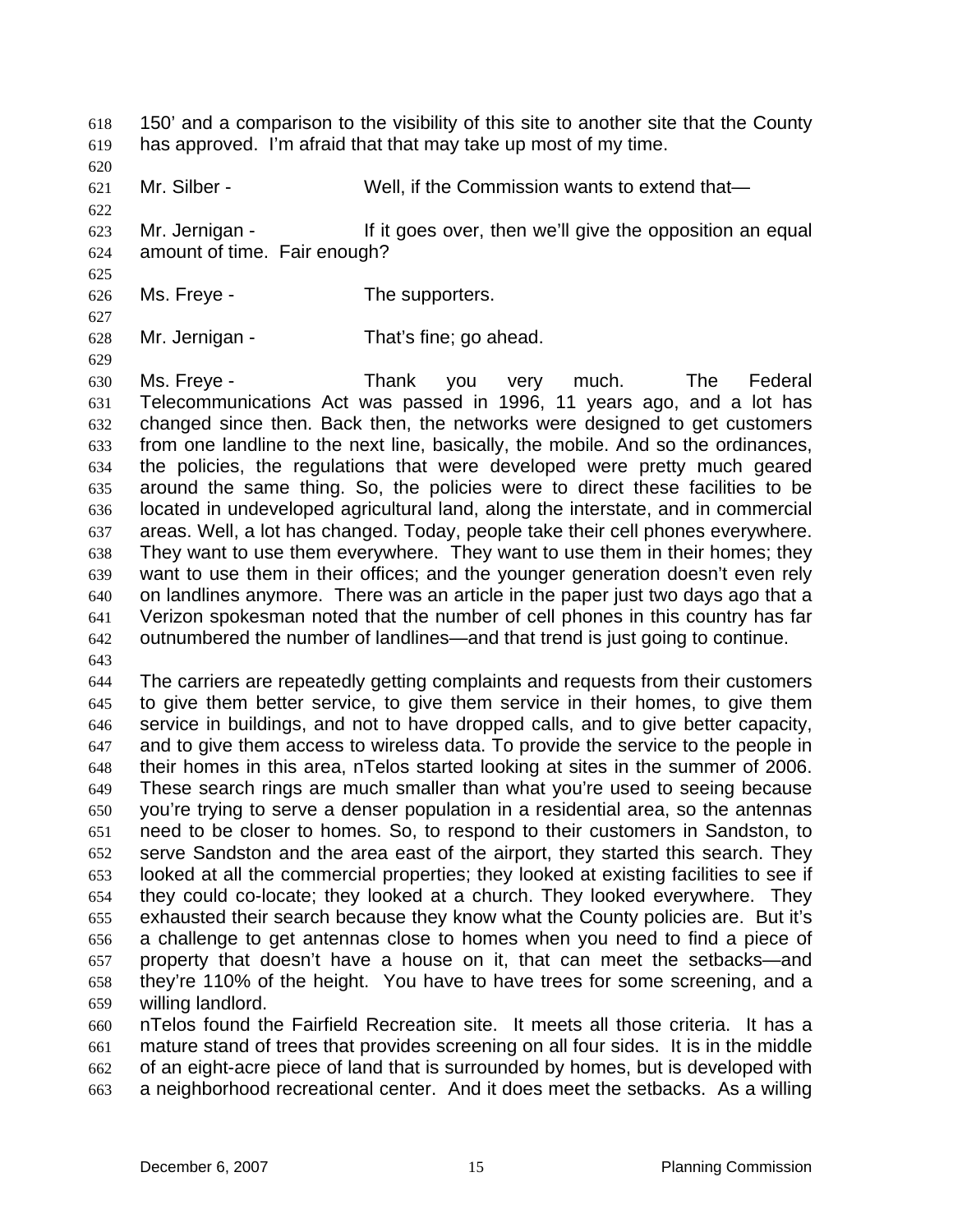150' and a comparison to the visibility of this site to another site that the County has approved. I'm afraid that that may take up most of my time. 618 619

620

622

625

627

629

621 Mr. Silber - Well, if the Commission wants to extend that—

623 624 Mr. Jernigan - The If it goes over, then we'll give the opposition an equal amount of time. Fair enough?

626 Ms. Freye - The supporters.

628 Mr. Jernigan - That's fine; go ahead.

630 631 632 633 634 635 636 637 638 639 640 641 642 Ms. Freye - Thank you very much. The Federal Telecommunications Act was passed in 1996, 11 years ago, and a lot has changed since then. Back then, the networks were designed to get customers from one landline to the next line, basically, the mobile. And so the ordinances, the policies, the regulations that were developed were pretty much geared around the same thing. So, the policies were to direct these facilities to be located in undeveloped agricultural land, along the interstate, and in commercial areas. Well, a lot has changed. Today, people take their cell phones everywhere. They want to use them everywhere. They want to use them in their homes; they want to use them in their offices; and the younger generation doesn't even rely on landlines anymore. There was an article in the paper just two days ago that a Verizon spokesman noted that the number of cell phones in this country has far outnumbered the number of landlines—and that trend is just going to continue.

643

644 645 646 647 648 649 650 651 652 653 654 655 656 657 658 659 The carriers are repeatedly getting complaints and requests from their customers to give them better service, to give them service in their homes, to give them service in buildings, and not to have dropped calls, and to give better capacity, and to give them access to wireless data. To provide the service to the people in their homes in this area, nTelos started looking at sites in the summer of 2006. These search rings are much smaller than what you're used to seeing because you're trying to serve a denser population in a residential area, so the antennas need to be closer to homes. So, to respond to their customers in Sandston, to serve Sandston and the area east of the airport, they started this search. They looked at all the commercial properties; they looked at existing facilities to see if they could co-locate; they looked at a church. They looked everywhere. They exhausted their search because they know what the County policies are. But it's a challenge to get antennas close to homes when you need to find a piece of property that doesn't have a house on it, that can meet the setbacks—and they're 110% of the height. You have to have trees for some screening, and a willing landlord.

660 661 662 663 nTelos found the Fairfield Recreation site. It meets all those criteria. It has a mature stand of trees that provides screening on all four sides. It is in the middle of an eight-acre piece of land that is surrounded by homes, but is developed with a neighborhood recreational center. And it does meet the setbacks. As a willing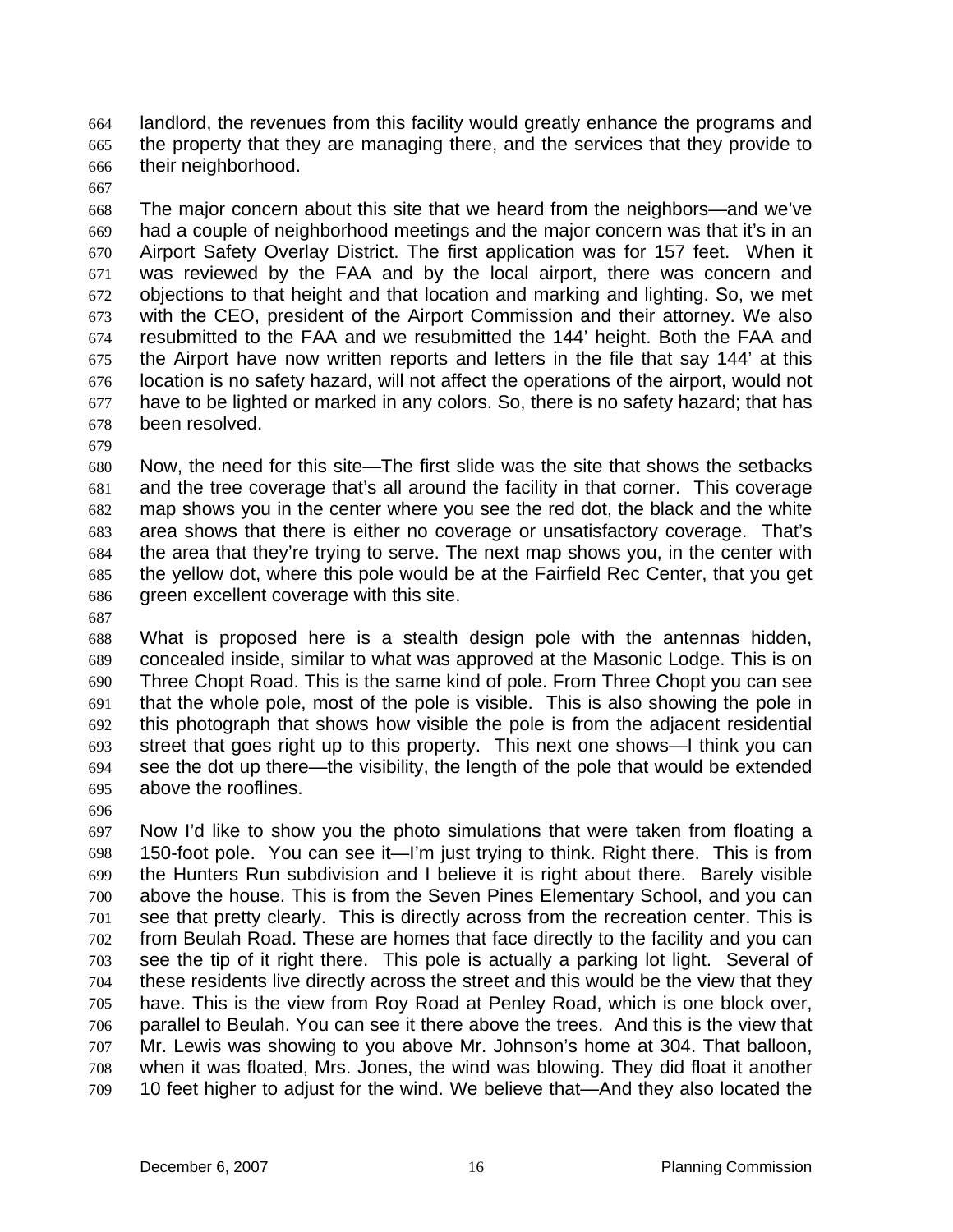landlord, the revenues from this facility would greatly enhance the programs and the property that they are managing there, and the services that they provide to their neighborhood. 664 665 666

667

668 669 670 671 672 673 674 675 676 677 678 The major concern about this site that we heard from the neighbors—and we've had a couple of neighborhood meetings and the major concern was that it's in an Airport Safety Overlay District. The first application was for 157 feet. When it was reviewed by the FAA and by the local airport, there was concern and objections to that height and that location and marking and lighting. So, we met with the CEO, president of the Airport Commission and their attorney. We also resubmitted to the FAA and we resubmitted the 144' height. Both the FAA and the Airport have now written reports and letters in the file that say 144' at this location is no safety hazard, will not affect the operations of the airport, would not have to be lighted or marked in any colors. So, there is no safety hazard; that has been resolved.

679

680 681 682 683 684 685 686 Now, the need for this site—The first slide was the site that shows the setbacks and the tree coverage that's all around the facility in that corner. This coverage map shows you in the center where you see the red dot, the black and the white area shows that there is either no coverage or unsatisfactory coverage. That's the area that they're trying to serve. The next map shows you, in the center with the yellow dot, where this pole would be at the Fairfield Rec Center, that you get green excellent coverage with this site.

687

688 689 690 691 692 693 694 695 What is proposed here is a stealth design pole with the antennas hidden, concealed inside, similar to what was approved at the Masonic Lodge. This is on Three Chopt Road. This is the same kind of pole. From Three Chopt you can see that the whole pole, most of the pole is visible. This is also showing the pole in this photograph that shows how visible the pole is from the adjacent residential street that goes right up to this property. This next one shows—I think you can see the dot up there—the visibility, the length of the pole that would be extended above the rooflines.

696

697 698 699 700 701 702 703 704 705 706 707 708 709 Now I'd like to show you the photo simulations that were taken from floating a 150-foot pole. You can see it—I'm just trying to think. Right there. This is from the Hunters Run subdivision and I believe it is right about there. Barely visible above the house. This is from the Seven Pines Elementary School, and you can see that pretty clearly. This is directly across from the recreation center. This is from Beulah Road. These are homes that face directly to the facility and you can see the tip of it right there. This pole is actually a parking lot light. Several of these residents live directly across the street and this would be the view that they have. This is the view from Roy Road at Penley Road, which is one block over, parallel to Beulah. You can see it there above the trees. And this is the view that Mr. Lewis was showing to you above Mr. Johnson's home at 304. That balloon, when it was floated, Mrs. Jones, the wind was blowing. They did float it another 10 feet higher to adjust for the wind. We believe that—And they also located the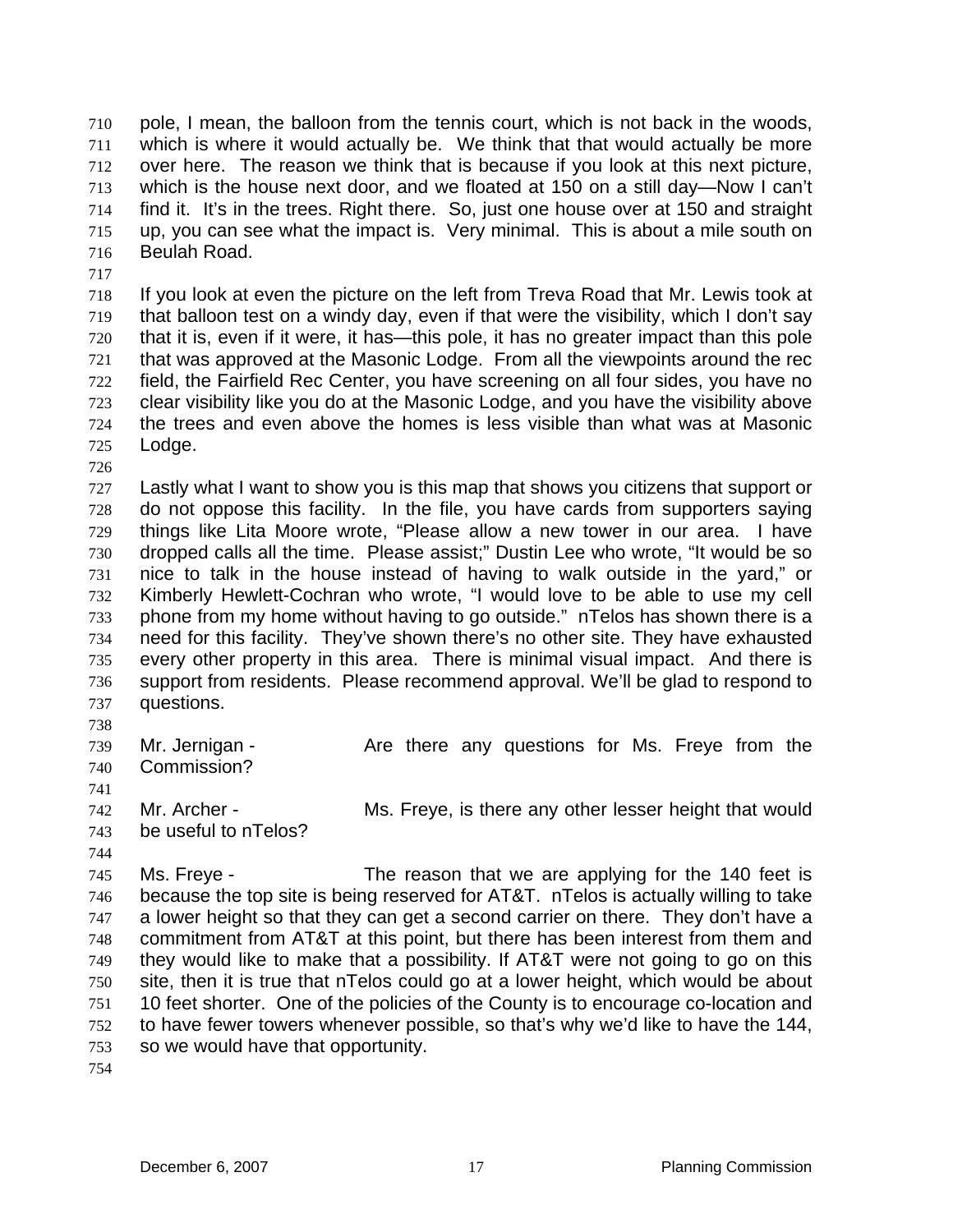pole, I mean, the balloon from the tennis court, which is not back in the woods, which is where it would actually be. We think that that would actually be more over here. The reason we think that is because if you look at this next picture, which is the house next door, and we floated at 150 on a still day—Now I can't find it. It's in the trees. Right there. So, just one house over at 150 and straight up, you can see what the impact is. Very minimal. This is about a mile south on Beulah Road. 710 711 712 713 714 715 716

718 719 720 721 722 723 724 725 If you look at even the picture on the left from Treva Road that Mr. Lewis took at that balloon test on a windy day, even if that were the visibility, which I don't say that it is, even if it were, it has—this pole, it has no greater impact than this pole that was approved at the Masonic Lodge. From all the viewpoints around the rec field, the Fairfield Rec Center, you have screening on all four sides, you have no clear visibility like you do at the Masonic Lodge, and you have the visibility above the trees and even above the homes is less visible than what was at Masonic Lodge.

726

717

727 728 729 730 731 732 733 734 735 736 737 Lastly what I want to show you is this map that shows you citizens that support or do not oppose this facility. In the file, you have cards from supporters saying things like Lita Moore wrote, "Please allow a new tower in our area. I have dropped calls all the time. Please assist;" Dustin Lee who wrote, "It would be so nice to talk in the house instead of having to walk outside in the yard," or Kimberly Hewlett-Cochran who wrote, "I would love to be able to use my cell phone from my home without having to go outside." nTelos has shown there is a need for this facility. They've shown there's no other site. They have exhausted every other property in this area. There is minimal visual impact. And there is support from residents. Please recommend approval. We'll be glad to respond to questions.

738

739 740 Mr. Jernigan - The Are there any questions for Ms. Freye from the Commission?

741

742 be useful to nTelos?

Mr. Archer - **Mr.** Ms. Freye, is there any other lesser height that would

743 744

745 746 747 748 749 750 751 752 753 Ms. Freye - The reason that we are applying for the 140 feet is because the top site is being reserved for AT&T. nTelos is actually willing to take a lower height so that they can get a second carrier on there. They don't have a commitment from AT&T at this point, but there has been interest from them and they would like to make that a possibility. If AT&T were not going to go on this site, then it is true that nTelos could go at a lower height, which would be about 10 feet shorter. One of the policies of the County is to encourage co-location and to have fewer towers whenever possible, so that's why we'd like to have the 144, so we would have that opportunity.

754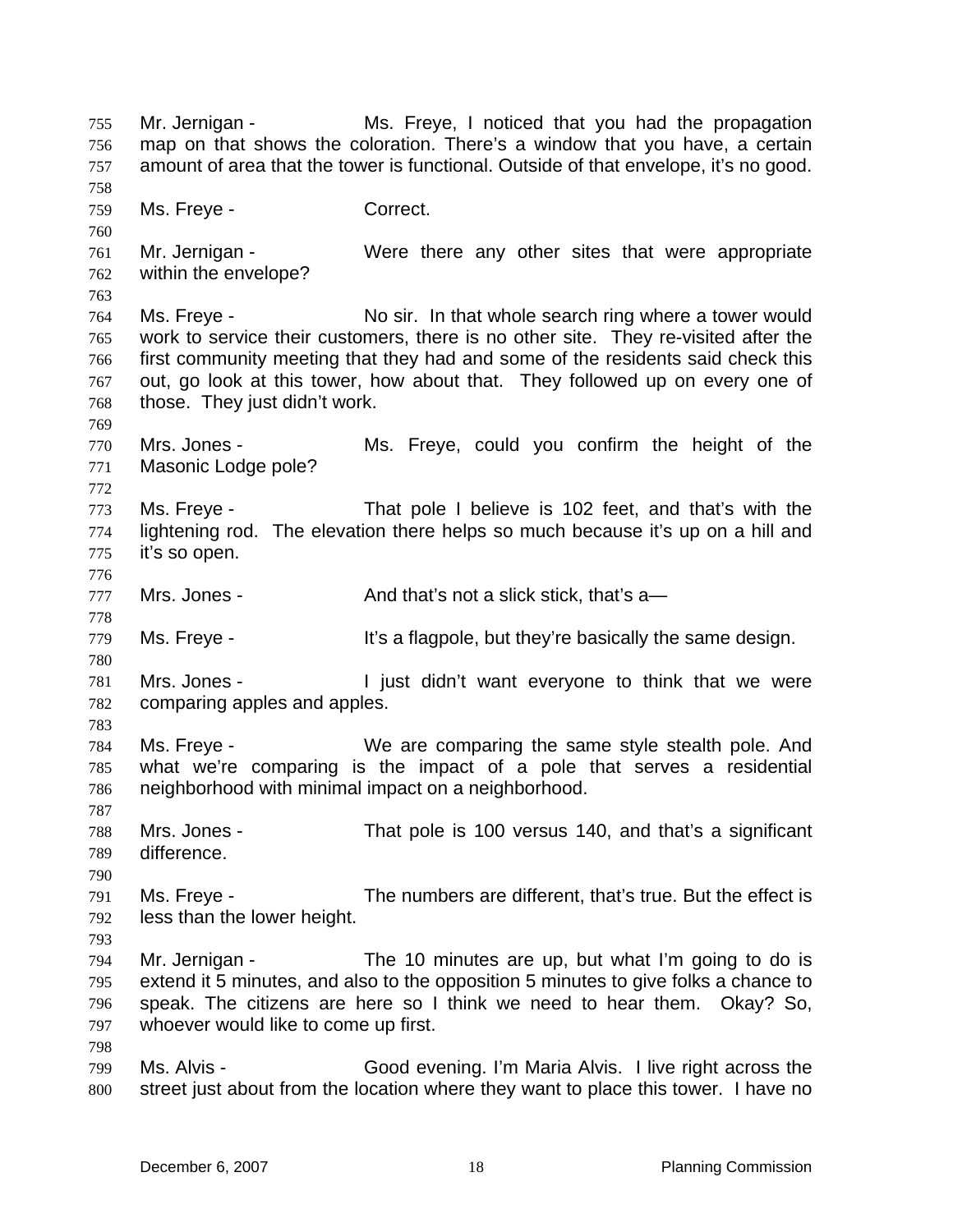Mr. Jernigan - Ms. Freye, I noticed that you had the propagation map on that shows the coloration. There's a window that you have, a certain amount of area that the tower is functional. Outside of that envelope, it's no good. 755 756 757 758 759 760 761 762 763 764 765 766 767 768 769 770 771 772 773 774 775 776 777 778 779 780 781 782 783 784 785 786 787 788 789 790 791 792 793 794 795 796 797 798 799 800 Ms. Freye - Correct. Mr. Jernigan - Were there any other sites that were appropriate within the envelope? Ms. Freye - No sir. In that whole search ring where a tower would work to service their customers, there is no other site. They re-visited after the first community meeting that they had and some of the residents said check this out, go look at this tower, how about that. They followed up on every one of those. They just didn't work. Mrs. Jones - The Ms. Freye, could you confirm the height of the Masonic Lodge pole? Ms. Freye - That pole I believe is 102 feet, and that's with the lightening rod. The elevation there helps so much because it's up on a hill and it's so open. Mrs. Jones - And that's not a slick stick, that's a Ms. Freye - The Music of the same design. It's a flagpole, but they're basically the same design. Mrs. Jones - I just didn't want everyone to think that we were comparing apples and apples. Ms. Freye - We are comparing the same style stealth pole. And what we're comparing is the impact of a pole that serves a residential neighborhood with minimal impact on a neighborhood. Mrs. Jones - That pole is 100 versus 140, and that's a significant difference. Ms. Freye - The numbers are different, that's true. But the effect is less than the lower height. Mr. Jernigan - The 10 minutes are up, but what I'm going to do is extend it 5 minutes, and also to the opposition 5 minutes to give folks a chance to speak. The citizens are here so I think we need to hear them. Okay? So, whoever would like to come up first. Ms. Alvis - Good evening. I'm Maria Alvis. I live right across the street just about from the location where they want to place this tower. I have no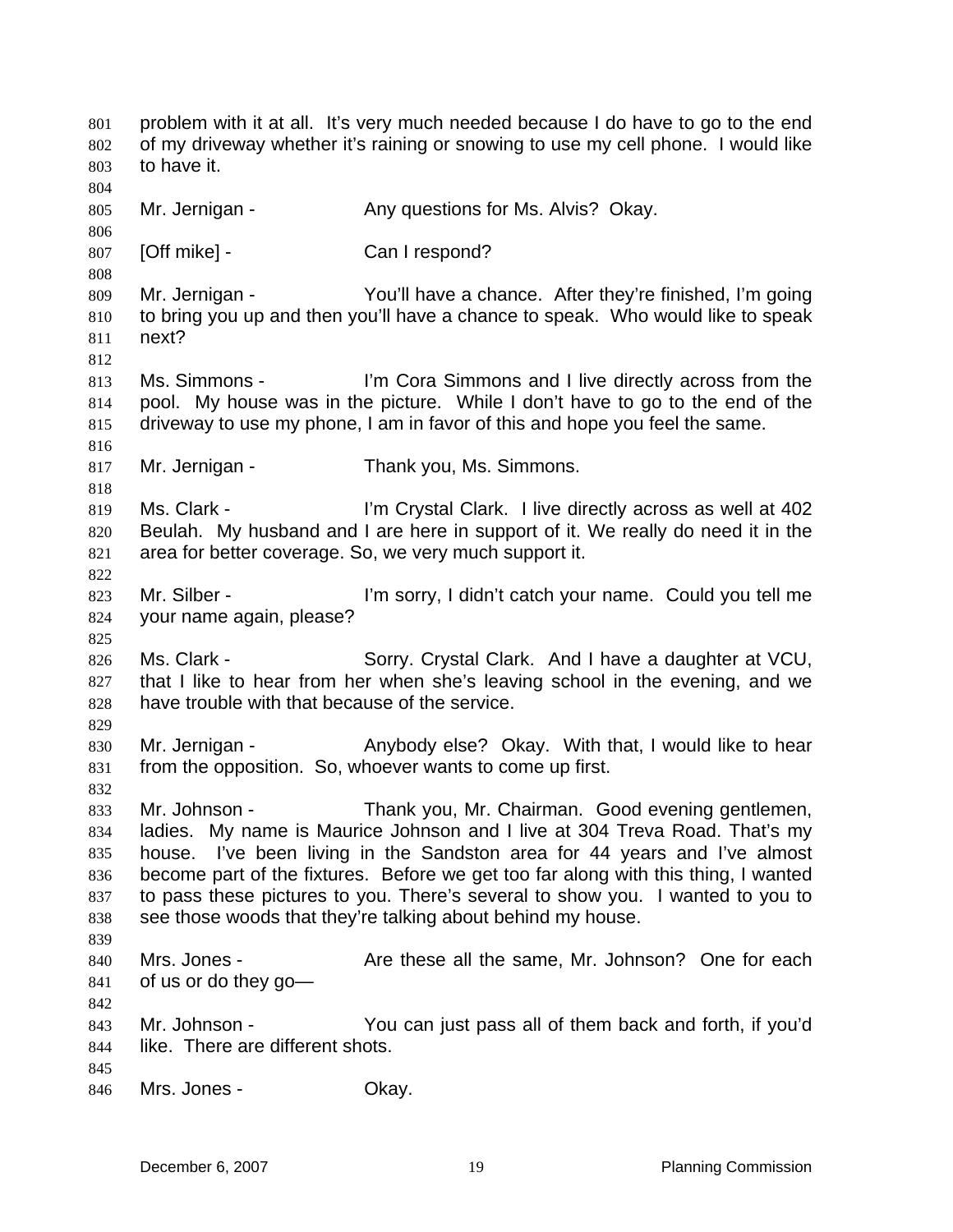problem with it at all. It's very much needed because I do have to go to the end of my driveway whether it's raining or snowing to use my cell phone. I would like to have it. 801 802 803 804 805 806 807 808 809 810 811 812 813 814 815 816 817 818 819 820 821 822 823 824 825 826 827 828 829 830 831 832 833 834 835 836 837 838 839 840 841 842 843 844 845 846 Mr. Jernigan - The Any questions for Ms. Alvis? Okay. [Off mike] - Can I respond? Mr. Jernigan - You'll have a chance. After they're finished, I'm going to bring you up and then you'll have a chance to speak. Who would like to speak next? Ms. Simmons - I'm Cora Simmons and I live directly across from the pool. My house was in the picture. While I don't have to go to the end of the driveway to use my phone, I am in favor of this and hope you feel the same. Mr. Jernigan - Thank you, Ms. Simmons. Ms. Clark - I'm Crystal Clark. I live directly across as well at 402 Beulah. My husband and I are here in support of it. We really do need it in the area for better coverage. So, we very much support it. Mr. Silber - I'm sorry, I didn't catch your name. Could you tell me your name again, please? Ms. Clark - Sorry. Crystal Clark. And I have a daughter at VCU, that I like to hear from her when she's leaving school in the evening, and we have trouble with that because of the service. Mr. Jernigan - Anybody else? Okay. With that, I would like to hear from the opposition. So, whoever wants to come up first. Mr. Johnson - Thank you, Mr. Chairman. Good evening gentlemen, ladies. My name is Maurice Johnson and I live at 304 Treva Road. That's my house. I've been living in the Sandston area for 44 years and I've almost become part of the fixtures. Before we get too far along with this thing, I wanted to pass these pictures to you. There's several to show you. I wanted to you to see those woods that they're talking about behind my house. Mrs. Jones - Are these all the same, Mr. Johnson? One for each of us or do they go— Mr. Johnson - You can just pass all of them back and forth, if you'd like. There are different shots. Mrs. Jones - Ckay.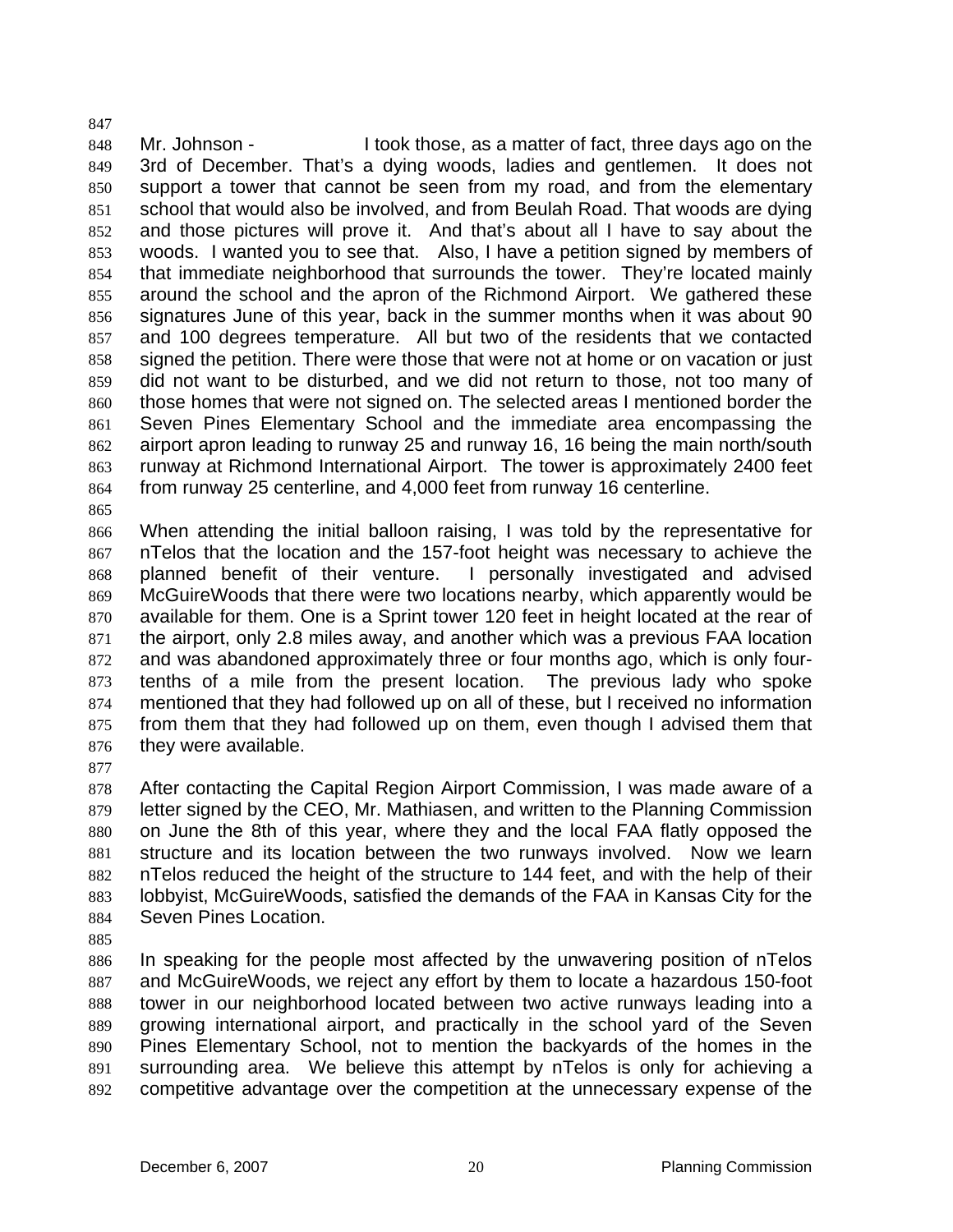848 849 850 851 852 853 854 855 856 857 858 859 860 861 862 863 864 865 Mr. Johnson - I took those, as a matter of fact, three days ago on the 3rd of December. That's a dying woods, ladies and gentlemen. It does not support a tower that cannot be seen from my road, and from the elementary school that would also be involved, and from Beulah Road. That woods are dying and those pictures will prove it. And that's about all I have to say about the woods. I wanted you to see that. Also, I have a petition signed by members of that immediate neighborhood that surrounds the tower. They're located mainly around the school and the apron of the Richmond Airport. We gathered these signatures June of this year, back in the summer months when it was about 90 and 100 degrees temperature. All but two of the residents that we contacted signed the petition. There were those that were not at home or on vacation or just did not want to be disturbed, and we did not return to those, not too many of those homes that were not signed on. The selected areas I mentioned border the Seven Pines Elementary School and the immediate area encompassing the airport apron leading to runway 25 and runway 16, 16 being the main north/south runway at Richmond International Airport. The tower is approximately 2400 feet from runway 25 centerline, and 4,000 feet from runway 16 centerline.

866 867 868 869 870 871 872 873 874 875 876 When attending the initial balloon raising, I was told by the representative for nTelos that the location and the 157-foot height was necessary to achieve the planned benefit of their venture. I personally investigated and advised McGuireWoods that there were two locations nearby, which apparently would be available for them. One is a Sprint tower 120 feet in height located at the rear of the airport, only 2.8 miles away, and another which was a previous FAA location and was abandoned approximately three or four months ago, which is only fourtenths of a mile from the present location. The previous lady who spoke mentioned that they had followed up on all of these, but I received no information from them that they had followed up on them, even though I advised them that they were available.

877

847

878 879 880 881 882 883 884 After contacting the Capital Region Airport Commission, I was made aware of a letter signed by the CEO, Mr. Mathiasen, and written to the Planning Commission on June the 8th of this year, where they and the local FAA flatly opposed the structure and its location between the two runways involved. Now we learn nTelos reduced the height of the structure to 144 feet, and with the help of their lobbyist, McGuireWoods, satisfied the demands of the FAA in Kansas City for the Seven Pines Location.

885

886 887 888 889 890 891 892 In speaking for the people most affected by the unwavering position of nTelos and McGuireWoods, we reject any effort by them to locate a hazardous 150-foot tower in our neighborhood located between two active runways leading into a growing international airport, and practically in the school yard of the Seven Pines Elementary School, not to mention the backyards of the homes in the surrounding area. We believe this attempt by nTelos is only for achieving a competitive advantage over the competition at the unnecessary expense of the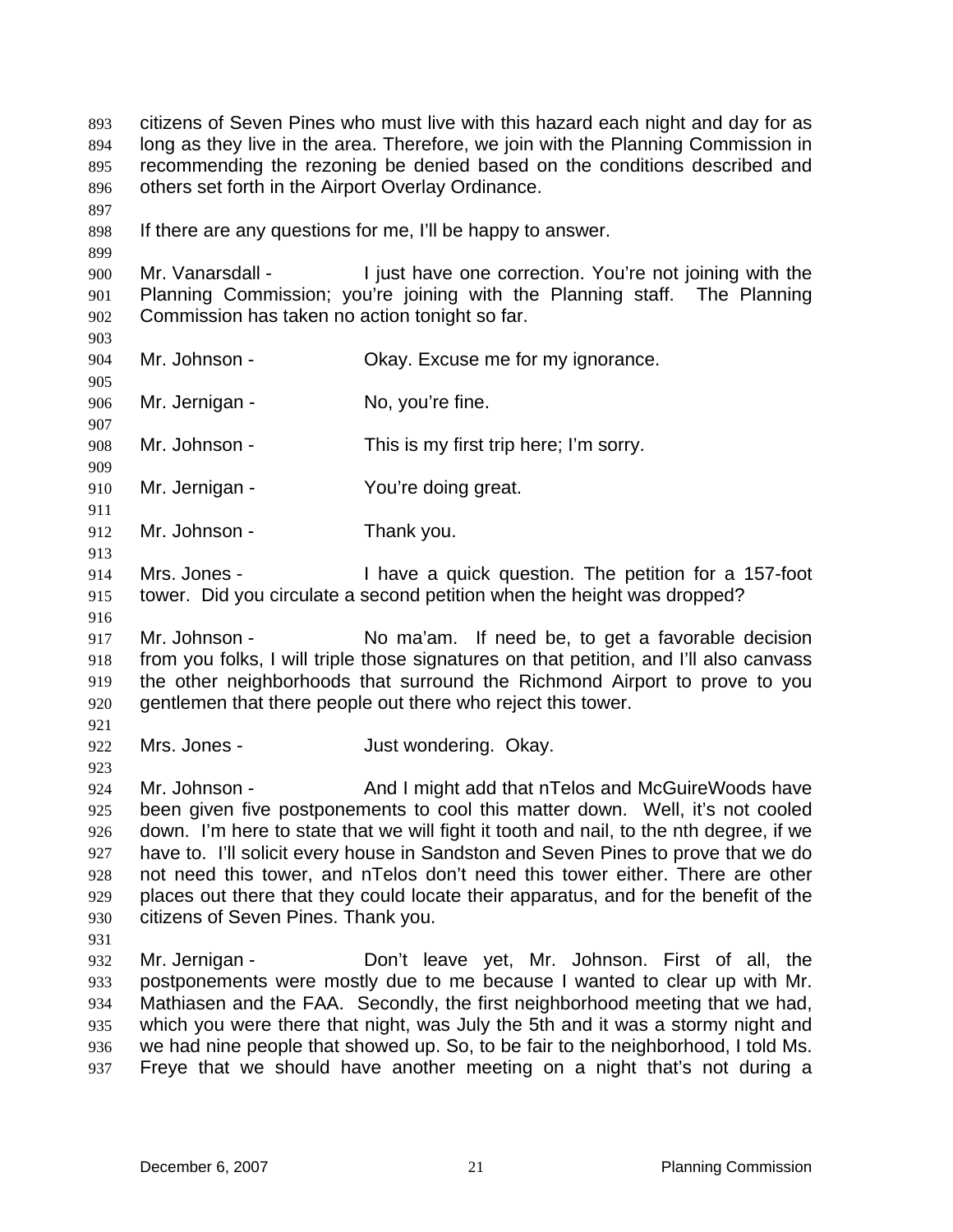citizens of Seven Pines who must live with this hazard each night and day for as long as they live in the area. Therefore, we join with the Planning Commission in recommending the rezoning be denied based on the conditions described and others set forth in the Airport Overlay Ordinance. 893 894 895 896 897 898 899 900 901 902 903 904 905 906 907 908 909 910 911 912 913 914 915 916 917 918 919 920 921 922 923 924 925 926 927 928 929 930 931 932 933 934 935 936 937 If there are any questions for me, I'll be happy to answer. Mr. Vanarsdall - I just have one correction. You're not joining with the Planning Commission; you're joining with the Planning staff. The Planning Commission has taken no action tonight so far. Mr. Johnson - Ckay. Excuse me for my ignorance. Mr. Jernigan - No, you're fine. Mr. Johnson - This is my first trip here; I'm sorry. Mr. Jernigan - You're doing great. Mr. Johnson - Thank you. Mrs. Jones - Thave a quick question. The petition for a 157-foot tower. Did you circulate a second petition when the height was dropped? Mr. Johnson - No ma'am. If need be, to get a favorable decision from you folks, I will triple those signatures on that petition, and I'll also canvass the other neighborhoods that surround the Richmond Airport to prove to you gentlemen that there people out there who reject this tower. Mrs. Jones - The South State State State State State State State State State State State State State State State State State State State State State State State State State State State State State State State State State S Mr. Johnson - And I might add that nTelos and McGuireWoods have been given five postponements to cool this matter down. Well, it's not cooled down. I'm here to state that we will fight it tooth and nail, to the nth degree, if we have to. I'll solicit every house in Sandston and Seven Pines to prove that we do not need this tower, and nTelos don't need this tower either. There are other places out there that they could locate their apparatus, and for the benefit of the citizens of Seven Pines. Thank you. Mr. Jernigan - Don't leave yet, Mr. Johnson. First of all, the postponements were mostly due to me because I wanted to clear up with Mr. Mathiasen and the FAA. Secondly, the first neighborhood meeting that we had, which you were there that night, was July the 5th and it was a stormy night and we had nine people that showed up. So, to be fair to the neighborhood, I told Ms. Freye that we should have another meeting on a night that's not during a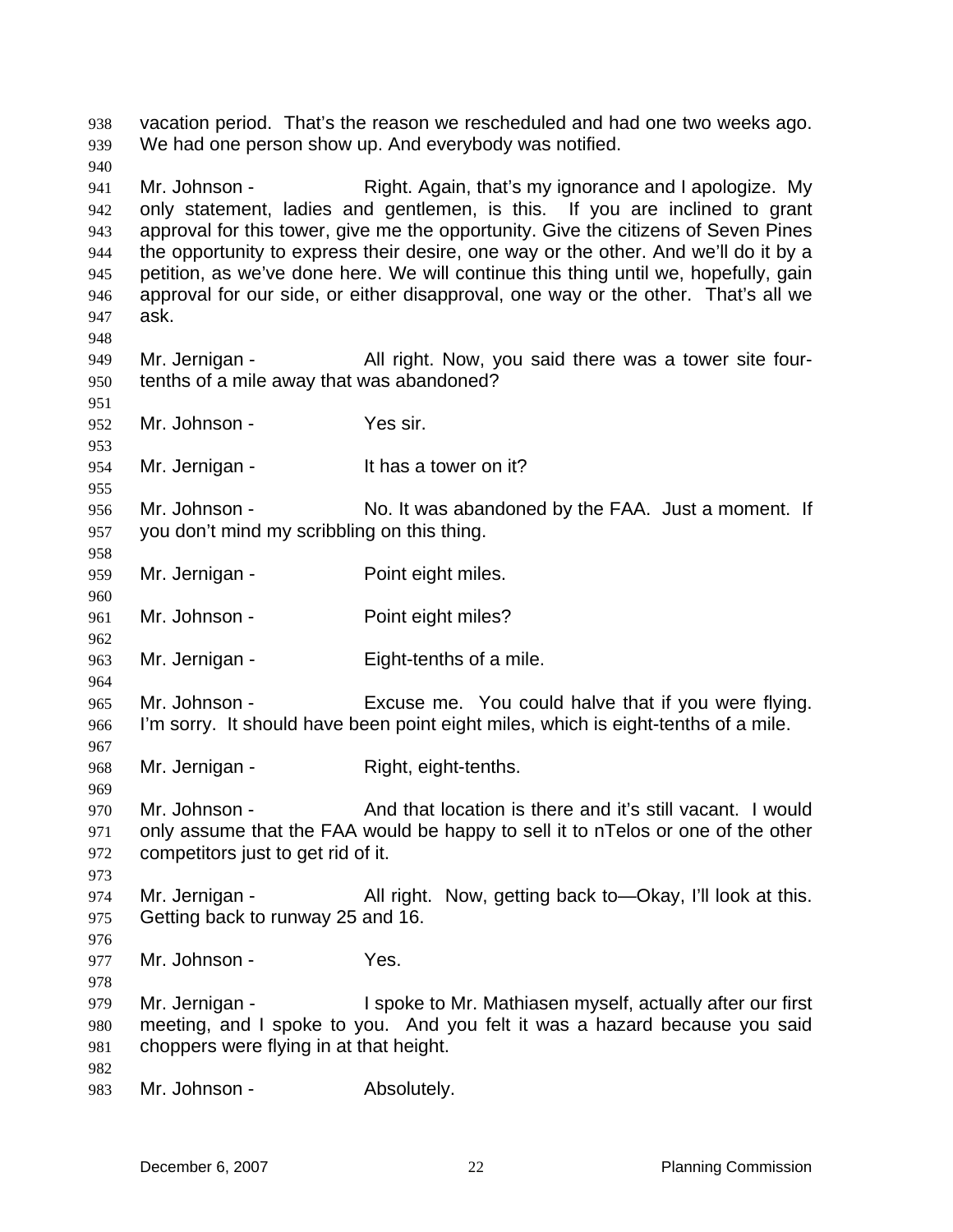vacation period. That's the reason we rescheduled and had one two weeks ago. We had one person show up. And everybody was notified. 938 939 940 941 942 943 944 945 946 947 948 949 950 951 952 953 954 955 956 957 958 959 960 961 962 963 964 965 966 967 968 969 970 971 972 973 974 975 976 977 978 979 980 981 982 983 Mr. Johnson - Right. Again, that's my ignorance and I apologize. My only statement, ladies and gentlemen, is this. If you are inclined to grant approval for this tower, give me the opportunity. Give the citizens of Seven Pines the opportunity to express their desire, one way or the other. And we'll do it by a petition, as we've done here. We will continue this thing until we, hopefully, gain approval for our side, or either disapproval, one way or the other. That's all we ask. Mr. Jernigan - All right. Now, you said there was a tower site fourtenths of a mile away that was abandoned? Mr. Johnson - Yes sir. Mr. Jernigan - The Music State on it? Mr. Johnson - No. It was abandoned by the FAA. Just a moment. If you don't mind my scribbling on this thing. Mr. Jernigan - Point eight miles. Mr. Johnson - Point eight miles? Mr. Jernigan - Eight-tenths of a mile. Mr. Johnson - Excuse me. You could halve that if you were flying. I'm sorry. It should have been point eight miles, which is eight-tenths of a mile. Mr. Jernigan - Right, eight-tenths. Mr. Johnson - And that location is there and it's still vacant. I would only assume that the FAA would be happy to sell it to nTelos or one of the other competitors just to get rid of it. Mr. Jernigan - All right. Now, getting back to—Okay, I'll look at this. Getting back to runway 25 and 16. Mr. Johnson - Yes. Mr. Jernigan - I spoke to Mr. Mathiasen myself, actually after our first meeting, and I spoke to you. And you felt it was a hazard because you said choppers were flying in at that height. Mr. Johnson - Absolutely.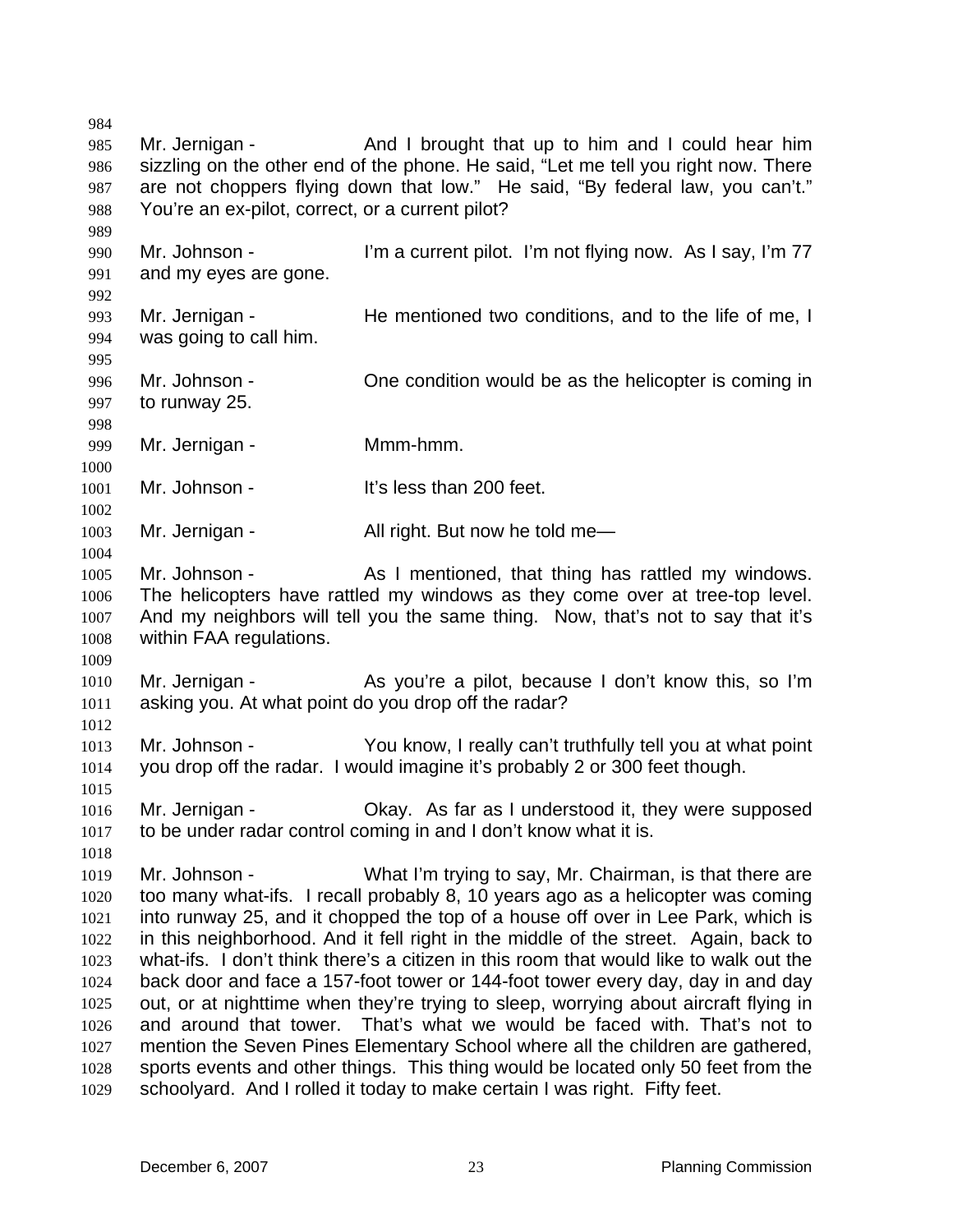984 985 986 987 988 989 990 991 992 993 994 995 996 997 998 999 1000 1001 1002 1003 1004 1005 1006 1007 1008 1009 1010 1011 1012 1013 1014 1015 1016 1017 1018 1019 1020 1021 1022 1023 1024 1025 1026 1027 1028 1029 Mr. Jernigan - And I brought that up to him and I could hear him sizzling on the other end of the phone. He said, "Let me tell you right now. There are not choppers flying down that low." He said, "By federal law, you can't." You're an ex-pilot, correct, or a current pilot? Mr. Johnson - I'm a current pilot. I'm not flying now. As I say, I'm 77 and my eyes are gone. Mr. Jernigan - The mentioned two conditions, and to the life of me, I was going to call him. Mr. Johnson - One condition would be as the helicopter is coming in to runway 25. Mr. Jernigan - **Mmm-hmm.** Mr. Johnson - The Muslim Communit's less than 200 feet. Mr. Jernigan - All right. But now he told me— Mr. Johnson - As I mentioned, that thing has rattled my windows. The helicopters have rattled my windows as they come over at tree-top level. And my neighbors will tell you the same thing. Now, that's not to say that it's within FAA regulations. Mr. Jernigan - The As you're a pilot, because I don't know this, so I'm asking you. At what point do you drop off the radar? Mr. Johnson - You know, I really can't truthfully tell you at what point you drop off the radar. I would imagine it's probably 2 or 300 feet though. Mr. Jernigan - Okay. As far as I understood it, they were supposed to be under radar control coming in and I don't know what it is. Mr. Johnson - What I'm trying to say, Mr. Chairman, is that there are too many what-ifs. I recall probably 8, 10 years ago as a helicopter was coming into runway 25, and it chopped the top of a house off over in Lee Park, which is in this neighborhood. And it fell right in the middle of the street. Again, back to what-ifs. I don't think there's a citizen in this room that would like to walk out the back door and face a 157-foot tower or 144-foot tower every day, day in and day out, or at nighttime when they're trying to sleep, worrying about aircraft flying in and around that tower. That's what we would be faced with. That's not to mention the Seven Pines Elementary School where all the children are gathered, sports events and other things. This thing would be located only 50 feet from the schoolyard. And I rolled it today to make certain I was right. Fifty feet.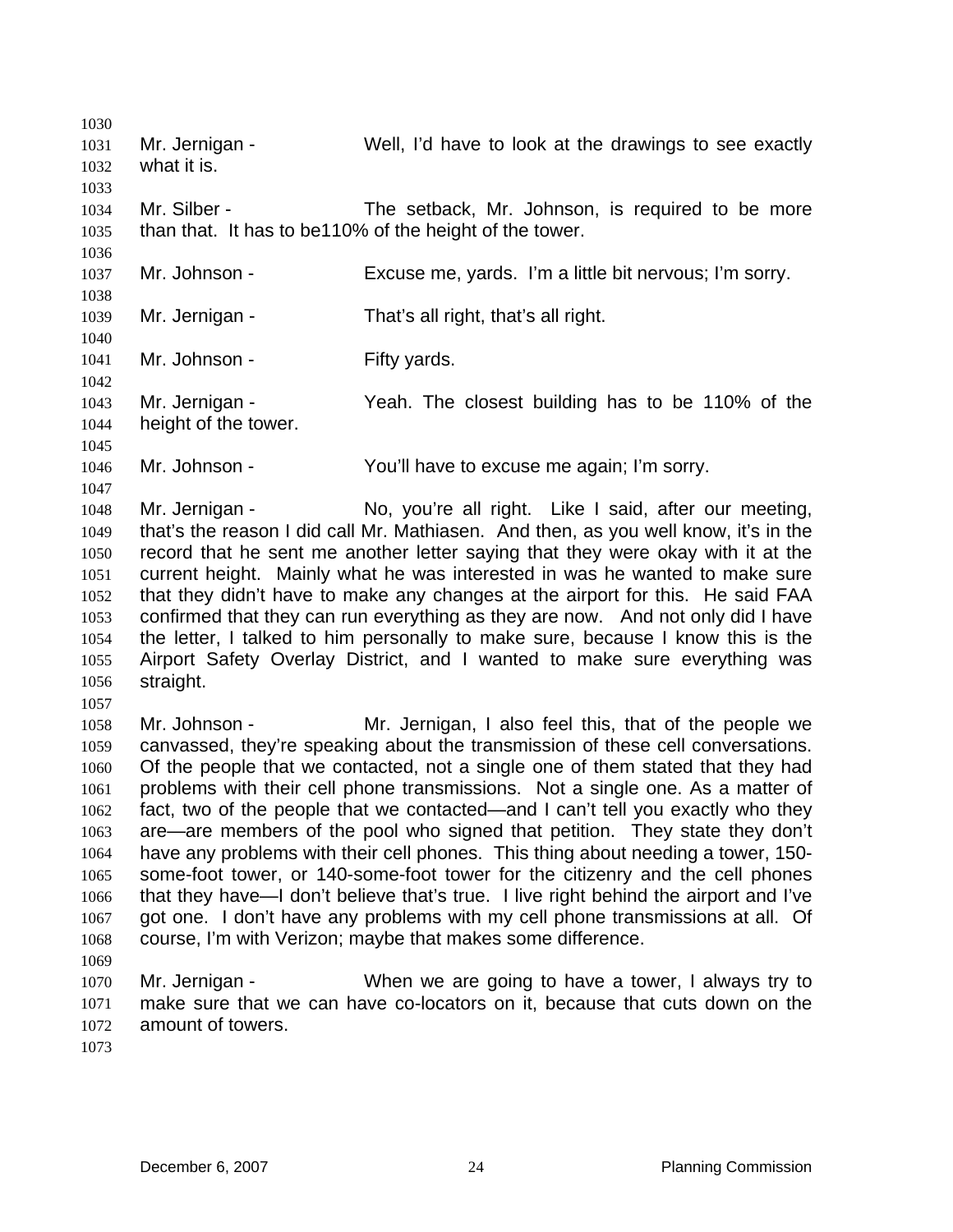1030 1031 1032 1033 1034 1035 1036 1037 1038 1039 1040 1041 1042 1043 1044 1045 1046 1047 1048 1049 1050 1051 1052 1053 1054 1055 1056 1057 1058 1059 1060 1061 1062 1063 1064 1065 1066 1067 1068 1069 1070 1071 1072 1073 Mr. Jernigan - Well, I'd have to look at the drawings to see exactly what it is. Mr. Silber - The setback, Mr. Johnson, is required to be more than that. It has to be110% of the height of the tower. Mr. Johnson - Excuse me, yards. I'm a little bit nervous; I'm sorry. Mr. Jernigan - That's all right, that's all right. Mr. Johnson - Fifty yards. Mr. Jernigan - Yeah. The closest building has to be 110% of the height of the tower. Mr. Johnson - You'll have to excuse me again; I'm sorry. Mr. Jernigan - No, you're all right. Like I said, after our meeting, that's the reason I did call Mr. Mathiasen. And then, as you well know, it's in the record that he sent me another letter saying that they were okay with it at the current height. Mainly what he was interested in was he wanted to make sure that they didn't have to make any changes at the airport for this. He said FAA confirmed that they can run everything as they are now. And not only did I have the letter, I talked to him personally to make sure, because I know this is the Airport Safety Overlay District, and I wanted to make sure everything was straight. Mr. Johnson - Mr. Jernigan, I also feel this, that of the people we canvassed, they're speaking about the transmission of these cell conversations. Of the people that we contacted, not a single one of them stated that they had problems with their cell phone transmissions. Not a single one. As a matter of fact, two of the people that we contacted—and I can't tell you exactly who they are—are members of the pool who signed that petition. They state they don't have any problems with their cell phones. This thing about needing a tower, 150 some-foot tower, or 140-some-foot tower for the citizenry and the cell phones that they have—I don't believe that's true. I live right behind the airport and I've got one. I don't have any problems with my cell phone transmissions at all. Of course, I'm with Verizon; maybe that makes some difference. Mr. Jernigan - When we are going to have a tower, I always try to make sure that we can have co-locators on it, because that cuts down on the amount of towers.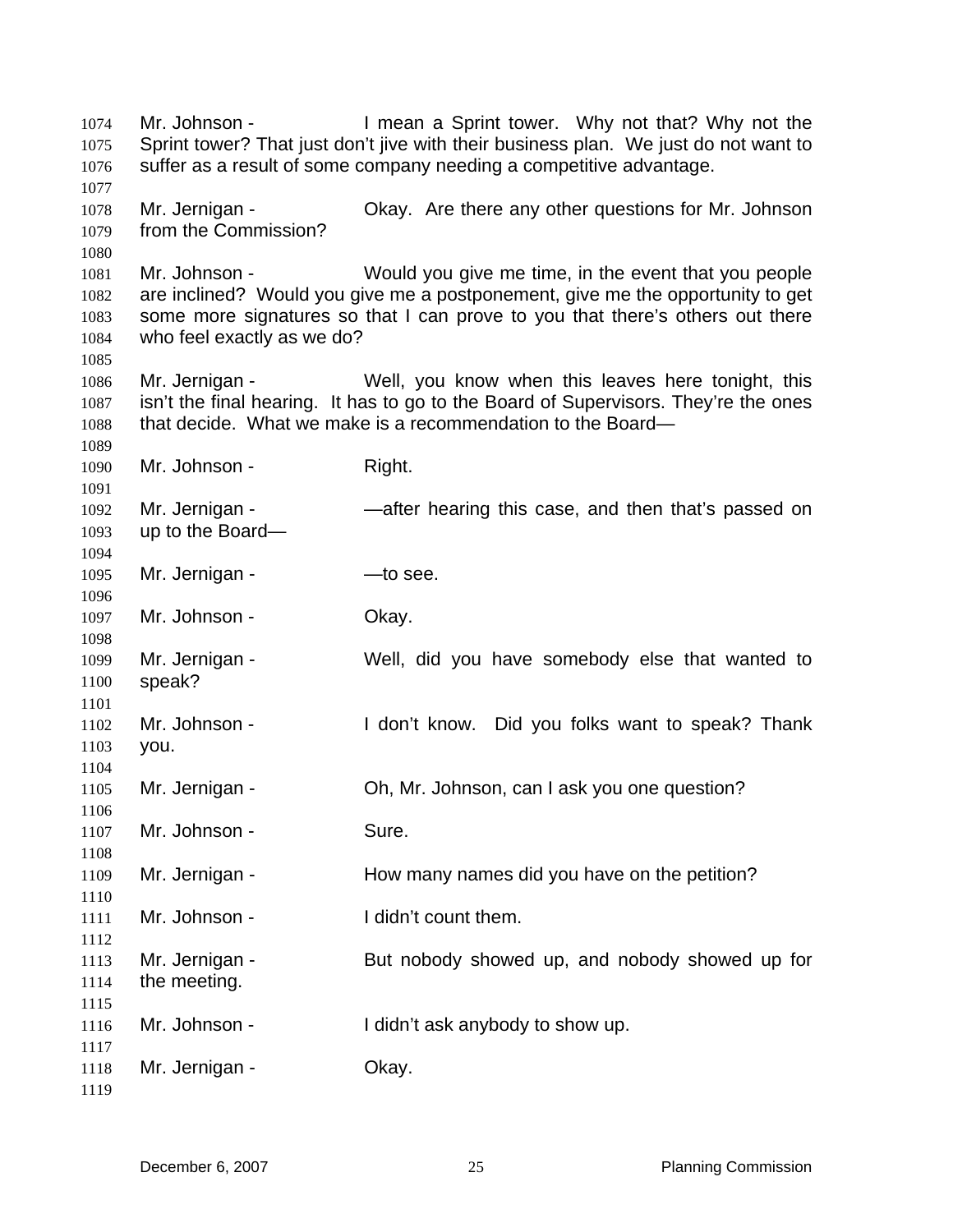Mr. Johnson - Thean a Sprint tower. Why not that? Why not the Sprint tower? That just don't jive with their business plan. We just do not want to suffer as a result of some company needing a competitive advantage. Mr. Jernigan - Ckay. Are there any other questions for Mr. Johnson from the Commission? Mr. Johnson - Would you give me time, in the event that you people are inclined? Would you give me a postponement, give me the opportunity to get some more signatures so that I can prove to you that there's others out there who feel exactly as we do? Mr. Jernigan - Well, you know when this leaves here tonight, this isn't the final hearing. It has to go to the Board of Supervisors. They're the ones that decide. What we make is a recommendation to the Board— Mr. Johnson - Right. Mr. Jernigan - — —after hearing this case, and then that's passed on up to the Board— Mr. Jernigan - — — to see. Mr. Johnson - Ckay. Mr. Jernigan - Well, did you have somebody else that wanted to speak? Mr. Johnson - I don't know. Did you folks want to speak? Thank you. Mr. Jernigan - Oh, Mr. Johnson, can I ask you one question? Mr. Johnson - Sure. Mr. Jernigan - The How many names did you have on the petition? Mr. Johnson - The I didn't count them. Mr. Jernigan - But nobody showed up, and nobody showed up for the meeting. Mr. Johnson - I didn't ask anybody to show up. Mr. Jernigan - Ckay.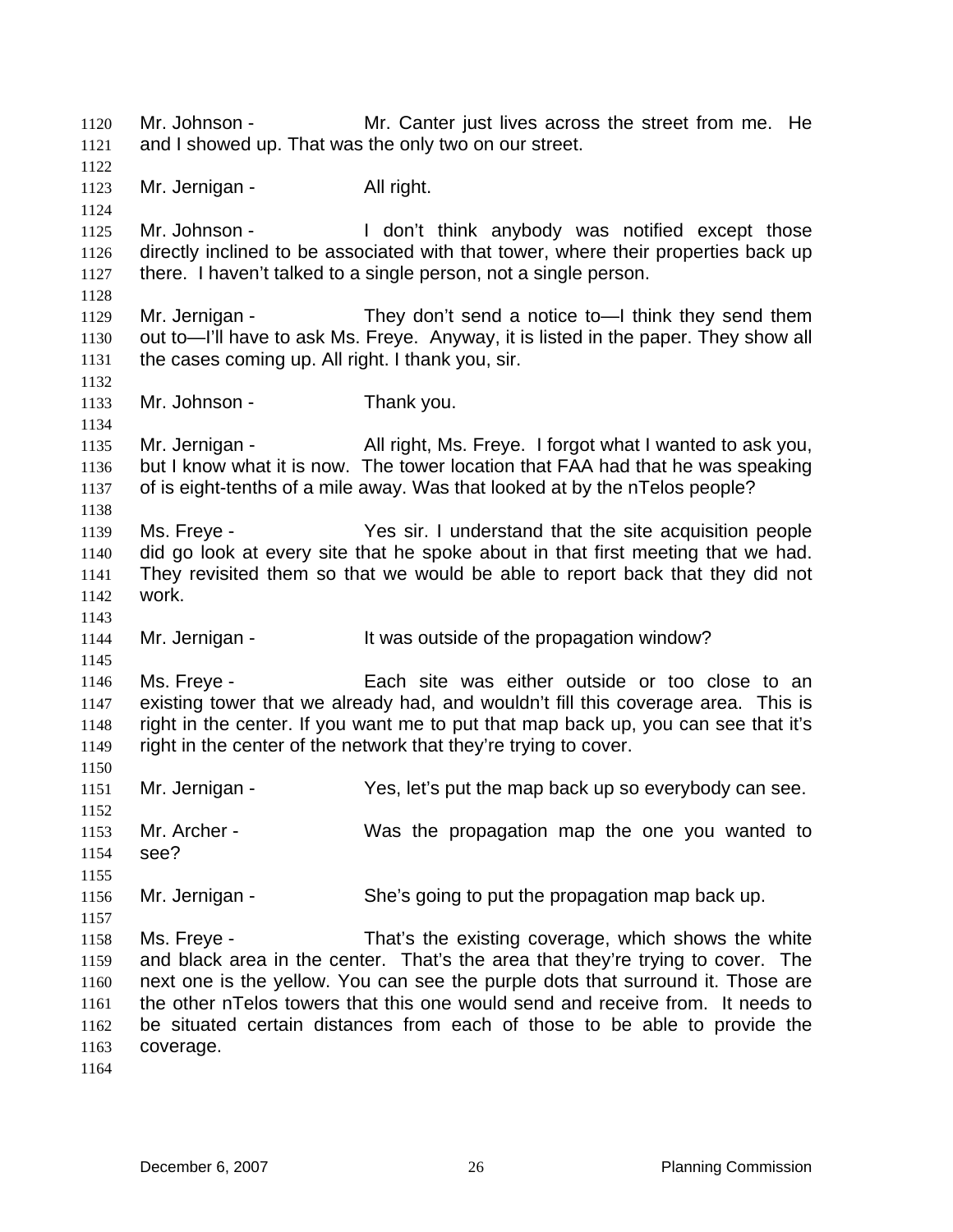Mr. Johnson - Mr. Canter just lives across the street from me. He and I showed up. That was the only two on our street. 1120 1121 1122 1123 1124 1125 1126 1127 1128 1129 1130 1131 1132 1133 1134 1135 1136 1137 1138 1139 1140 1141 1142 1143 1144 1145 1146 1147 1148 1149 1150 1151 1152 1153 1154 1155 1156 1157 1158 1159 1160 1161 1162 1163 1164 Mr. Jernigan - All right. Mr. Johnson - The don't think anybody was notified except those directly inclined to be associated with that tower, where their properties back up there. I haven't talked to a single person, not a single person. Mr. Jernigan - They don't send a notice to -- I think they send them out to—I'll have to ask Ms. Freye. Anyway, it is listed in the paper. They show all the cases coming up. All right. I thank you, sir. Mr. Johnson - Thank you. Mr. Jernigan - All right, Ms. Freye. I forgot what I wanted to ask you, but I know what it is now. The tower location that FAA had that he was speaking of is eight-tenths of a mile away. Was that looked at by the nTelos people? Ms. Freye - The Yes sir. I understand that the site acquisition people did go look at every site that he spoke about in that first meeting that we had. They revisited them so that we would be able to report back that they did not work. Mr. Jernigan - It was outside of the propagation window? Ms. Freye - Each site was either outside or too close to an existing tower that we already had, and wouldn't fill this coverage area. This is right in the center. If you want me to put that map back up, you can see that it's right in the center of the network that they're trying to cover. Mr. Jernigan - Yes, let's put the map back up so everybody can see. Mr. Archer - Was the propagation map the one you wanted to see? Mr. Jernigan - She's going to put the propagation map back up. Ms. Freye - That's the existing coverage, which shows the white and black area in the center. That's the area that they're trying to cover. The next one is the yellow. You can see the purple dots that surround it. Those are the other nTelos towers that this one would send and receive from. It needs to be situated certain distances from each of those to be able to provide the coverage.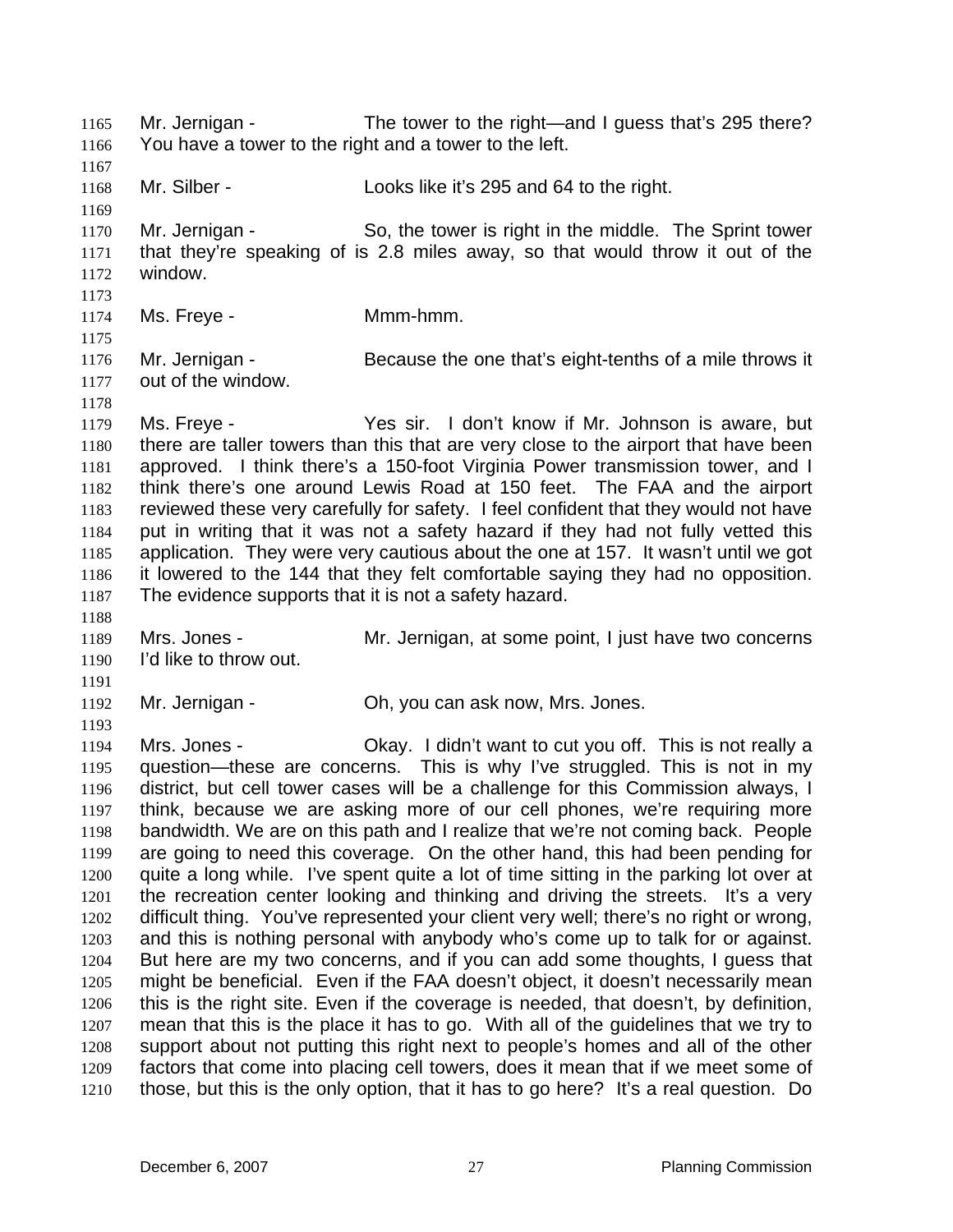Mr. Jernigan - The tower to the right—and I guess that's 295 there? You have a tower to the right and a tower to the left. 1165 1166

1168 Mr. Silber - Looks like it's 295 and 64 to the right.

1170 1171 1172 Mr. Jernigan - So, the tower is right in the middle. The Sprint tower that they're speaking of is 2.8 miles away, so that would throw it out of the window.

1173 1174

1167

1169

1175

1178

1188

1191

1193

Ms. Freye - **Mmm-hmm.** 

1176 1177 Mr. Jernigan - Because the one that's eight-tenths of a mile throws it out of the window.

1179 1180 1181 1182 1183 1184 1185 1186 1187 Ms. Freye - Yes sir. I don't know if Mr. Johnson is aware, but there are taller towers than this that are very close to the airport that have been approved. I think there's a 150-foot Virginia Power transmission tower, and I think there's one around Lewis Road at 150 feet. The FAA and the airport reviewed these very carefully for safety. I feel confident that they would not have put in writing that it was not a safety hazard if they had not fully vetted this application. They were very cautious about the one at 157. It wasn't until we got it lowered to the 144 that they felt comfortable saying they had no opposition. The evidence supports that it is not a safety hazard.

1189 1190 Mrs. Jones - Mr. Jernigan, at some point, I just have two concerns I'd like to throw out.

1192 Mr. Jernigan - Ch, you can ask now, Mrs. Jones.

1194 1195 1196 1197 1198 1199 1200 1201 1202 1203 1204 1205 1206 1207 1208 1209 1210 Mrs. Jones - Ckay. I didn't want to cut you off. This is not really a question—these are concerns. This is why I've struggled. This is not in my district, but cell tower cases will be a challenge for this Commission always, I think, because we are asking more of our cell phones, we're requiring more bandwidth. We are on this path and I realize that we're not coming back. People are going to need this coverage. On the other hand, this had been pending for quite a long while. I've spent quite a lot of time sitting in the parking lot over at the recreation center looking and thinking and driving the streets. It's a very difficult thing. You've represented your client very well; there's no right or wrong, and this is nothing personal with anybody who's come up to talk for or against. But here are my two concerns, and if you can add some thoughts, I guess that might be beneficial. Even if the FAA doesn't object, it doesn't necessarily mean this is the right site. Even if the coverage is needed, that doesn't, by definition, mean that this is the place it has to go. With all of the guidelines that we try to support about not putting this right next to people's homes and all of the other factors that come into placing cell towers, does it mean that if we meet some of those, but this is the only option, that it has to go here? It's a real question. Do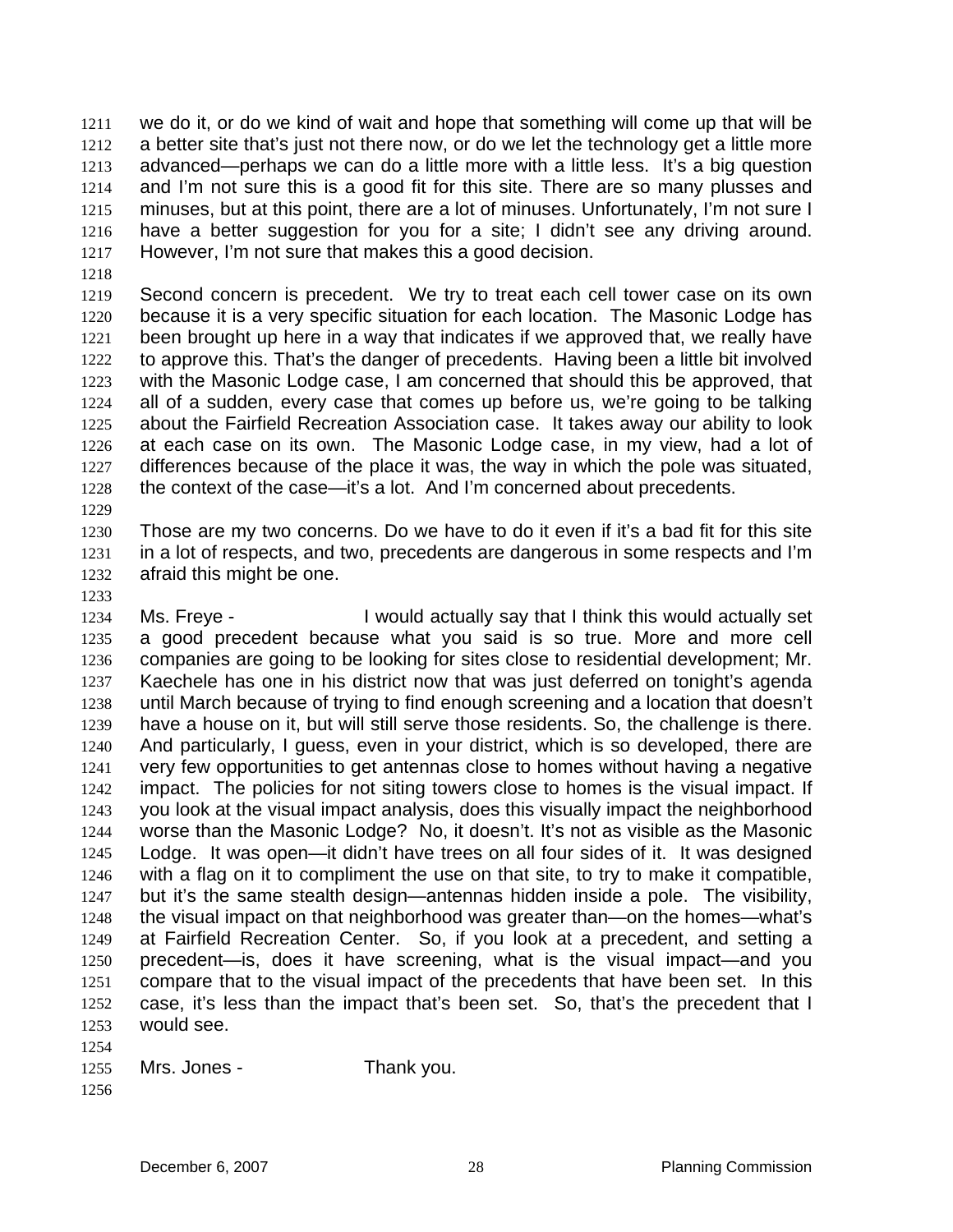we do it, or do we kind of wait and hope that something will come up that will be a better site that's just not there now, or do we let the technology get a little more advanced—perhaps we can do a little more with a little less. It's a big question and I'm not sure this is a good fit for this site. There are so many plusses and minuses, but at this point, there are a lot of minuses. Unfortunately, I'm not sure I have a better suggestion for you for a site; I didn't see any driving around. However, I'm not sure that makes this a good decision. 1211 1212 1213 1214 1215 1216 1217

1218

1219 1220 1221 1222 1223 1224 1225 1226 1227 1228 Second concern is precedent. We try to treat each cell tower case on its own because it is a very specific situation for each location. The Masonic Lodge has been brought up here in a way that indicates if we approved that, we really have to approve this. That's the danger of precedents. Having been a little bit involved with the Masonic Lodge case, I am concerned that should this be approved, that all of a sudden, every case that comes up before us, we're going to be talking about the Fairfield Recreation Association case. It takes away our ability to look at each case on its own. The Masonic Lodge case, in my view, had a lot of differences because of the place it was, the way in which the pole was situated, the context of the case—it's a lot. And I'm concerned about precedents.

1229

1230 1231 1232 Those are my two concerns. Do we have to do it even if it's a bad fit for this site in a lot of respects, and two, precedents are dangerous in some respects and I'm afraid this might be one.

1233

1234 1235 1236 1237 1238 1239 1240 1241 1242 1243 1244 1245 1246 1247 1248 1249 1250 1251 1252 1253 1254 Ms. Freye - The U would actually say that I think this would actually set a good precedent because what you said is so true. More and more cell companies are going to be looking for sites close to residential development; Mr. Kaechele has one in his district now that was just deferred on tonight's agenda until March because of trying to find enough screening and a location that doesn't have a house on it, but will still serve those residents. So, the challenge is there. And particularly, I guess, even in your district, which is so developed, there are very few opportunities to get antennas close to homes without having a negative impact. The policies for not siting towers close to homes is the visual impact. If you look at the visual impact analysis, does this visually impact the neighborhood worse than the Masonic Lodge? No, it doesn't. It's not as visible as the Masonic Lodge. It was open—it didn't have trees on all four sides of it. It was designed with a flag on it to compliment the use on that site, to try to make it compatible, but it's the same stealth design—antennas hidden inside a pole. The visibility, the visual impact on that neighborhood was greater than—on the homes—what's at Fairfield Recreation Center. So, if you look at a precedent, and setting a precedent—is, does it have screening, what is the visual impact—and you compare that to the visual impact of the precedents that have been set. In this case, it's less than the impact that's been set. So, that's the precedent that I would see.

1255 Mrs. Jones - Thank you.

1256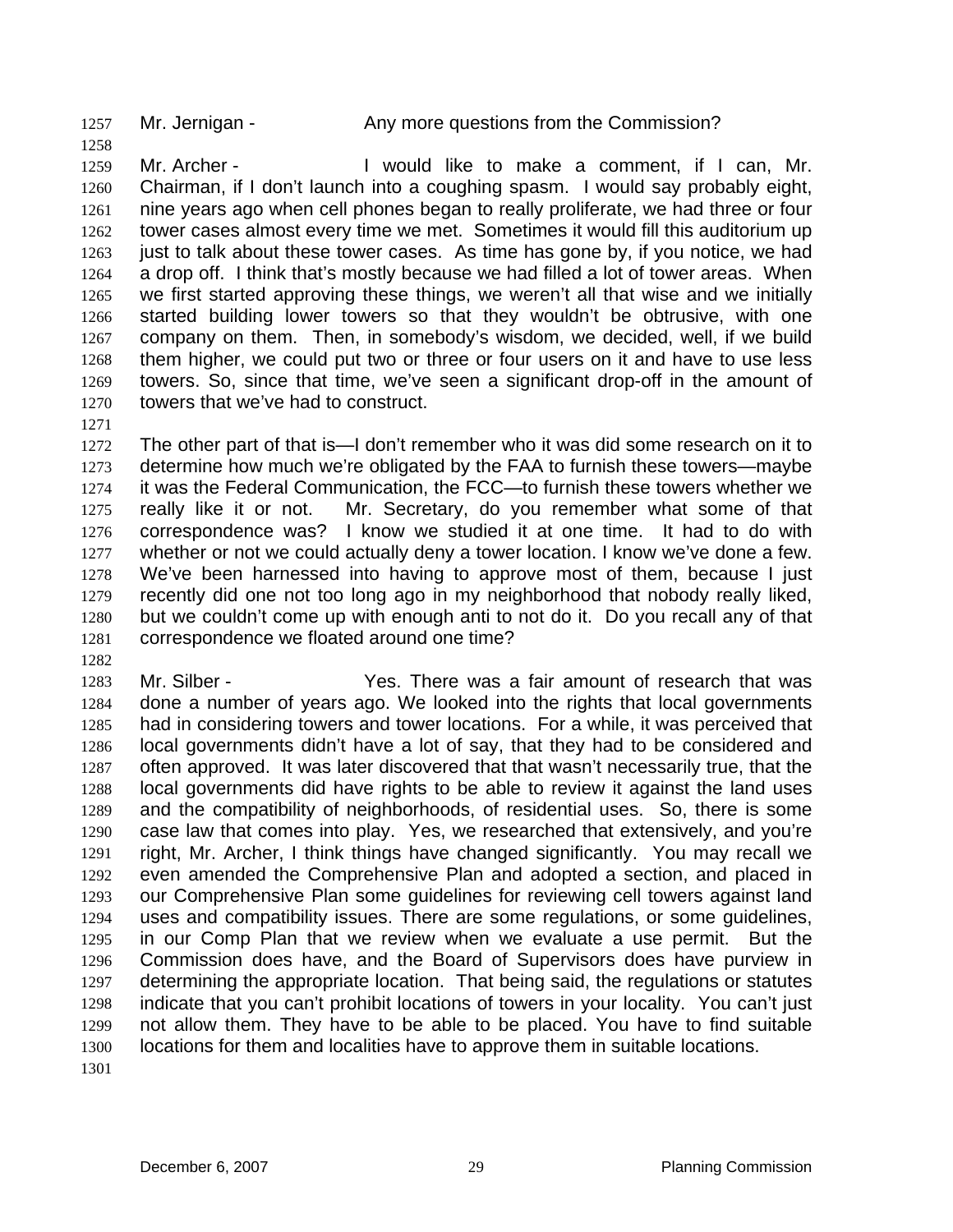1257 Mr. Jernigan - Any more questions from the Commission?

1259 1260 1261 1262 1263 1264 1265 1266 1267 1268 1269 1270 Mr. Archer - The Unit of the total make a comment, if I can, Mr. Chairman, if I don't launch into a coughing spasm. I would say probably eight, nine years ago when cell phones began to really proliferate, we had three or four tower cases almost every time we met. Sometimes it would fill this auditorium up just to talk about these tower cases. As time has gone by, if you notice, we had a drop off. I think that's mostly because we had filled a lot of tower areas. When we first started approving these things, we weren't all that wise and we initially started building lower towers so that they wouldn't be obtrusive, with one company on them. Then, in somebody's wisdom, we decided, well, if we build them higher, we could put two or three or four users on it and have to use less towers. So, since that time, we've seen a significant drop-off in the amount of towers that we've had to construct.

1271

1282

1258

1272 1273 1274 1275 1276 1277 1278 1279 1280 1281 The other part of that is—I don't remember who it was did some research on it to determine how much we're obligated by the FAA to furnish these towers—maybe it was the Federal Communication, the FCC—to furnish these towers whether we really like it or not. Mr. Secretary, do you remember what some of that correspondence was? I know we studied it at one time. It had to do with whether or not we could actually deny a tower location. I know we've done a few. We've been harnessed into having to approve most of them, because I just recently did one not too long ago in my neighborhood that nobody really liked, but we couldn't come up with enough anti to not do it. Do you recall any of that correspondence we floated around one time?

1283 1284 1285 1286 1287 1288 1289 1290 1291 1292 1293 1294 1295 1296 1297 1298 1299 1300 Mr. Silber - Yes. There was a fair amount of research that was done a number of years ago. We looked into the rights that local governments had in considering towers and tower locations. For a while, it was perceived that local governments didn't have a lot of say, that they had to be considered and often approved. It was later discovered that that wasn't necessarily true, that the local governments did have rights to be able to review it against the land uses and the compatibility of neighborhoods, of residential uses. So, there is some case law that comes into play. Yes, we researched that extensively, and you're right, Mr. Archer, I think things have changed significantly. You may recall we even amended the Comprehensive Plan and adopted a section, and placed in our Comprehensive Plan some guidelines for reviewing cell towers against land uses and compatibility issues. There are some regulations, or some guidelines, in our Comp Plan that we review when we evaluate a use permit. But the Commission does have, and the Board of Supervisors does have purview in determining the appropriate location. That being said, the regulations or statutes indicate that you can't prohibit locations of towers in your locality. You can't just not allow them. They have to be able to be placed. You have to find suitable locations for them and localities have to approve them in suitable locations.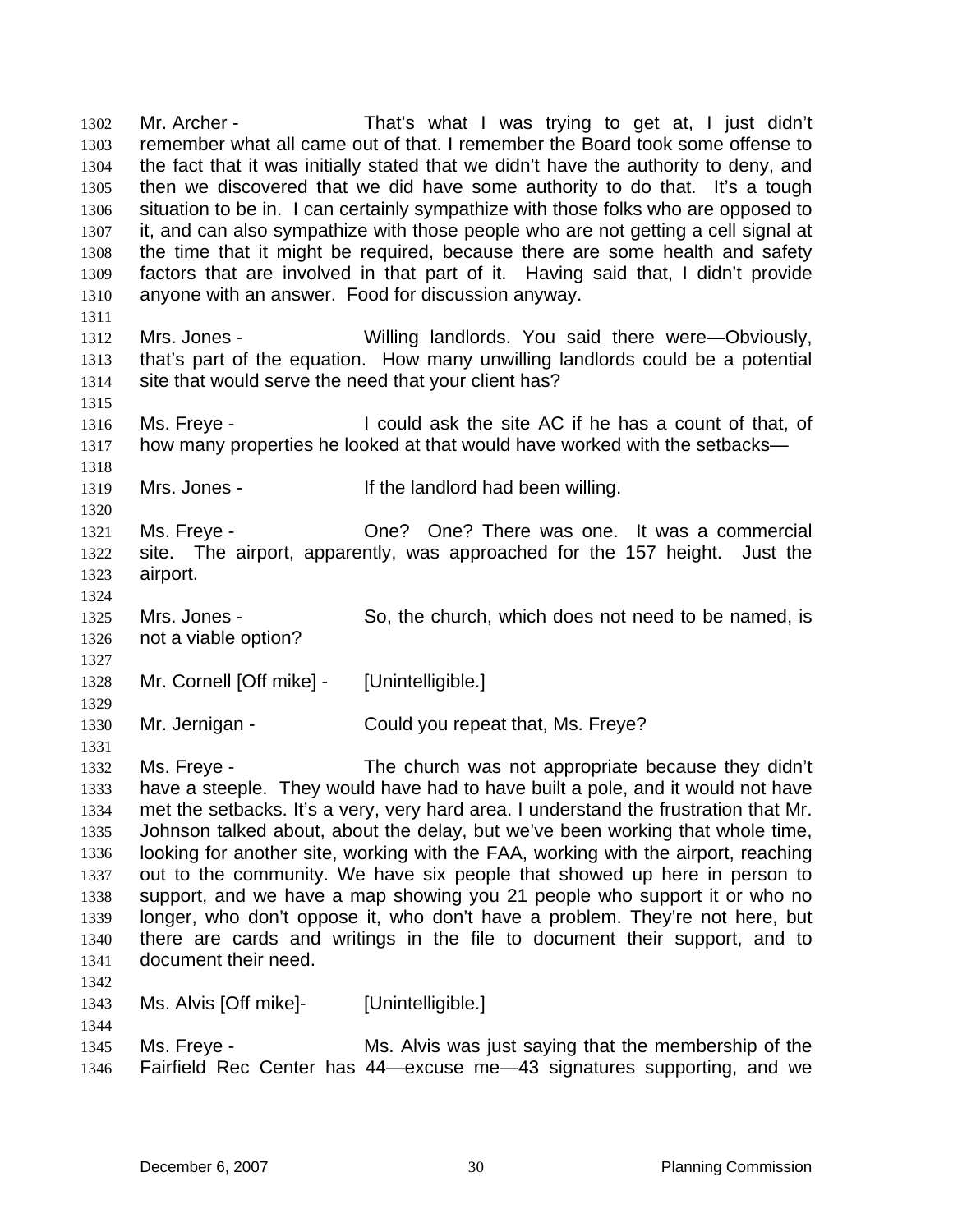Mr. Archer - That's what I was trying to get at, I just didn't remember what all came out of that. I remember the Board took some offense to the fact that it was initially stated that we didn't have the authority to deny, and then we discovered that we did have some authority to do that. It's a tough situation to be in. I can certainly sympathize with those folks who are opposed to it, and can also sympathize with those people who are not getting a cell signal at the time that it might be required, because there are some health and safety factors that are involved in that part of it. Having said that, I didn't provide anyone with an answer. Food for discussion anyway. 1302 1303 1304 1305 1306 1307 1308 1309 1310 1311 1312 1313 1314 1315 1316 1317 1318 1319 1320 1321 1322 1323 1324 1325 1326 1327 1328 1329 1330 1331 1332 1333 1334 1335 1336 1337 1338 1339 1340 1341 1342 1343 1344 1345 1346 Mrs. Jones - Willing landlords. You said there were—Obviously, that's part of the equation. How many unwilling landlords could be a potential site that would serve the need that your client has? Ms. Freye - I could ask the site AC if he has a count of that, of how many properties he looked at that would have worked with the setbacks— Mrs. Jones - The landlord had been willing. Ms. Freye - There was one. It was a commercial site. The airport, apparently, was approached for the 157 height. Just the airport. Mrs. Jones - So, the church, which does not need to be named, is not a viable option? Mr. Cornell [Off mike] - [Unintelligible.] Mr. Jernigan - Could you repeat that, Ms. Freye? Ms. Freye - The church was not appropriate because they didn't have a steeple. They would have had to have built a pole, and it would not have met the setbacks. It's a very, very hard area. I understand the frustration that Mr. Johnson talked about, about the delay, but we've been working that whole time, looking for another site, working with the FAA, working with the airport, reaching out to the community. We have six people that showed up here in person to support, and we have a map showing you 21 people who support it or who no longer, who don't oppose it, who don't have a problem. They're not here, but there are cards and writings in the file to document their support, and to document their need. Ms. Alvis [Off mike]- [Unintelligible.] Ms. Freye - Ms. Alvis was just saying that the membership of the Fairfield Rec Center has 44—excuse me—43 signatures supporting, and we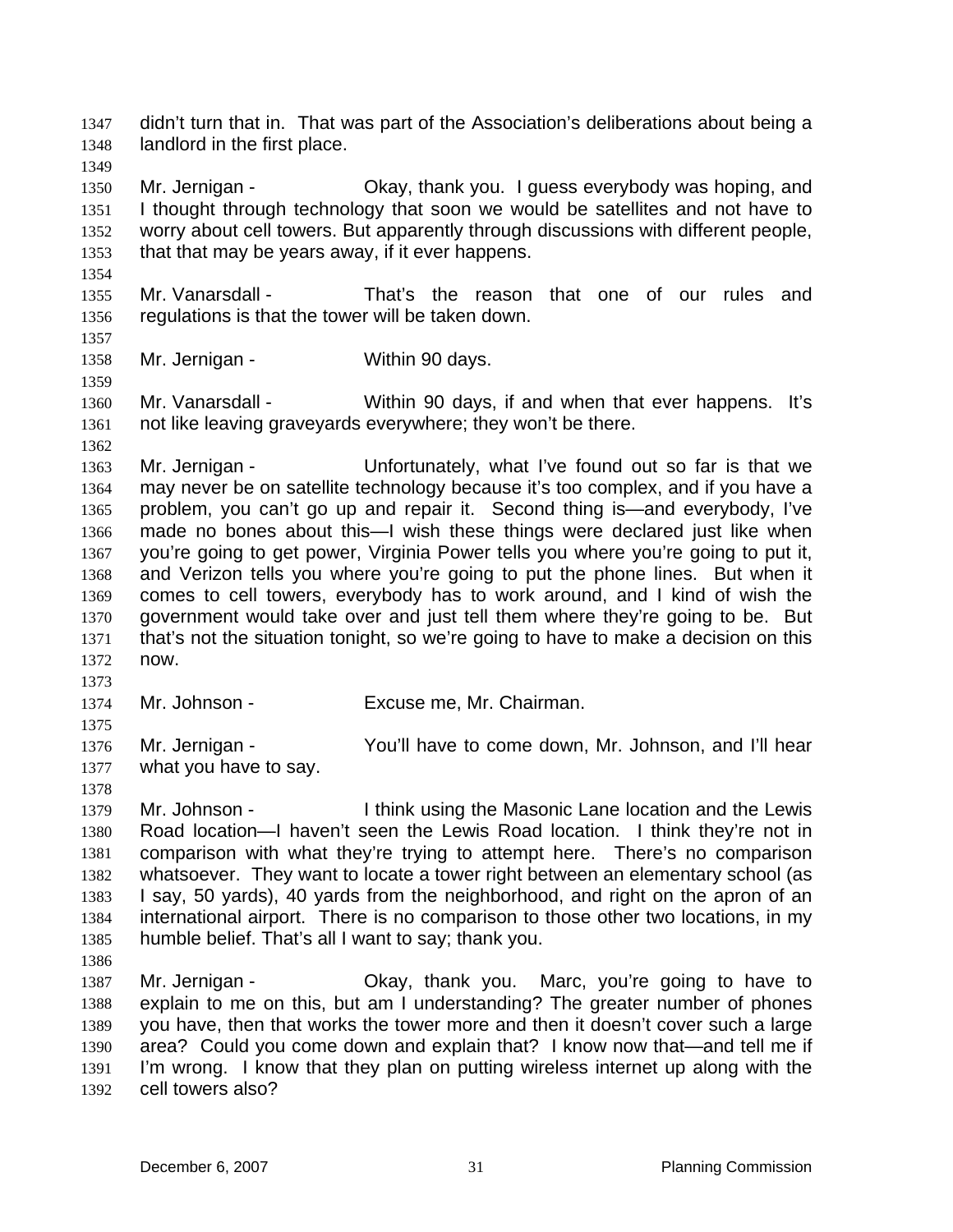didn't turn that in. That was part of the Association's deliberations about being a landlord in the first place. 1347 1348

1350 1351 1352 1353 Mr. Jernigan - Ckay, thank you. I guess everybody was hoping, and I thought through technology that soon we would be satellites and not have to worry about cell towers. But apparently through discussions with different people, that that may be years away, if it ever happens.

1355 1356 Mr. Vanarsdall - That's the reason that one of our rules and regulations is that the tower will be taken down.

1357 1358

1359

1362

1373

1375

1378

1354

1349

Mr. Jernigan - Within 90 days.

1360 1361 Mr. Vanarsdall - Within 90 days, if and when that ever happens. It's not like leaving graveyards everywhere; they won't be there.

1363 1364 1365 1366 1367 1368 1369 1370 1371 1372 Mr. Jernigan - Unfortunately, what I've found out so far is that we may never be on satellite technology because it's too complex, and if you have a problem, you can't go up and repair it. Second thing is—and everybody, I've made no bones about this—I wish these things were declared just like when you're going to get power, Virginia Power tells you where you're going to put it, and Verizon tells you where you're going to put the phone lines. But when it comes to cell towers, everybody has to work around, and I kind of wish the government would take over and just tell them where they're going to be. But that's not the situation tonight, so we're going to have to make a decision on this now.

1374 Mr. Johnson - Excuse me, Mr. Chairman.

1376 1377 Mr. Jernigan - The You'll have to come down, Mr. Johnson, and I'll hear what you have to say.

1379 1380 1381 1382 1383 1384 1385 Mr. Johnson - I think using the Masonic Lane location and the Lewis Road location—I haven't seen the Lewis Road location. I think they're not in comparison with what they're trying to attempt here. There's no comparison whatsoever. They want to locate a tower right between an elementary school (as I say, 50 yards), 40 yards from the neighborhood, and right on the apron of an international airport. There is no comparison to those other two locations, in my humble belief. That's all I want to say; thank you.

1386

1387 1388 1389 1390 1391 1392 Mr. Jernigan - Okay, thank you. Marc, you're going to have to explain to me on this, but am I understanding? The greater number of phones you have, then that works the tower more and then it doesn't cover such a large area? Could you come down and explain that? I know now that—and tell me if I'm wrong. I know that they plan on putting wireless internet up along with the cell towers also?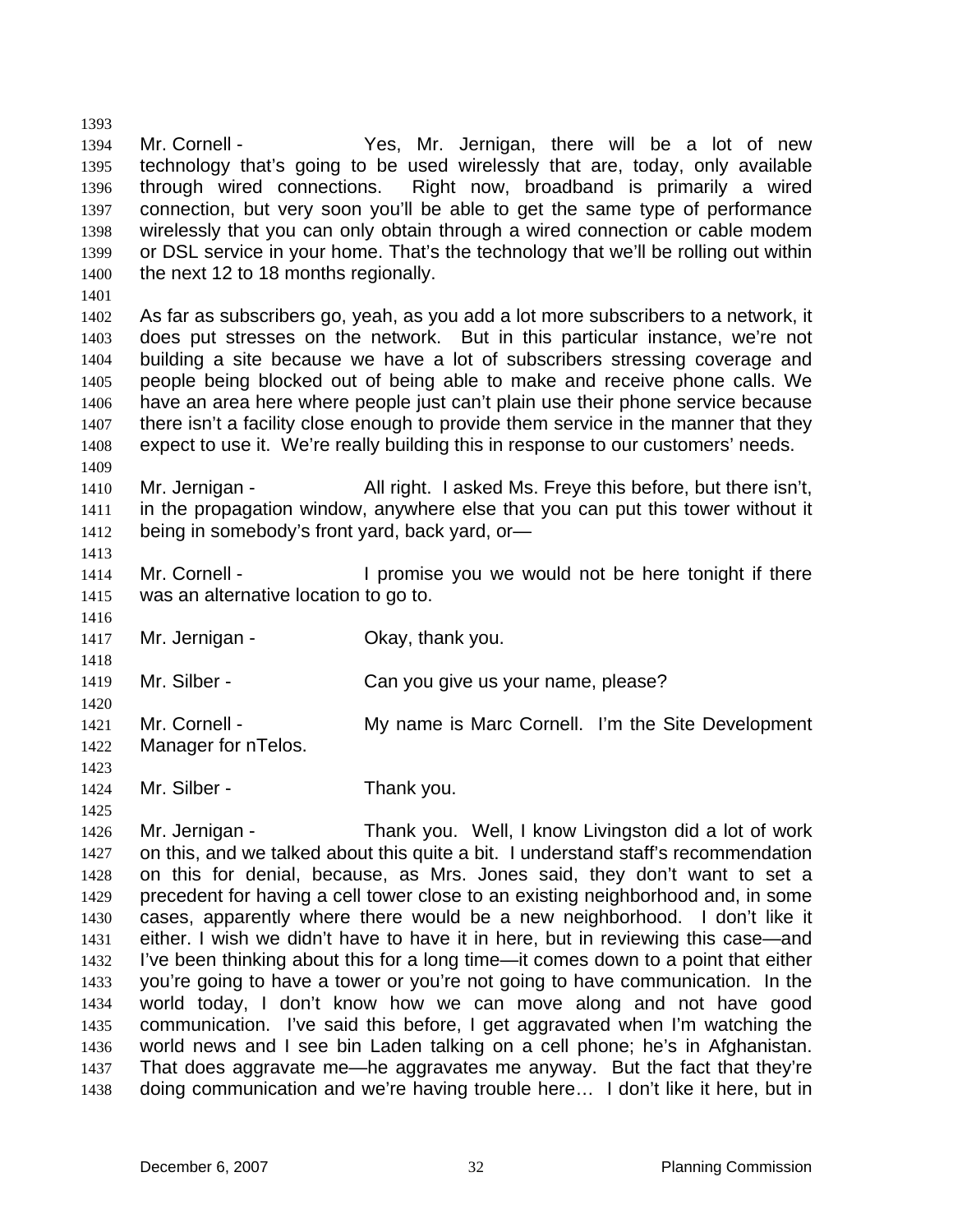1394 1395 1396 1397 1398 1399 1400 Mr. Cornell - The Yes, Mr. Jernigan, there will be a lot of new technology that's going to be used wirelessly that are, today, only available through wired connections. Right now, broadband is primarily a wired connection, but very soon you'll be able to get the same type of performance wirelessly that you can only obtain through a wired connection or cable modem or DSL service in your home. That's the technology that we'll be rolling out within the next 12 to 18 months regionally.

1401

1413

1416

1420

1423

1425

1393

1402 1403 1404 1405 1406 1407 1408 1409 As far as subscribers go, yeah, as you add a lot more subscribers to a network, it does put stresses on the network. But in this particular instance, we're not building a site because we have a lot of subscribers stressing coverage and people being blocked out of being able to make and receive phone calls. We have an area here where people just can't plain use their phone service because there isn't a facility close enough to provide them service in the manner that they expect to use it. We're really building this in response to our customers' needs.

1410 1411 1412 Mr. Jernigan - All right. I asked Ms. Freye this before, but there isn't, in the propagation window, anywhere else that you can put this tower without it being in somebody's front yard, back yard, or—

1414 1415 Mr. Cornell - The Cornell - I promise you we would not be here tonight if there was an alternative location to go to.

1417 Mr. Jernigan - Ckay, thank you.

1418 1419 Mr. Silber - Can you give us your name, please?

- 1421 1422 Mr. Cornell - The My name is Marc Cornell. I'm the Site Development Manager for nTelos.
- 1424 Mr. Silber - Thank you.

1426 1427 1428 1429 1430 1431 1432 1433 1434 1435 1436 1437 1438 Mr. Jernigan - Thank you. Well, I know Livingston did a lot of work on this, and we talked about this quite a bit. I understand staff's recommendation on this for denial, because, as Mrs. Jones said, they don't want to set a precedent for having a cell tower close to an existing neighborhood and, in some cases, apparently where there would be a new neighborhood. I don't like it either. I wish we didn't have to have it in here, but in reviewing this case—and I've been thinking about this for a long time—it comes down to a point that either you're going to have a tower or you're not going to have communication. In the world today, I don't know how we can move along and not have good communication. I've said this before, I get aggravated when I'm watching the world news and I see bin Laden talking on a cell phone; he's in Afghanistan. That does aggravate me—he aggravates me anyway. But the fact that they're doing communication and we're having trouble here… I don't like it here, but in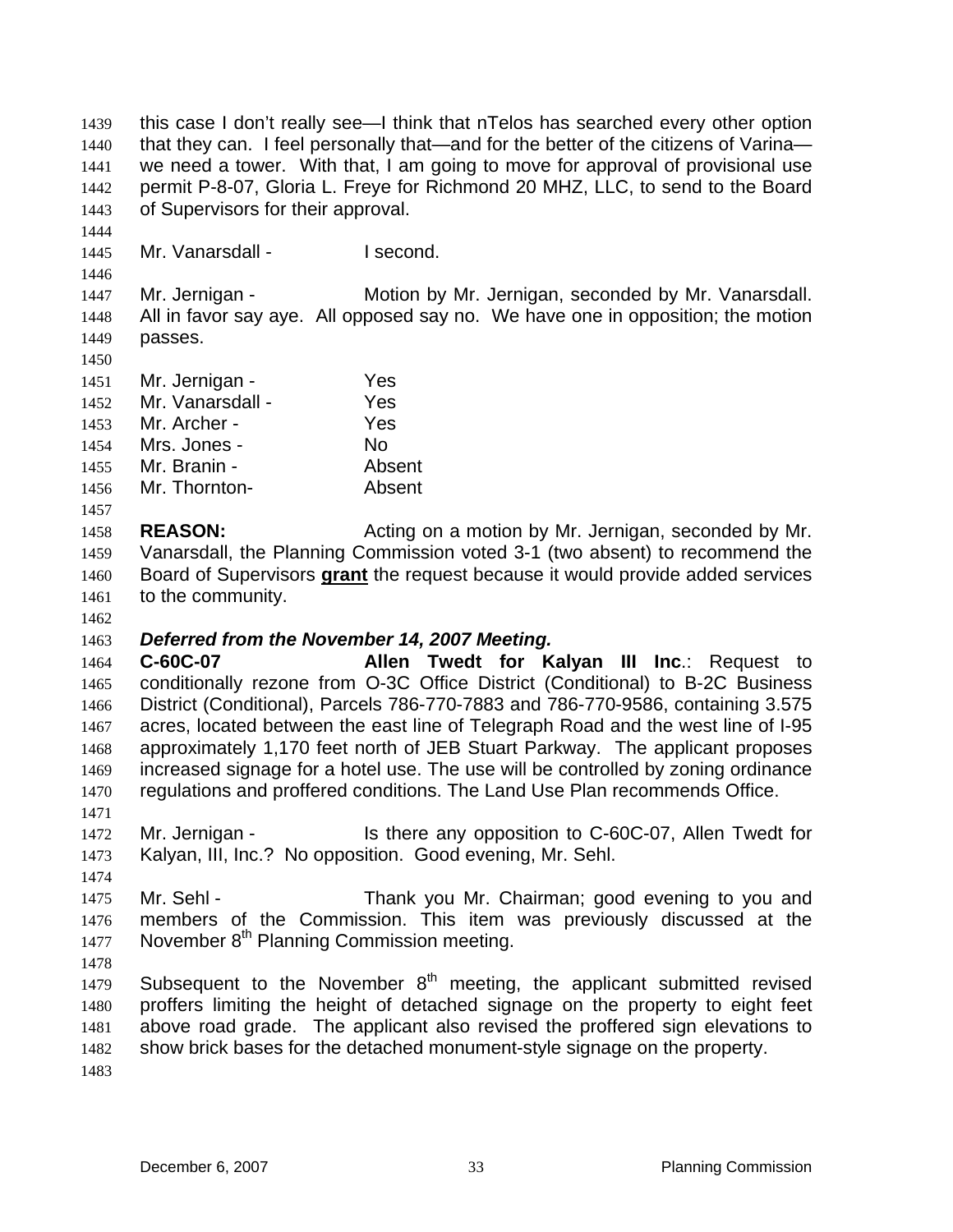this case I don't really see—I think that nTelos has searched every other option that they can. I feel personally that—and for the better of the citizens of Varina we need a tower. With that, I am going to move for approval of provisional use permit P-8-07, Gloria L. Freye for Richmond 20 MHZ, LLC, to send to the Board of Supervisors for their approval. 1439 1440 1441 1442 1443

1445 Mr. Vanarsdall - I second.

1447 1448 1449 Mr. Jernigan - **Motion by Mr. Jernigan, seconded by Mr. Vanarsdall.** All in favor say aye. All opposed say no. We have one in opposition; the motion passes.

1450

1444

1446

| 1451 | Mr. Jernigan -   | Yes    |
|------|------------------|--------|
| 1452 | Mr. Vanarsdall - | Yes    |
| 1453 | Mr. Archer -     | Yes    |
| 1454 | Mrs. Jones -     | No     |
| 1455 | Mr. Branin -     | Absent |
| 1456 | Mr. Thornton-    | Absent |

- 1458 1459 **REASON:** Acting on a motion by Mr. Jernigan, seconded by Mr. Vanarsdall, the Planning Commission voted 3-1 (two absent) to recommend the Board of Supervisors **grant** the request because it would provide added services to the community. 1460 1461
- 1462

1457

## 1463 *Deferred from the November 14, 2007 Meeting.*

1464 1465 1466 1467 1468 1469 1470 1471 **C-60C-07 Allen Twedt for Kalyan III Inc**.: Request to conditionally rezone from O-3C Office District (Conditional) to B-2C Business District (Conditional), Parcels 786-770-7883 and 786-770-9586, containing 3.575 acres, located between the east line of Telegraph Road and the west line of I-95 approximately 1,170 feet north of JEB Stuart Parkway. The applicant proposes increased signage for a hotel use. The use will be controlled by zoning ordinance regulations and proffered conditions. The Land Use Plan recommends Office.

- 1472 1473 Mr. Jernigan - Is there any opposition to C-60C-07, Allen Twedt for Kalyan, III, Inc.? No opposition. Good evening, Mr. Sehl.
- 1475 1476 1477 Mr. Sehl - Thank you Mr. Chairman; good evening to you and members of the Commission. This item was previously discussed at the November  $8<sup>th</sup>$  Planning Commission meeting.
- 1478

1474

1479 1480 1481 1482 1483 Subsequent to the November  $8<sup>th</sup>$  meeting, the applicant submitted revised proffers limiting the height of detached signage on the property to eight feet above road grade. The applicant also revised the proffered sign elevations to show brick bases for the detached monument-style signage on the property.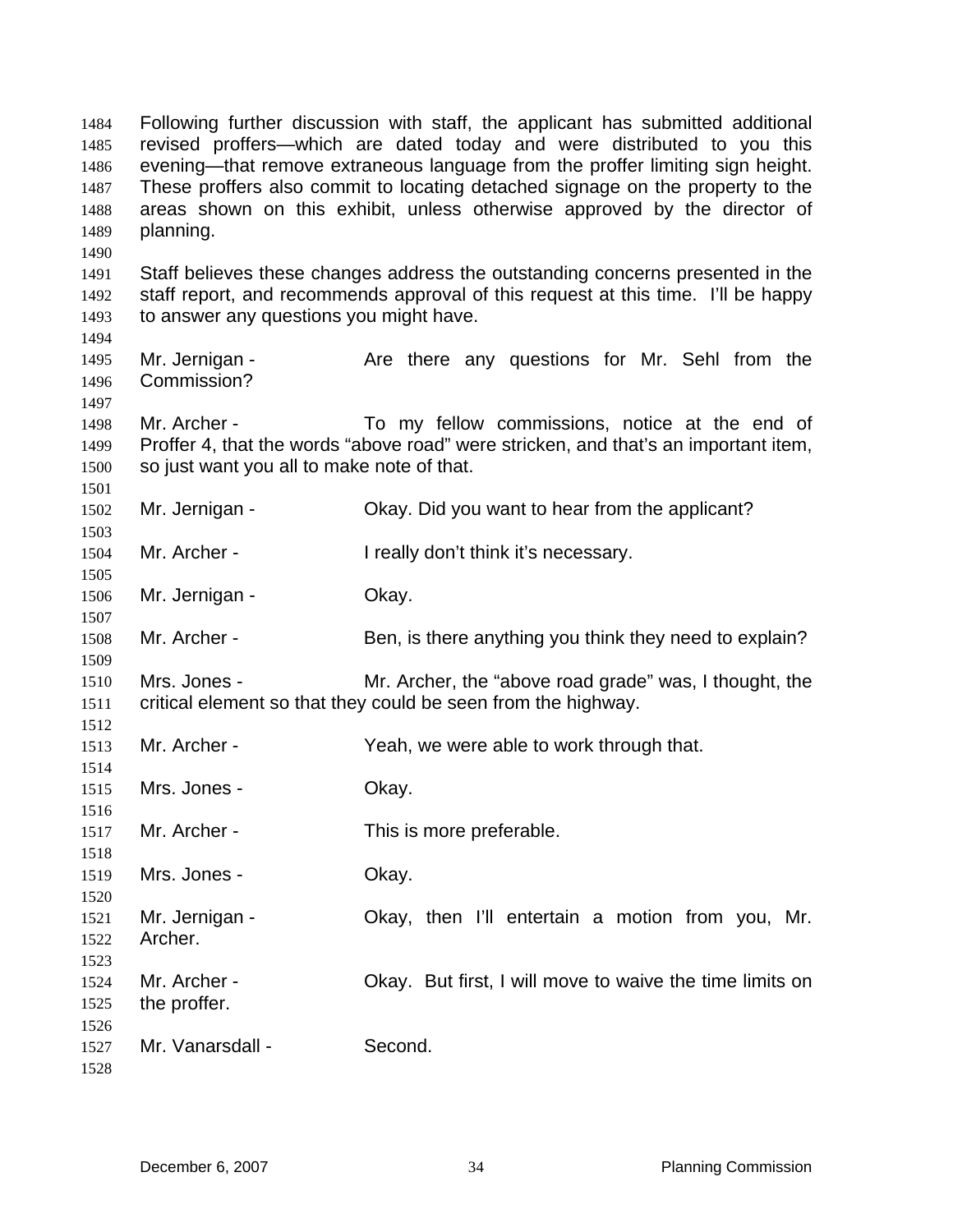Following further discussion with staff, the applicant has submitted additional revised proffers—which are dated today and were distributed to you this evening—that remove extraneous language from the proffer limiting sign height. These proffers also commit to locating detached signage on the property to the areas shown on this exhibit, unless otherwise approved by the director of planning. 1484 1485 1486 1487 1488 1489 1490 1491 1492 1493 1494 1495 1496 1497 1498 1499 1500 1501 1502 1503 1504 1505 1506 1507 1508 1509 1510 1511 1512 1513 1514 1515 1516 1517 1518 1519 1520 1521 1522 1523 1524 1525 1526 1527 1528 Staff believes these changes address the outstanding concerns presented in the staff report, and recommends approval of this request at this time. I'll be happy to answer any questions you might have. Mr. Jernigan - The Are there any questions for Mr. Sehl from the Commission? Mr. Archer - To my fellow commissions, notice at the end of Proffer 4, that the words "above road" were stricken, and that's an important item, so just want you all to make note of that. Mr. Jernigan - Okay. Did you want to hear from the applicant? Mr. Archer - I really don't think it's necessary. Mr. Jernigan - Ckay. Mr. Archer - Ben, is there anything you think they need to explain? Mrs. Jones - Mr. Archer, the "above road grade" was, I thought, the critical element so that they could be seen from the highway. Mr. Archer - Yeah, we were able to work through that. Mrs. Jones - Chay. Mr. Archer - This is more preferable. Mrs. Jones - Ckay. Mr. Jernigan - Ckay, then I'll entertain a motion from you, Mr. Archer. Mr. Archer - Chay. But first, I will move to waive the time limits on the proffer. Mr. Vanarsdall - Second.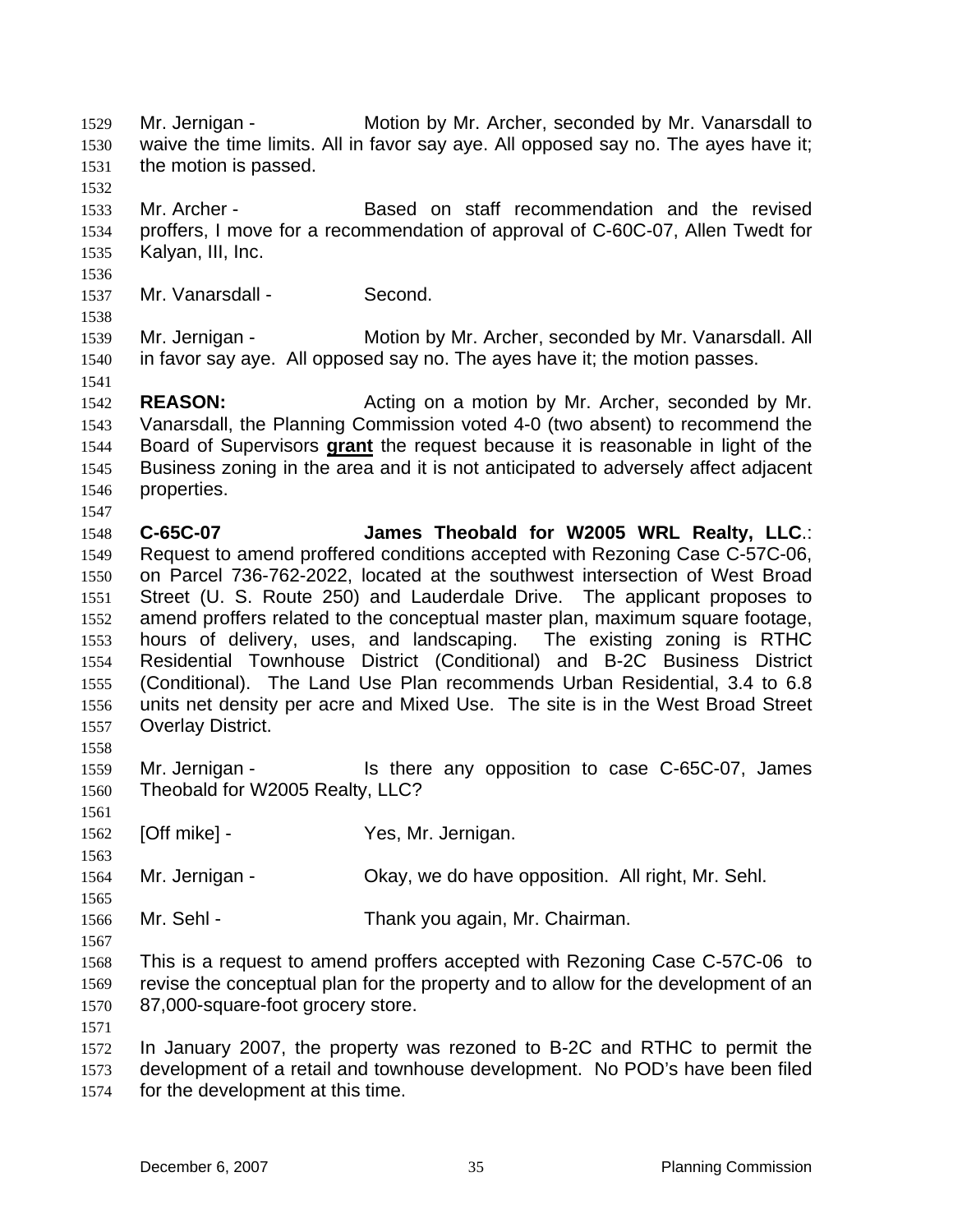Mr. Jernigan - Motion by Mr. Archer, seconded by Mr. Vanarsdall to waive the time limits. All in favor say aye. All opposed say no. The ayes have it; the motion is passed. 1529 1530 1531 1532 1533 1534 1535 1536 1537 1538 1539 1540 1541 1542 1543 Mr. Archer - Based on staff recommendation and the revised proffers, I move for a recommendation of approval of C-60C-07, Allen Twedt for Kalyan, III, Inc. Mr. Vanarsdall - Second. Mr. Jernigan - Motion by Mr. Archer, seconded by Mr. Vanarsdall. All in favor say aye. All opposed say no. The ayes have it; the motion passes. **REASON:** Acting on a motion by Mr. Archer, seconded by Mr. Vanarsdall, the Planning Commission voted 4-0 (two absent) to recommend the Board of Supervisors **grant** the request because it is reasonable in light of the Business zoning in the area and it is not anticipated to adversely affect adjacent properties. 1544 1545 1546 1547 1548 1549 1550 1551 1552 1553 1554 1555 1556 1557 1558 1559 1560 1561 1562 1563 1564 1565 1566 1567 1568 1569 1570 1571 1572 1573 **C-65C-07 James Theobald for W2005 WRL Realty, LLC**.: Request to amend proffered conditions accepted with Rezoning Case C-57C-06, on Parcel 736-762-2022, located at the southwest intersection of West Broad Street (U. S. Route 250) and Lauderdale Drive. The applicant proposes to amend proffers related to the conceptual master plan, maximum square footage, hours of delivery, uses, and landscaping. The existing zoning is RTHC hours of delivery, uses, and landscaping. Residential Townhouse District (Conditional) and B-2C Business District (Conditional). The Land Use Plan recommends Urban Residential, 3.4 to 6.8 units net density per acre and Mixed Use. The site is in the West Broad Street Overlay District. Mr. Jernigan - Is there any opposition to case C-65C-07, James Theobald for W2005 Realty, LLC? [Off mike] - Yes, Mr. Jernigan. Mr. Jernigan - Okay, we do have opposition. All right, Mr. Sehl. Mr. Sehl - Thank you again, Mr. Chairman. This is a request to amend proffers accepted with Rezoning Case C-57C-06 to revise the conceptual plan for the property and to allow for the development of an 87,000-square-foot grocery store. In January 2007, the property was rezoned to B-2C and RTHC to permit the development of a retail and townhouse development. No POD's have been filed

1574 for the development at this time.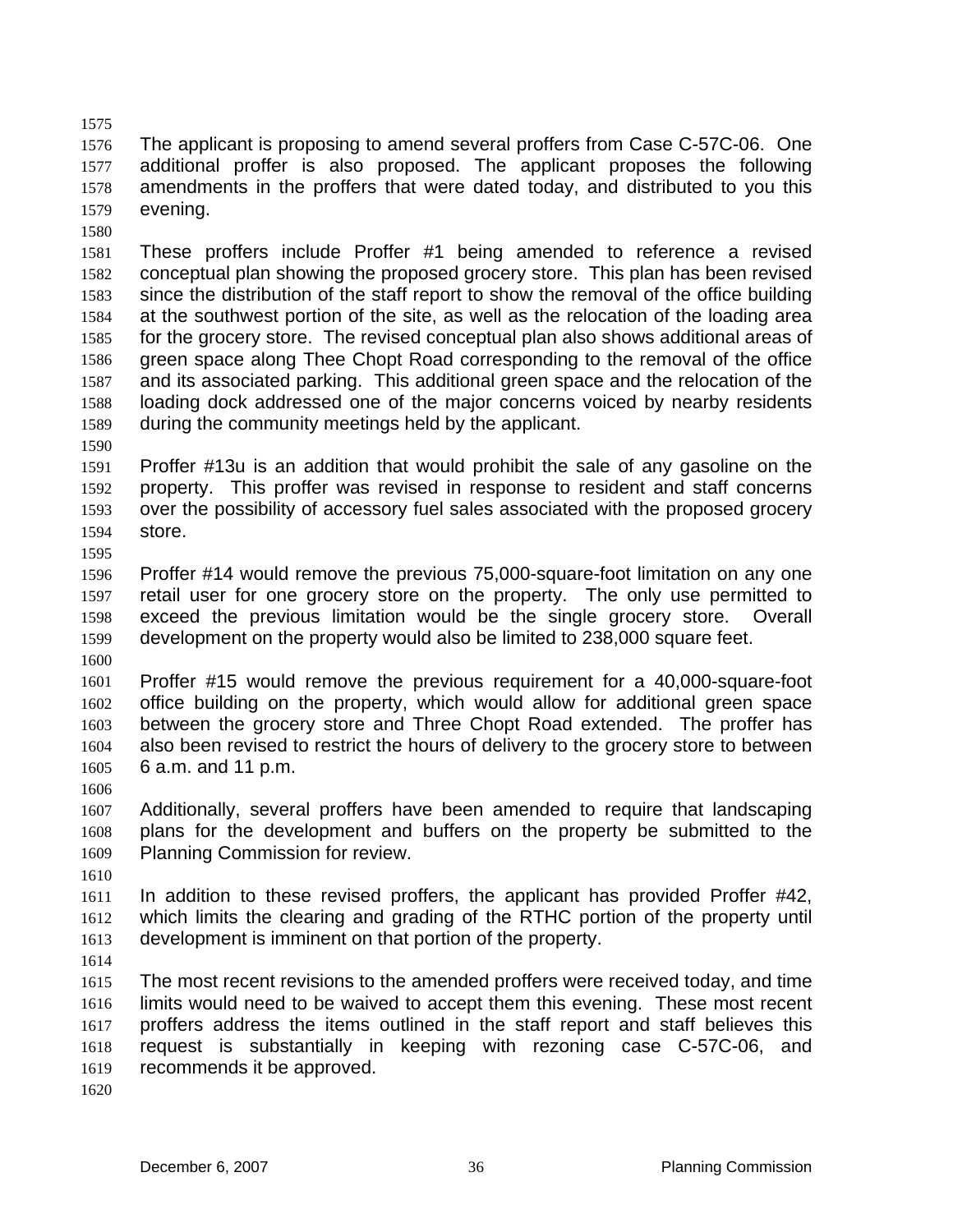1576 1577 1578 1579 The applicant is proposing to amend several proffers from Case C-57C-06. One additional proffer is also proposed. The applicant proposes the following amendments in the proffers that were dated today, and distributed to you this evening.

1580

1575

1581 1582 1583 1584 1585 1586 1587 1588 1589 These proffers include Proffer #1 being amended to reference a revised conceptual plan showing the proposed grocery store. This plan has been revised since the distribution of the staff report to show the removal of the office building at the southwest portion of the site, as well as the relocation of the loading area for the grocery store. The revised conceptual plan also shows additional areas of green space along Thee Chopt Road corresponding to the removal of the office and its associated parking. This additional green space and the relocation of the loading dock addressed one of the major concerns voiced by nearby residents during the community meetings held by the applicant.

1590

1595

1591 1592 1593 1594 Proffer #13u is an addition that would prohibit the sale of any gasoline on the property. This proffer was revised in response to resident and staff concerns over the possibility of accessory fuel sales associated with the proposed grocery store.

1596 1597 1598 1599 Proffer #14 would remove the previous 75,000-square-foot limitation on any one retail user for one grocery store on the property. The only use permitted to exceed the previous limitation would be the single grocery store. Overall development on the property would also be limited to 238,000 square feet.

1600

1601 1602 1603 1604 1605 Proffer #15 would remove the previous requirement for a 40,000-square-foot office building on the property, which would allow for additional green space between the grocery store and Three Chopt Road extended. The proffer has also been revised to restrict the hours of delivery to the grocery store to between 6 a.m. and 11 p.m.

1606

1607 1608 1609 Additionally, several proffers have been amended to require that landscaping plans for the development and buffers on the property be submitted to the Planning Commission for review.

1610

1611 1612 1613 In addition to these revised proffers, the applicant has provided Proffer #42, which limits the clearing and grading of the RTHC portion of the property until development is imminent on that portion of the property.

1614

1615 1616 1617 1618 1619 The most recent revisions to the amended proffers were received today, and time limits would need to be waived to accept them this evening. These most recent proffers address the items outlined in the staff report and staff believes this request is substantially in keeping with rezoning case C-57C-06, and recommends it be approved.

1620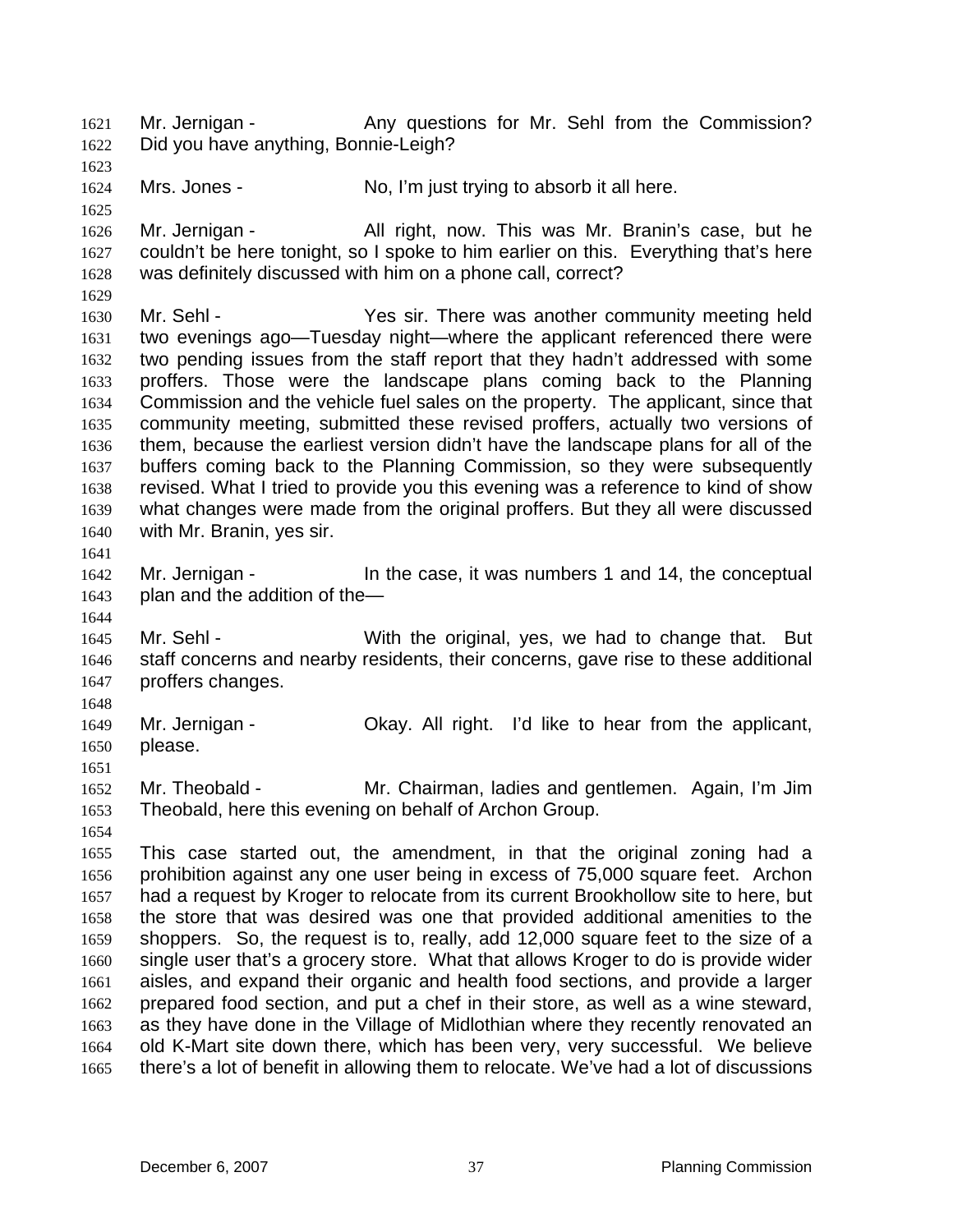Mr. Jernigan - The Any questions for Mr. Sehl from the Commission? Did you have anything, Bonnie-Leigh? 1621 1622

1624 Mrs. Jones - No, I'm just trying to absorb it all here.

1626 1627 1628 Mr. Jernigan - All right, now. This was Mr. Branin's case, but he couldn't be here tonight, so I spoke to him earlier on this. Everything that's here was definitely discussed with him on a phone call, correct?

1630 1631 1632 1633 1634 1635 1636 1637 1638 1639 1640 Mr. Sehl - Yes sir. There was another community meeting held two evenings ago—Tuesday night—where the applicant referenced there were two pending issues from the staff report that they hadn't addressed with some proffers. Those were the landscape plans coming back to the Planning Commission and the vehicle fuel sales on the property. The applicant, since that community meeting, submitted these revised proffers, actually two versions of them, because the earliest version didn't have the landscape plans for all of the buffers coming back to the Planning Commission, so they were subsequently revised. What I tried to provide you this evening was a reference to kind of show what changes were made from the original proffers. But they all were discussed with Mr. Branin, yes sir.

1641

1644

1623

1625

1629

1642 1643 Mr. Jernigan - The case, it was numbers 1 and 14, the conceptual plan and the addition of the—

1645 1646 1647 Mr. Sehl - With the original, yes, we had to change that. But staff concerns and nearby residents, their concerns, gave rise to these additional proffers changes.

1648

1654

1649 1650 1651 Mr. Jernigan - Ckay. All right. I'd like to hear from the applicant, please.

1652 1653 Mr. Theobald - Mr. Chairman, ladies and gentlemen. Again, I'm Jim Theobald, here this evening on behalf of Archon Group.

1655 1656 1657 1658 1659 1660 1661 1662 1663 1664 1665 This case started out, the amendment, in that the original zoning had a prohibition against any one user being in excess of 75,000 square feet. Archon had a request by Kroger to relocate from its current Brookhollow site to here, but the store that was desired was one that provided additional amenities to the shoppers. So, the request is to, really, add 12,000 square feet to the size of a single user that's a grocery store. What that allows Kroger to do is provide wider aisles, and expand their organic and health food sections, and provide a larger prepared food section, and put a chef in their store, as well as a wine steward, as they have done in the Village of Midlothian where they recently renovated an old K-Mart site down there, which has been very, very successful. We believe there's a lot of benefit in allowing them to relocate. We've had a lot of discussions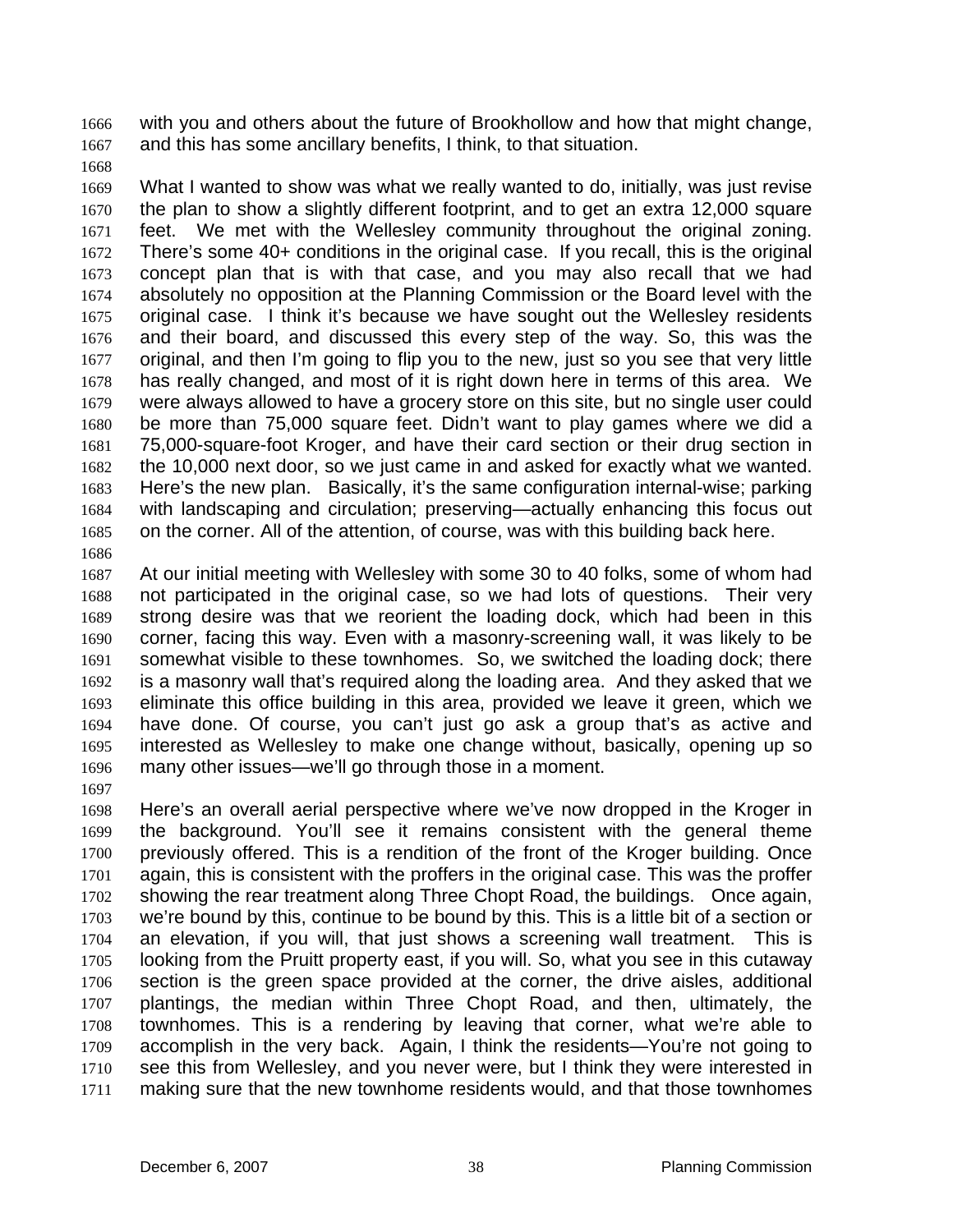with you and others about the future of Brookhollow and how that might change, and this has some ancillary benefits, I think, to that situation. 1666 1667

1668

1669 1670 1671 1672 1673 1674 1675 1676 1677 1678 1679 1680 1681 1682 1683 1684 1685 What I wanted to show was what we really wanted to do, initially, was just revise the plan to show a slightly different footprint, and to get an extra 12,000 square feet. We met with the Wellesley community throughout the original zoning. There's some 40+ conditions in the original case. If you recall, this is the original concept plan that is with that case, and you may also recall that we had absolutely no opposition at the Planning Commission or the Board level with the original case. I think it's because we have sought out the Wellesley residents and their board, and discussed this every step of the way. So, this was the original, and then I'm going to flip you to the new, just so you see that very little has really changed, and most of it is right down here in terms of this area. We were always allowed to have a grocery store on this site, but no single user could be more than 75,000 square feet. Didn't want to play games where we did a 75,000-square-foot Kroger, and have their card section or their drug section in the 10,000 next door, so we just came in and asked for exactly what we wanted. Here's the new plan. Basically, it's the same configuration internal-wise; parking with landscaping and circulation; preserving—actually enhancing this focus out on the corner. All of the attention, of course, was with this building back here.

1686

1687 1688 1689 1690 1691 1692 1693 1694 1695 1696 At our initial meeting with Wellesley with some 30 to 40 folks, some of whom had not participated in the original case, so we had lots of questions. Their very strong desire was that we reorient the loading dock, which had been in this corner, facing this way. Even with a masonry-screening wall, it was likely to be somewhat visible to these townhomes. So, we switched the loading dock; there is a masonry wall that's required along the loading area. And they asked that we eliminate this office building in this area, provided we leave it green, which we have done. Of course, you can't just go ask a group that's as active and interested as Wellesley to make one change without, basically, opening up so many other issues—we'll go through those in a moment.

1697

1698 1699 1700 1701 1702 1703 1704 1705 1706 1707 1708 1709 1710 1711 Here's an overall aerial perspective where we've now dropped in the Kroger in the background. You'll see it remains consistent with the general theme previously offered. This is a rendition of the front of the Kroger building. Once again, this is consistent with the proffers in the original case. This was the proffer showing the rear treatment along Three Chopt Road, the buildings. Once again, we're bound by this, continue to be bound by this. This is a little bit of a section or an elevation, if you will, that just shows a screening wall treatment. This is looking from the Pruitt property east, if you will. So, what you see in this cutaway section is the green space provided at the corner, the drive aisles, additional plantings, the median within Three Chopt Road, and then, ultimately, the townhomes. This is a rendering by leaving that corner, what we're able to accomplish in the very back. Again, I think the residents—You're not going to see this from Wellesley, and you never were, but I think they were interested in making sure that the new townhome residents would, and that those townhomes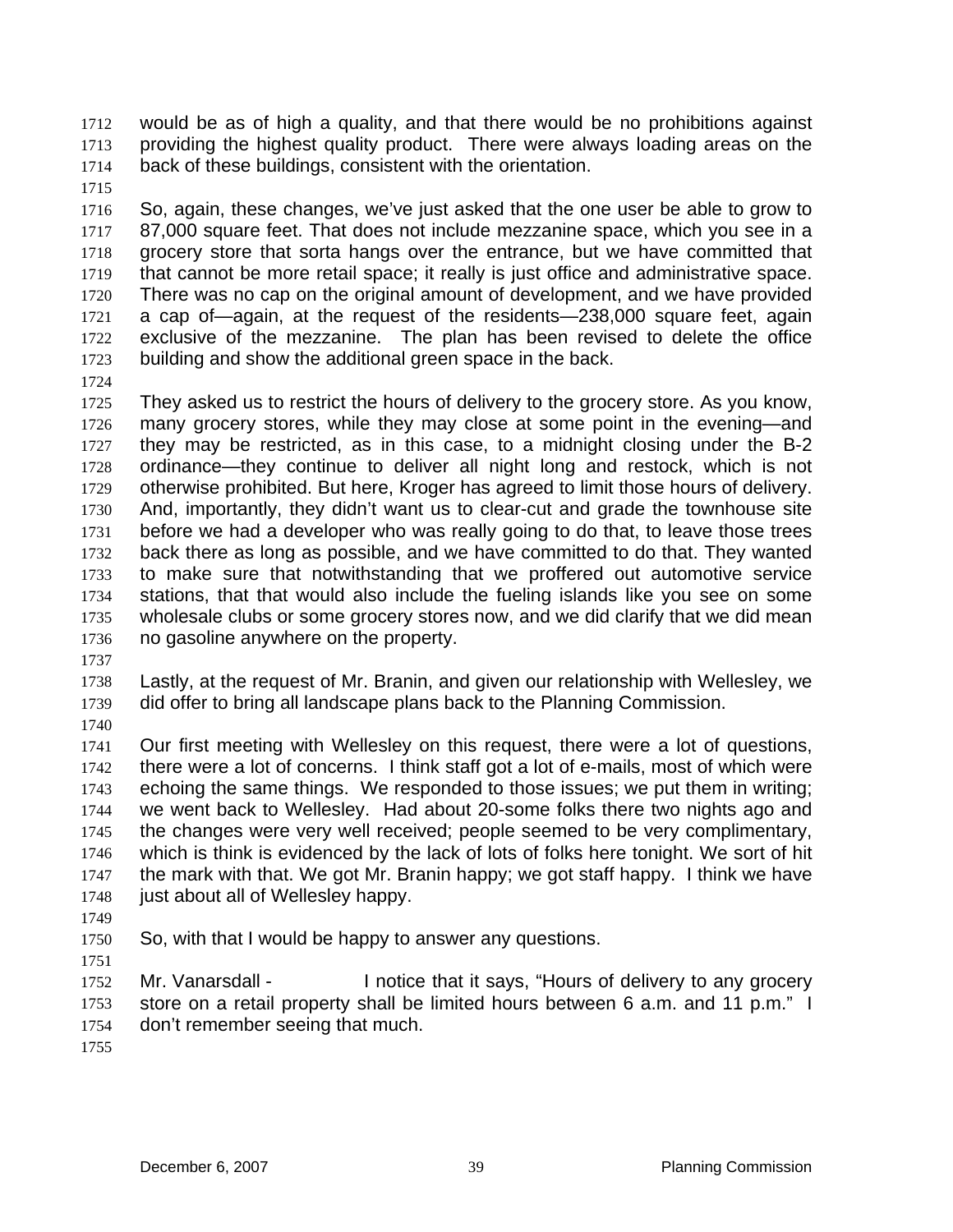would be as of high a quality, and that there would be no prohibitions against providing the highest quality product. There were always loading areas on the back of these buildings, consistent with the orientation. 1712 1713 1714

1715

1716 1717 1718 1719 1720 1721 1722 1723 So, again, these changes, we've just asked that the one user be able to grow to 87,000 square feet. That does not include mezzanine space, which you see in a grocery store that sorta hangs over the entrance, but we have committed that that cannot be more retail space; it really is just office and administrative space. There was no cap on the original amount of development, and we have provided a cap of—again, at the request of the residents—238,000 square feet, again exclusive of the mezzanine. The plan has been revised to delete the office building and show the additional green space in the back.

1724

1725 1726 1727 1728 1729 1730 1731 1732 1733 1734 1735 1736 They asked us to restrict the hours of delivery to the grocery store. As you know, many grocery stores, while they may close at some point in the evening—and they may be restricted, as in this case, to a midnight closing under the B-2 ordinance—they continue to deliver all night long and restock, which is not otherwise prohibited. But here, Kroger has agreed to limit those hours of delivery. And, importantly, they didn't want us to clear-cut and grade the townhouse site before we had a developer who was really going to do that, to leave those trees back there as long as possible, and we have committed to do that. They wanted to make sure that notwithstanding that we proffered out automotive service stations, that that would also include the fueling islands like you see on some wholesale clubs or some grocery stores now, and we did clarify that we did mean no gasoline anywhere on the property.

1737

1738 1739 Lastly, at the request of Mr. Branin, and given our relationship with Wellesley, we did offer to bring all landscape plans back to the Planning Commission.

1740

1741 1742 1743 1744 1745 1746 1747 1748 Our first meeting with Wellesley on this request, there were a lot of questions, there were a lot of concerns. I think staff got a lot of e-mails, most of which were echoing the same things. We responded to those issues; we put them in writing; we went back to Wellesley. Had about 20-some folks there two nights ago and the changes were very well received; people seemed to be very complimentary, which is think is evidenced by the lack of lots of folks here tonight. We sort of hit the mark with that. We got Mr. Branin happy; we got staff happy. I think we have just about all of Wellesley happy.

- 1749
- 1750 So, with that I would be happy to answer any questions.
- 1751

1752 1753 1754 Mr. Vanarsdall - I notice that it says, "Hours of delivery to any grocery store on a retail property shall be limited hours between 6 a.m. and 11 p.m." I don't remember seeing that much.

1755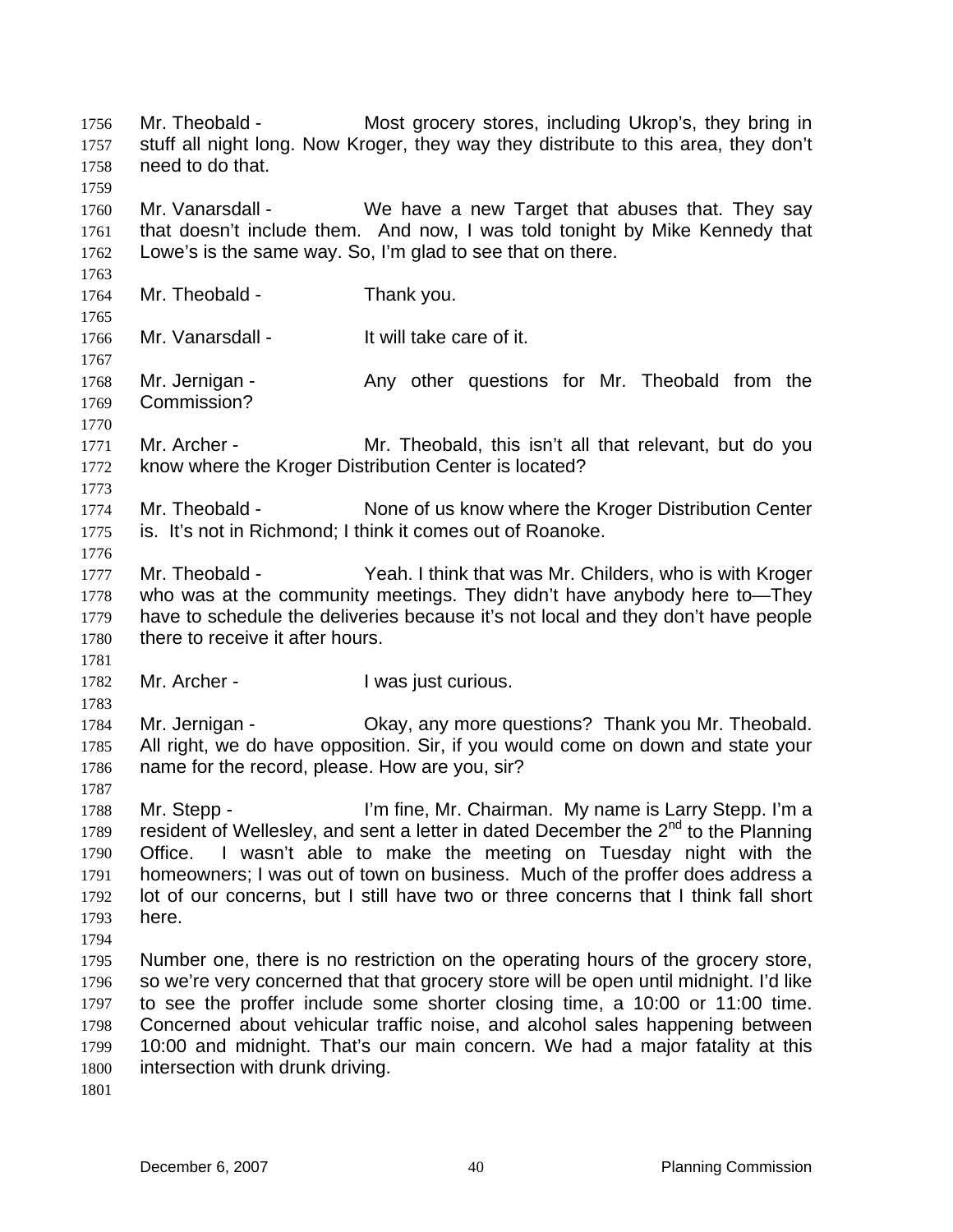Mr. Theobald - Most grocery stores, including Ukrop's, they bring in stuff all night long. Now Kroger, they way they distribute to this area, they don't need to do that. 1756 1757 1758 1759 1760 1761 1762 1763 1764 1765 1766 1767 1768 1769 1770 1771 1772 1773 1774 1775 1776 1777 1778 1779 1780 1781 1782 1783 1784 1785 1786 1787 1788 1789 1790 1791 1792 1793 1794 1795 1796 1797 1798 1799 1800 1801 Mr. Vanarsdall - We have a new Target that abuses that. They say that doesn't include them. And now, I was told tonight by Mike Kennedy that Lowe's is the same way. So, I'm glad to see that on there. Mr. Theobald - Thank you. Mr. Vanarsdall - The Unit will take care of it. Mr. Jernigan - Theobald from the Any other questions for Mr. Theobald from the Commission? Mr. Archer - Mr. Theobald, this isn't all that relevant, but do you know where the Kroger Distribution Center is located? Mr. Theobald - None of us know where the Kroger Distribution Center is. It's not in Richmond; I think it comes out of Roanoke. Mr. Theobald - Yeah. I think that was Mr. Childers, who is with Kroger who was at the community meetings. They didn't have anybody here to—They have to schedule the deliveries because it's not local and they don't have people there to receive it after hours. Mr. Archer - The Music Curious. Mr. Jernigan - Ckay, any more questions? Thank you Mr. Theobald. All right, we do have opposition. Sir, if you would come on down and state your name for the record, please. How are you, sir? Mr. Stepp - I'm fine, Mr. Chairman. My name is Larry Stepp. I'm a resident of Wellesley, and sent a letter in dated December the  $2<sup>nd</sup>$  to the Planning Office. I wasn't able to make the meeting on Tuesday night with the homeowners; I was out of town on business. Much of the proffer does address a lot of our concerns, but I still have two or three concerns that I think fall short here. Number one, there is no restriction on the operating hours of the grocery store, so we're very concerned that that grocery store will be open until midnight. I'd like to see the proffer include some shorter closing time, a 10:00 or 11:00 time. Concerned about vehicular traffic noise, and alcohol sales happening between 10:00 and midnight. That's our main concern. We had a major fatality at this intersection with drunk driving.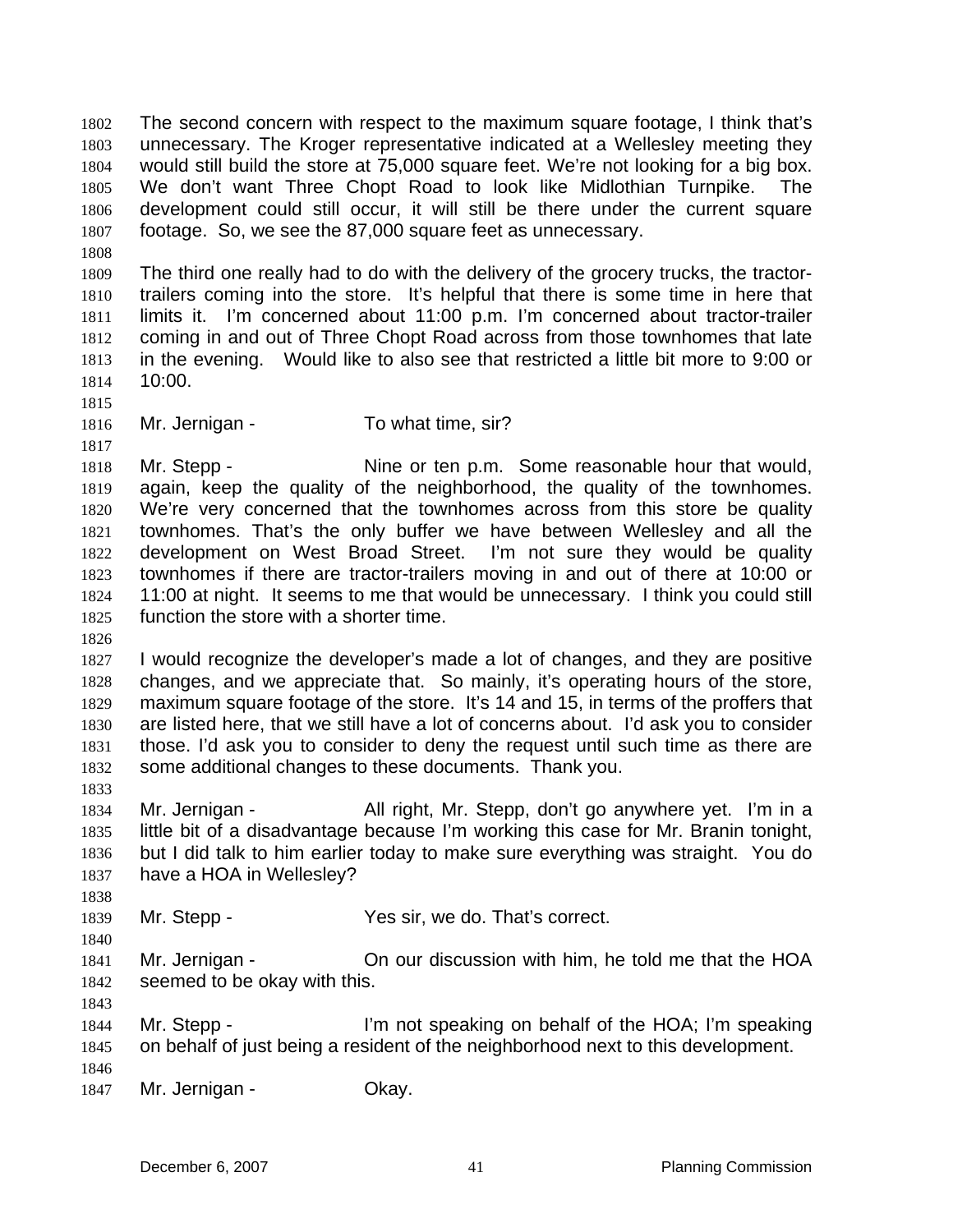The second concern with respect to the maximum square footage, I think that's unnecessary. The Kroger representative indicated at a Wellesley meeting they would still build the store at 75,000 square feet. We're not looking for a big box. We don't want Three Chopt Road to look like Midlothian Turnpike. The development could still occur, it will still be there under the current square footage. So, we see the 87,000 square feet as unnecessary. 1802 1803 1804 1805 1806 1807

1809 1810 1811 1812 1813 1814 The third one really had to do with the delivery of the grocery trucks, the tractortrailers coming into the store. It's helpful that there is some time in here that limits it. I'm concerned about 11:00 p.m. I'm concerned about tractor-trailer coming in and out of Three Chopt Road across from those townhomes that late in the evening. Would like to also see that restricted a little bit more to 9:00 or 10:00.

1815

1817

1808

- 1816
- Mr. Jernigan To what time, sir?

1818 1819 1820 1821 1822 1823 1824 1825 Mr. Stepp - Nine or ten p.m. Some reasonable hour that would, again, keep the quality of the neighborhood, the quality of the townhomes. We're very concerned that the townhomes across from this store be quality townhomes. That's the only buffer we have between Wellesley and all the development on West Broad Street. I'm not sure they would be quality townhomes if there are tractor-trailers moving in and out of there at 10:00 or 11:00 at night. It seems to me that would be unnecessary. I think you could still function the store with a shorter time.

1826

1833

1838

1840

1827 1828 1829 1830 1831 1832 I would recognize the developer's made a lot of changes, and they are positive changes, and we appreciate that. So mainly, it's operating hours of the store, maximum square footage of the store. It's 14 and 15, in terms of the proffers that are listed here, that we still have a lot of concerns about. I'd ask you to consider those. I'd ask you to consider to deny the request until such time as there are some additional changes to these documents. Thank you.

1834 1835 1836 1837 Mr. Jernigan - All right, Mr. Stepp, don't go anywhere yet. I'm in a little bit of a disadvantage because I'm working this case for Mr. Branin tonight, but I did talk to him earlier today to make sure everything was straight. You do have a HOA in Wellesley?

1839 Mr. Stepp - Yes sir, we do. That's correct.

1841 1842 Mr. Jernigan - Chour discussion with him, he told me that the HOA seemed to be okay with this.

1843

1844 1845 1846 Mr. Stepp - I'm not speaking on behalf of the HOA; I'm speaking on behalf of just being a resident of the neighborhood next to this development.

1847 Mr. Jernigan - **Okay.**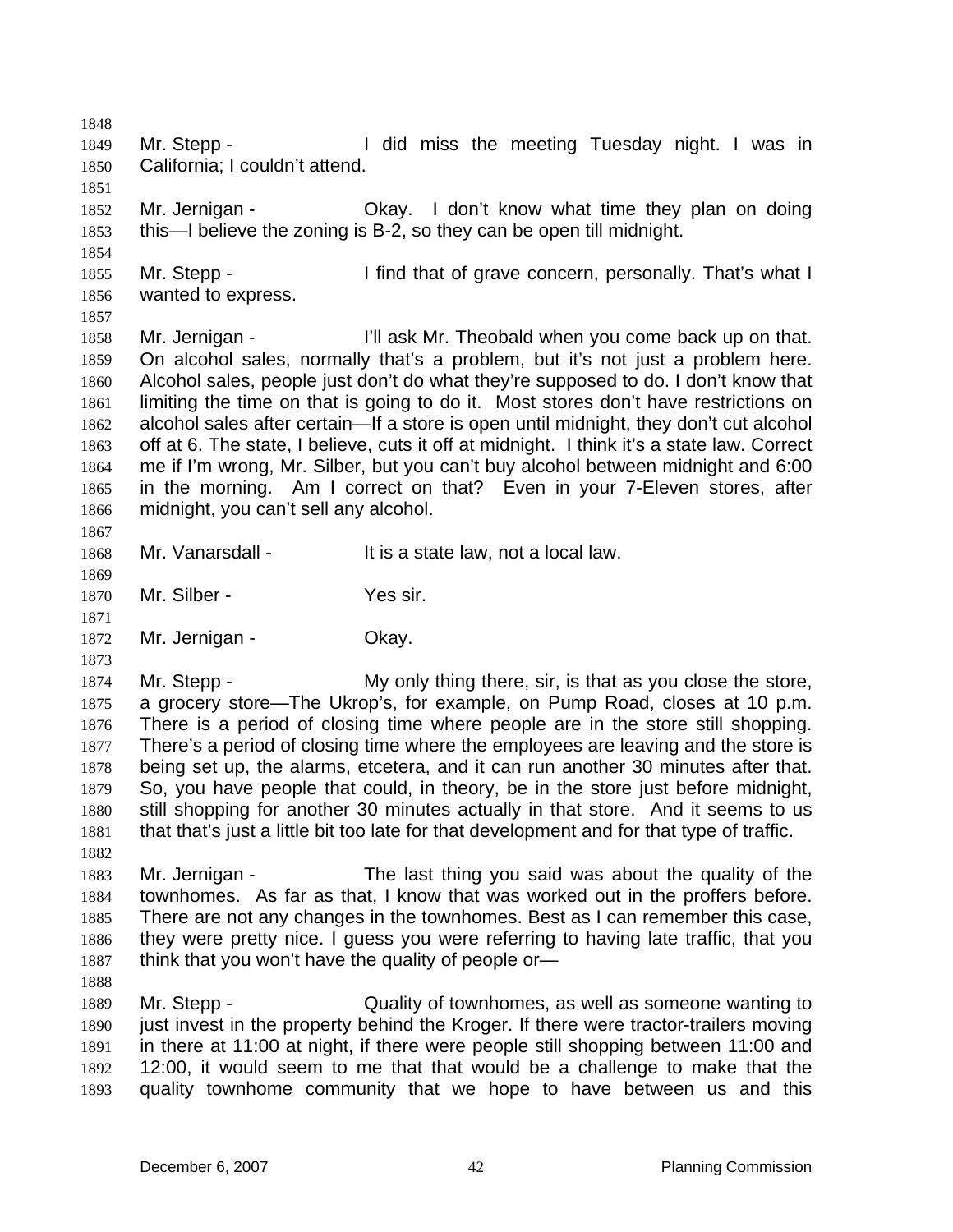1848 1849 1850 1851 1852 1853 1854 1855 1856 1857 1858 1859 1860 1861 1862 1863 1864 1865 1866 1867 1868 1869 1870 1871 1872 1873 1874 1875 1876 1877 1878 1879 1880 1881 1882 1883 1884 1885 1886 1887 1888 1889 1890 1891 1892 1893 Mr. Stepp - The Music of I did miss the meeting Tuesday night. I was in California; I couldn't attend. Mr. Jernigan - Ckay. I don't know what time they plan on doing this—I believe the zoning is B-2, so they can be open till midnight. Mr. Stepp - I find that of grave concern, personally. That's what I wanted to express. Mr. Jernigan - Theorth I'll ask Mr. Theobald when you come back up on that. On alcohol sales, normally that's a problem, but it's not just a problem here. Alcohol sales, people just don't do what they're supposed to do. I don't know that limiting the time on that is going to do it. Most stores don't have restrictions on alcohol sales after certain—If a store is open until midnight, they don't cut alcohol off at 6. The state, I believe, cuts it off at midnight. I think it's a state law. Correct me if I'm wrong, Mr. Silber, but you can't buy alcohol between midnight and 6:00 in the morning. Am I correct on that? Even in your 7-Eleven stores, after midnight, you can't sell any alcohol. Mr. Vanarsdall - It is a state law, not a local law. Mr. Silber - Yes sir. Mr. Jernigan - **Okay.** Mr. Stepp - The My only thing there, sir, is that as you close the store, a grocery store—The Ukrop's, for example, on Pump Road, closes at 10 p.m. There is a period of closing time where people are in the store still shopping. There's a period of closing time where the employees are leaving and the store is being set up, the alarms, etcetera, and it can run another 30 minutes after that. So, you have people that could, in theory, be in the store just before midnight, still shopping for another 30 minutes actually in that store. And it seems to us that that's just a little bit too late for that development and for that type of traffic. Mr. Jernigan - The last thing you said was about the quality of the townhomes. As far as that, I know that was worked out in the proffers before. There are not any changes in the townhomes. Best as I can remember this case, they were pretty nice. I guess you were referring to having late traffic, that you think that you won't have the quality of people or— Mr. Stepp - Quality of townhomes, as well as someone wanting to just invest in the property behind the Kroger. If there were tractor-trailers moving in there at 11:00 at night, if there were people still shopping between 11:00 and 12:00, it would seem to me that that would be a challenge to make that the quality townhome community that we hope to have between us and this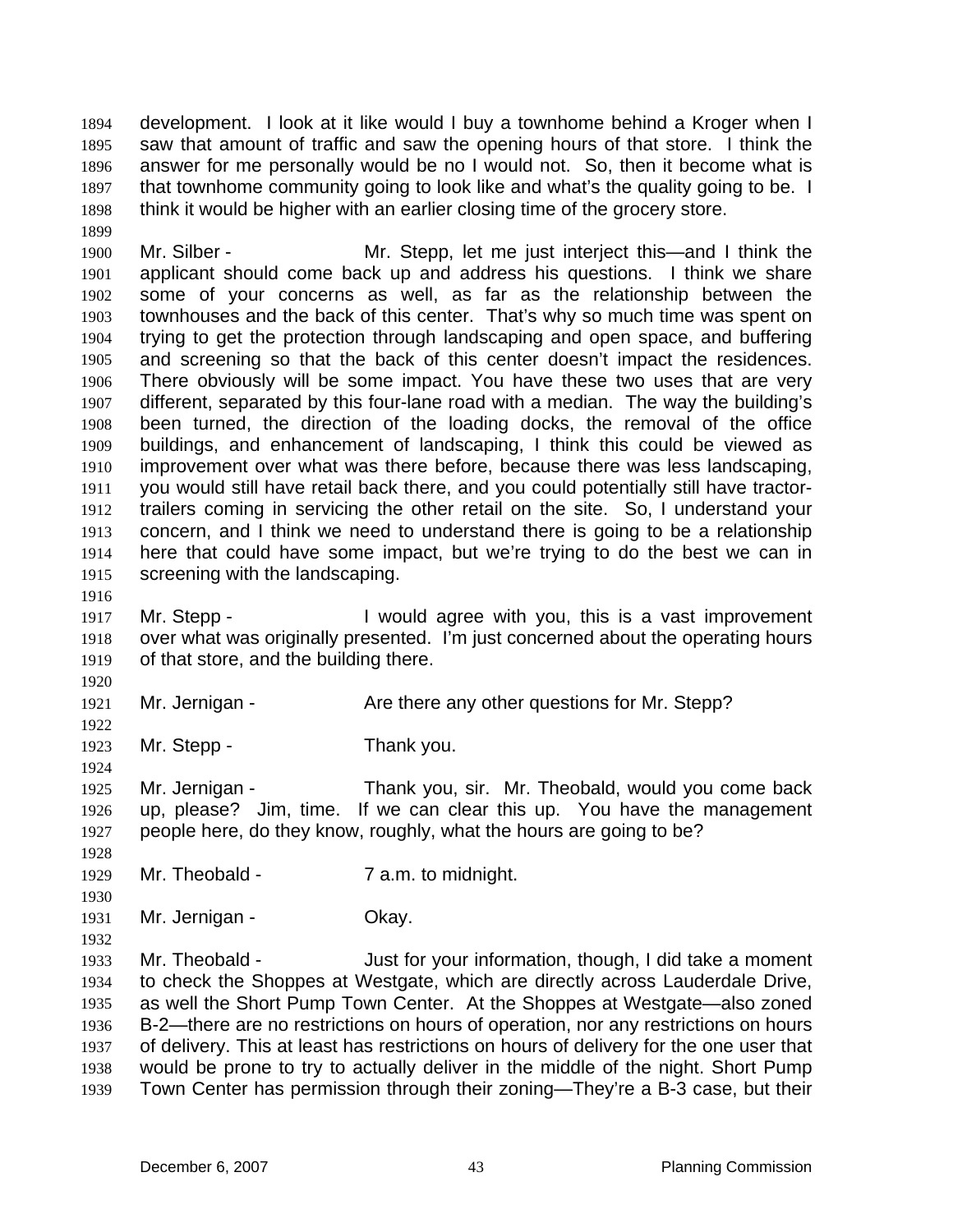development. I look at it like would I buy a townhome behind a Kroger when I saw that amount of traffic and saw the opening hours of that store. I think the answer for me personally would be no I would not. So, then it become what is that townhome community going to look like and what's the quality going to be. I think it would be higher with an earlier closing time of the grocery store. 1894 1895 1896 1897 1898

1900 1901 1902 1903 1904 1905 1906 1907 1908 1909 1910 1911 1912 1913 1914 1915 Mr. Silber - The Mr. Stepp, let me just interject this—and I think the applicant should come back up and address his questions. I think we share some of your concerns as well, as far as the relationship between the townhouses and the back of this center. That's why so much time was spent on trying to get the protection through landscaping and open space, and buffering and screening so that the back of this center doesn't impact the residences. There obviously will be some impact. You have these two uses that are very different, separated by this four-lane road with a median. The way the building's been turned, the direction of the loading docks, the removal of the office buildings, and enhancement of landscaping, I think this could be viewed as improvement over what was there before, because there was less landscaping, you would still have retail back there, and you could potentially still have tractortrailers coming in servicing the other retail on the site. So, I understand your concern, and I think we need to understand there is going to be a relationship here that could have some impact, but we're trying to do the best we can in screening with the landscaping.

1916

1920

1922

1924

1928

1930

1932

1899

1917 1918 1919 Mr. Stepp - The U would agree with you, this is a vast improvement over what was originally presented. I'm just concerned about the operating hours of that store, and the building there.

1921 Mr. Jernigan - The Are there any other questions for Mr. Stepp?

1923 Mr. Stepp - Thank you.

1925 1926 1927 Mr. Jernigan - Thank you, sir. Mr. Theobald, would you come back up, please? Jim, time. If we can clear this up. You have the management people here, do they know, roughly, what the hours are going to be?

1929 Mr. Theobald - 7 a.m. to midnight.

1931 Mr. Jernigan - **Okay.** 

1933 1934 1935 1936 1937 1938 1939 Mr. Theobald - Just for your information, though, I did take a moment to check the Shoppes at Westgate, which are directly across Lauderdale Drive, as well the Short Pump Town Center. At the Shoppes at Westgate—also zoned B-2—there are no restrictions on hours of operation, nor any restrictions on hours of delivery. This at least has restrictions on hours of delivery for the one user that would be prone to try to actually deliver in the middle of the night. Short Pump Town Center has permission through their zoning—They're a B-3 case, but their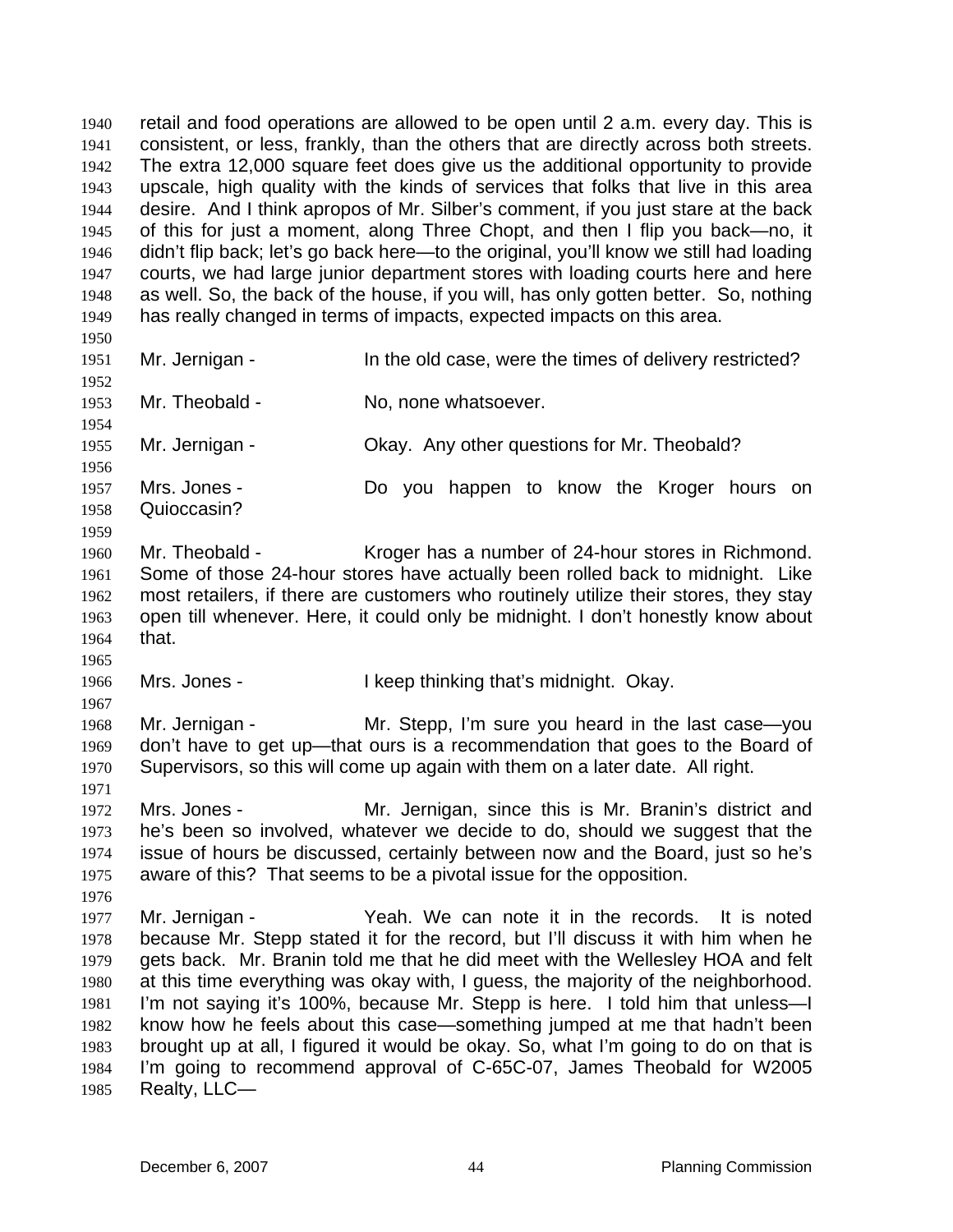retail and food operations are allowed to be open until 2 a.m. every day. This is consistent, or less, frankly, than the others that are directly across both streets. The extra 12,000 square feet does give us the additional opportunity to provide upscale, high quality with the kinds of services that folks that live in this area desire. And I think apropos of Mr. Silber's comment, if you just stare at the back of this for just a moment, along Three Chopt, and then I flip you back—no, it didn't flip back; let's go back here—to the original, you'll know we still had loading courts, we had large junior department stores with loading courts here and here as well. So, the back of the house, if you will, has only gotten better. So, nothing has really changed in terms of impacts, expected impacts on this area. 1940 1941 1942 1943 1944 1945 1946 1947 1948 1949 1950 1951 1952 1953 1954 1955 1956 1957 1958 1959 1960 1961 1962 1963 1964 1965 1966 1967 1968 1969 1970 1971 1972 1973 1974 1975 1976 1977 1978 1979 1980 1981 1982 1983 1984 1985 Mr. Jernigan - In the old case, were the times of delivery restricted? Mr. Theobald - No, none whatsoever. Mr. Jernigan - Ckay. Any other questions for Mr. Theobald? Mrs. Jones - The State Do you happen to know the Kroger hours on Quioccasin? Mr. Theobald - Kroger has a number of 24-hour stores in Richmond. Some of those 24-hour stores have actually been rolled back to midnight. Like most retailers, if there are customers who routinely utilize their stores, they stay open till whenever. Here, it could only be midnight. I don't honestly know about that. Mrs. Jones - The Muslim Like and I keep thinking that's midnight. Okay. Mr. Jernigan - Mr. Stepp, I'm sure you heard in the last case—you don't have to get up—that ours is a recommendation that goes to the Board of Supervisors, so this will come up again with them on a later date. All right. Mrs. Jones - Mr. Jernigan, since this is Mr. Branin's district and he's been so involved, whatever we decide to do, should we suggest that the issue of hours be discussed, certainly between now and the Board, just so he's aware of this? That seems to be a pivotal issue for the opposition. Mr. Jernigan - Yeah. We can note it in the records. It is noted because Mr. Stepp stated it for the record, but I'll discuss it with him when he gets back. Mr. Branin told me that he did meet with the Wellesley HOA and felt at this time everything was okay with, I guess, the majority of the neighborhood. I'm not saying it's 100%, because Mr. Stepp is here. I told him that unless—I know how he feels about this case—something jumped at me that hadn't been brought up at all, I figured it would be okay. So, what I'm going to do on that is I'm going to recommend approval of C-65C-07, James Theobald for W2005 Realty, LLC—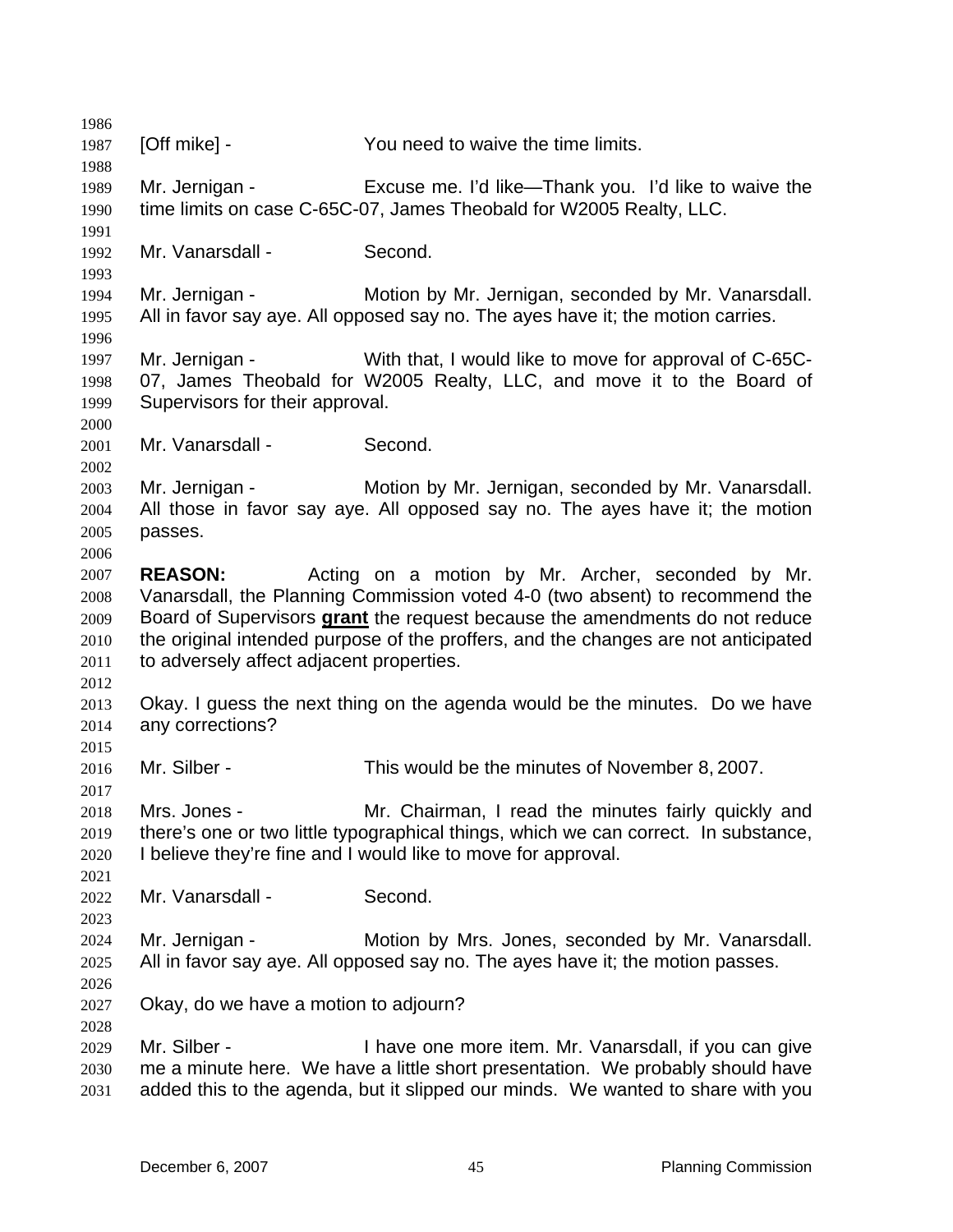1986 1987 1988 1989 1990 1991 1992 1993 1994 1995 1996 1997 1998 1999 2000 2001 2002 2003 2004 2005 2006 2007 2008 [Off mike] - You need to waive the time limits. Mr. Jernigan - Excuse me. I'd like—Thank you. I'd like to waive the time limits on case C-65C-07, James Theobald for W2005 Realty, LLC. Mr. Vanarsdall - Second. Mr. Jernigan - **Motion by Mr. Jernigan, seconded by Mr. Vanarsdall.** All in favor say aye. All opposed say no. The ayes have it; the motion carries. Mr. Jernigan - With that, I would like to move for approval of C-65C-07, James Theobald for W2005 Realty, LLC, and move it to the Board of Supervisors for their approval. Mr. Vanarsdall - Second. Mr. Jernigan - **Motion by Mr. Jernigan, seconded by Mr. Vanarsdall.** All those in favor say aye. All opposed say no. The ayes have it; the motion passes. **REASON:** Acting on a motion by Mr. Archer, seconded by Mr. Vanarsdall, the Planning Commission voted 4-0 (two absent) to recommend the Board of Supervisors **grant** the request because the amendments do not reduce the original intended purpose of the proffers, and the changes are not anticipated to adversely affect adjacent properties. 2009 2010 2011 2012 2013 2014 2015 2016 2017 2018 2019 2020 2021 2022 2023 2024 2025 2026 2027 2028 2029 2030 2031 Okay. I guess the next thing on the agenda would be the minutes. Do we have any corrections? Mr. Silber - This would be the minutes of November 8, 2007. Mrs. Jones - Mr. Chairman, I read the minutes fairly quickly and there's one or two little typographical things, which we can correct. In substance, I believe they're fine and I would like to move for approval. Mr. Vanarsdall - Second. Mr. Jernigan - Motion by Mrs. Jones, seconded by Mr. Vanarsdall. All in favor say aye. All opposed say no. The ayes have it; the motion passes. Okay, do we have a motion to adjourn? Mr. Silber - The Sulf of the Mr. Vanarsdall, if you can give me a minute here. We have a little short presentation. We probably should have added this to the agenda, but it slipped our minds. We wanted to share with you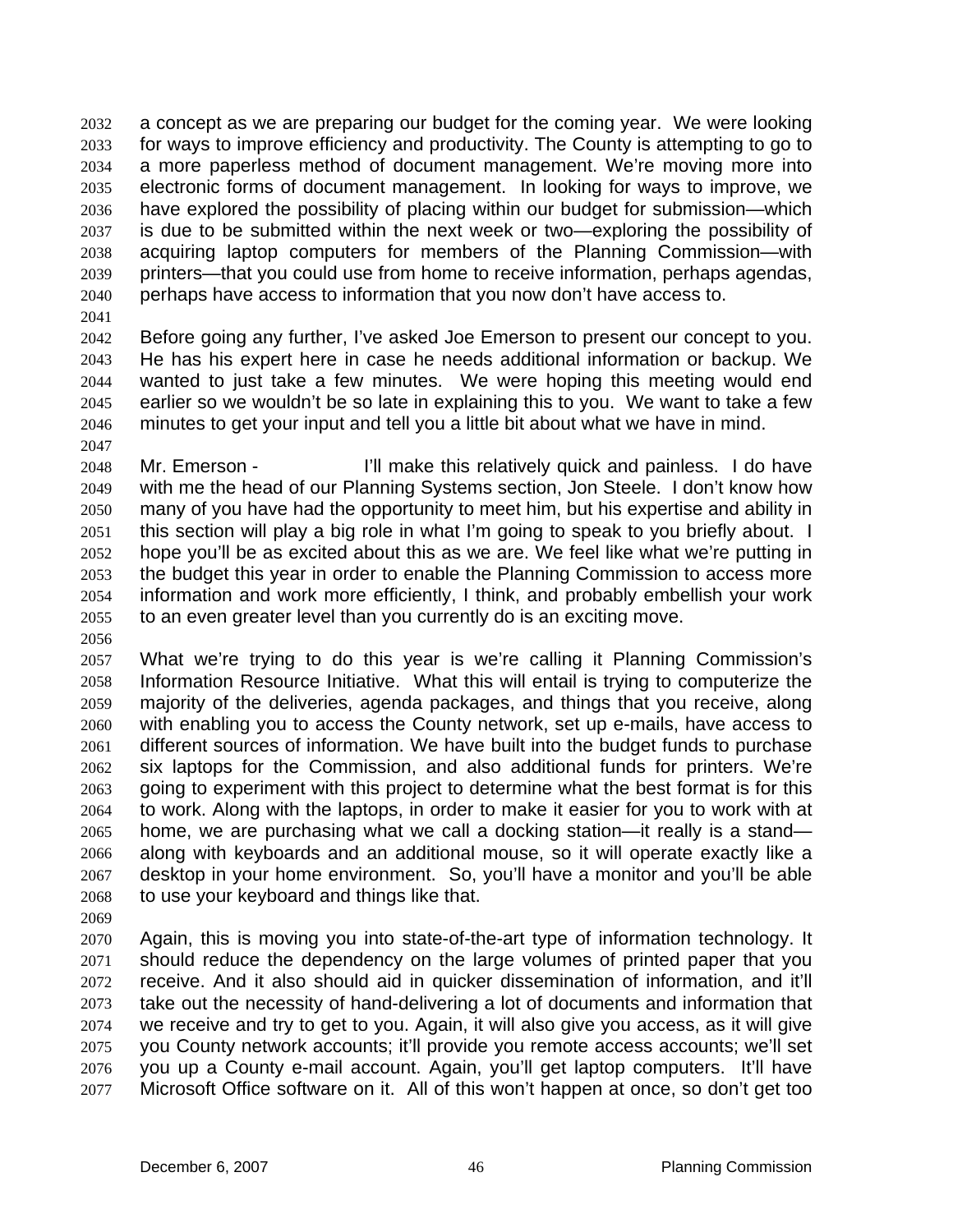a concept as we are preparing our budget for the coming year. We were looking for ways to improve efficiency and productivity. The County is attempting to go to a more paperless method of document management. We're moving more into electronic forms of document management. In looking for ways to improve, we have explored the possibility of placing within our budget for submission—which is due to be submitted within the next week or two—exploring the possibility of acquiring laptop computers for members of the Planning Commission—with printers—that you could use from home to receive information, perhaps agendas, perhaps have access to information that you now don't have access to. 2032 2033 2034 2035 2036 2037 2038 2039 2040

2041

2047

2042 2043 2044 2045 2046 Before going any further, I've asked Joe Emerson to present our concept to you. He has his expert here in case he needs additional information or backup. We wanted to just take a few minutes. We were hoping this meeting would end earlier so we wouldn't be so late in explaining this to you. We want to take a few minutes to get your input and tell you a little bit about what we have in mind.

2048 2049 2050 2051 2052 2053 2054 2055 Mr. Emerson - The I'll make this relatively quick and painless. I do have with me the head of our Planning Systems section, Jon Steele. I don't know how many of you have had the opportunity to meet him, but his expertise and ability in this section will play a big role in what I'm going to speak to you briefly about. I hope you'll be as excited about this as we are. We feel like what we're putting in the budget this year in order to enable the Planning Commission to access more information and work more efficiently, I think, and probably embellish your work to an even greater level than you currently do is an exciting move.

2056

2057 2058 2059 2060 2061 2062 2063 2064 2065 2066 2067 2068 What we're trying to do this year is we're calling it Planning Commission's Information Resource Initiative. What this will entail is trying to computerize the majority of the deliveries, agenda packages, and things that you receive, along with enabling you to access the County network, set up e-mails, have access to different sources of information. We have built into the budget funds to purchase six laptops for the Commission, and also additional funds for printers. We're going to experiment with this project to determine what the best format is for this to work. Along with the laptops, in order to make it easier for you to work with at home, we are purchasing what we call a docking station—it really is a stand along with keyboards and an additional mouse, so it will operate exactly like a desktop in your home environment. So, you'll have a monitor and you'll be able to use your keyboard and things like that.

2069

2070 2071 2072 2073 2074 2075 2076 2077 Again, this is moving you into state-of-the-art type of information technology. It should reduce the dependency on the large volumes of printed paper that you receive. And it also should aid in quicker dissemination of information, and it'll take out the necessity of hand-delivering a lot of documents and information that we receive and try to get to you. Again, it will also give you access, as it will give you County network accounts; it'll provide you remote access accounts; we'll set you up a County e-mail account. Again, you'll get laptop computers. It'll have Microsoft Office software on it. All of this won't happen at once, so don't get too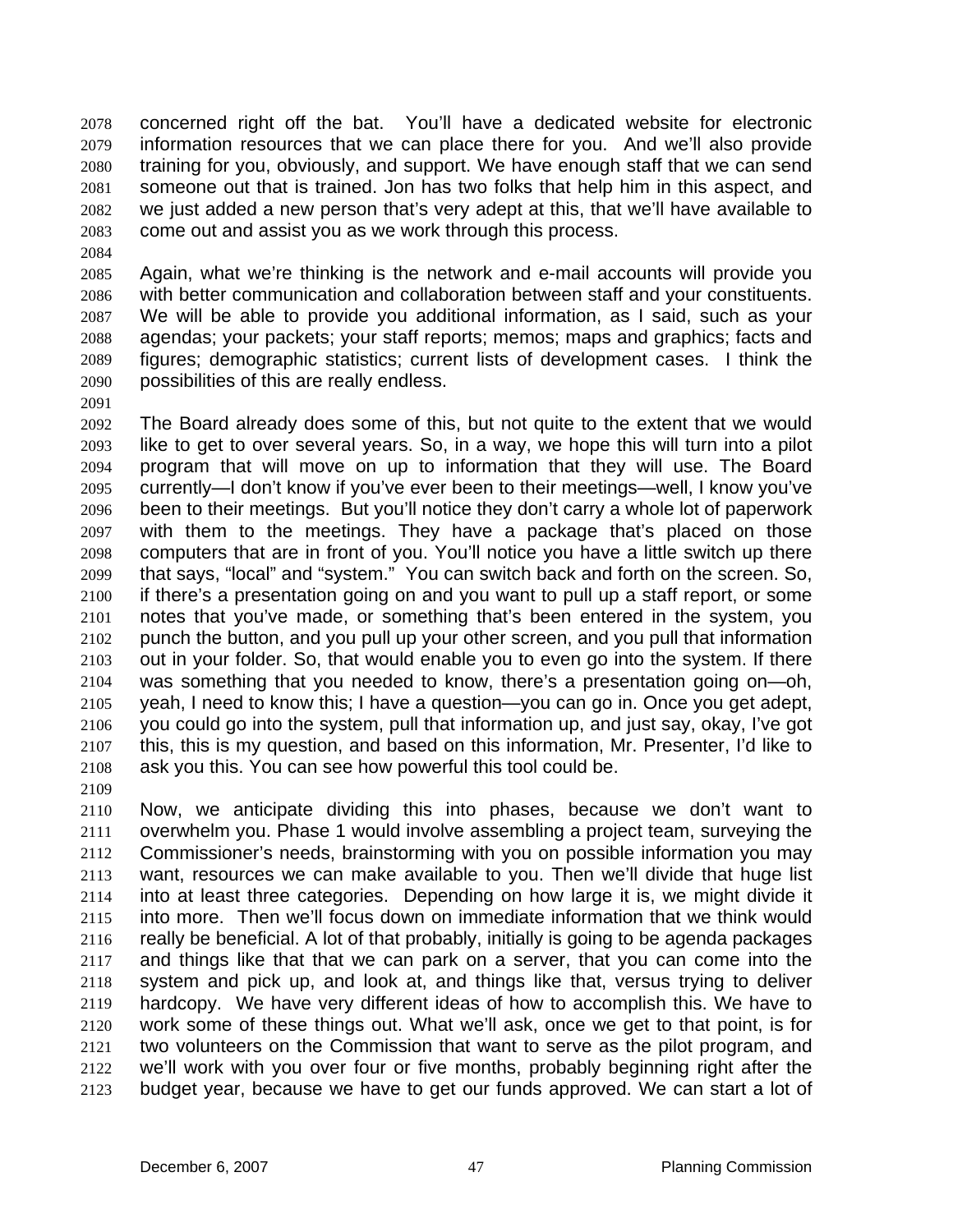concerned right off the bat. You'll have a dedicated website for electronic information resources that we can place there for you. And we'll also provide training for you, obviously, and support. We have enough staff that we can send someone out that is trained. Jon has two folks that help him in this aspect, and we just added a new person that's very adept at this, that we'll have available to come out and assist you as we work through this process. 2078 2079 2080 2081 2082 2083

2085 2086 2087 2088 2089 2090 Again, what we're thinking is the network and e-mail accounts will provide you with better communication and collaboration between staff and your constituents. We will be able to provide you additional information, as I said, such as your agendas; your packets; your staff reports; memos; maps and graphics; facts and figures; demographic statistics; current lists of development cases. I think the possibilities of this are really endless.

2091

2084

2092 2093 2094 2095 2096 2097 2098 2099 2100 2101 2102 2103 2104 2105 2106 2107 2108 2109 The Board already does some of this, but not quite to the extent that we would like to get to over several years. So, in a way, we hope this will turn into a pilot program that will move on up to information that they will use. The Board currently—I don't know if you've ever been to their meetings—well, I know you've been to their meetings. But you'll notice they don't carry a whole lot of paperwork with them to the meetings. They have a package that's placed on those computers that are in front of you. You'll notice you have a little switch up there that says, "local" and "system." You can switch back and forth on the screen. So, if there's a presentation going on and you want to pull up a staff report, or some notes that you've made, or something that's been entered in the system, you punch the button, and you pull up your other screen, and you pull that information out in your folder. So, that would enable you to even go into the system. If there was something that you needed to know, there's a presentation going on—oh, yeah, I need to know this; I have a question—you can go in. Once you get adept, you could go into the system, pull that information up, and just say, okay, I've got this, this is my question, and based on this information, Mr. Presenter, I'd like to ask you this. You can see how powerful this tool could be.

2110 2111 2112 2113 2114 2115 2116 2117 2118 2119 2120 2121 2122 2123 Now, we anticipate dividing this into phases, because we don't want to overwhelm you. Phase 1 would involve assembling a project team, surveying the Commissioner's needs, brainstorming with you on possible information you may want, resources we can make available to you. Then we'll divide that huge list into at least three categories. Depending on how large it is, we might divide it into more. Then we'll focus down on immediate information that we think would really be beneficial. A lot of that probably, initially is going to be agenda packages and things like that that we can park on a server, that you can come into the system and pick up, and look at, and things like that, versus trying to deliver hardcopy. We have very different ideas of how to accomplish this. We have to work some of these things out. What we'll ask, once we get to that point, is for two volunteers on the Commission that want to serve as the pilot program, and we'll work with you over four or five months, probably beginning right after the budget year, because we have to get our funds approved. We can start a lot of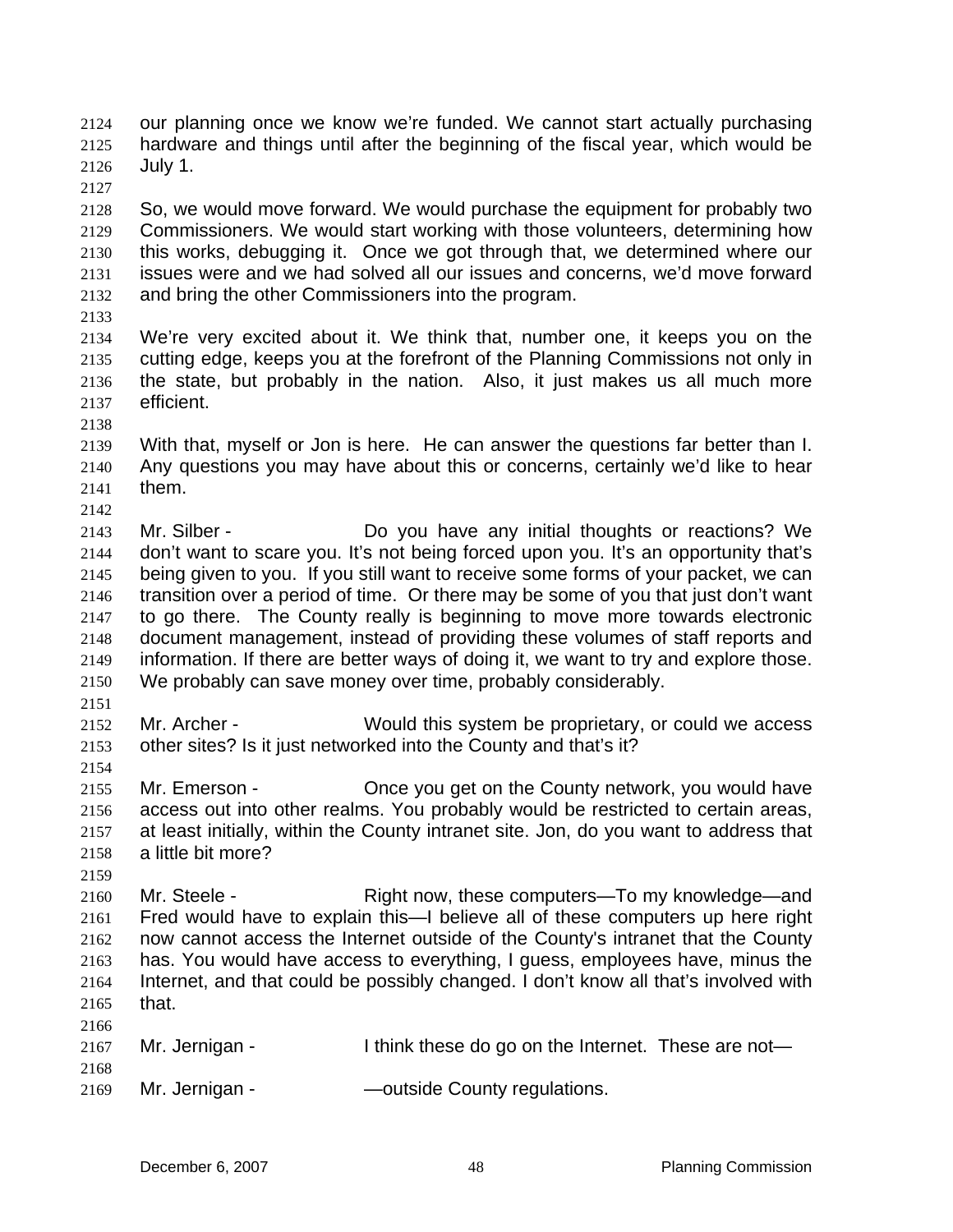our planning once we know we're funded. We cannot start actually purchasing hardware and things until after the beginning of the fiscal year, which would be July 1. 2124 2125 2126

2127

2128 2129 2130 2131 2132 So, we would move forward. We would purchase the equipment for probably two Commissioners. We would start working with those volunteers, determining how this works, debugging it. Once we got through that, we determined where our issues were and we had solved all our issues and concerns, we'd move forward and bring the other Commissioners into the program.

2133

2138

2142

2134 2135 2136 2137 We're very excited about it. We think that, number one, it keeps you on the cutting edge, keeps you at the forefront of the Planning Commissions not only in the state, but probably in the nation. Also, it just makes us all much more efficient.

- 2139 2140 2141 With that, myself or Jon is here. He can answer the questions far better than I. Any questions you may have about this or concerns, certainly we'd like to hear them.
- 2143 2144 2145 2146 2147 2148 2149 2150 Mr. Silber - **Do** you have any initial thoughts or reactions? We don't want to scare you. It's not being forced upon you. It's an opportunity that's being given to you. If you still want to receive some forms of your packet, we can transition over a period of time. Or there may be some of you that just don't want to go there. The County really is beginning to move more towards electronic document management, instead of providing these volumes of staff reports and information. If there are better ways of doing it, we want to try and explore those. We probably can save money over time, probably considerably.
- 2151

2154

2159

2152 2153 Mr. Archer - Would this system be proprietary, or could we access other sites? Is it just networked into the County and that's it?

2155 2156 2157 2158 Mr. Emerson - Once you get on the County network, you would have access out into other realms. You probably would be restricted to certain areas, at least initially, within the County intranet site. Jon, do you want to address that a little bit more?

2160 2161 2162 2163 2164 2165 2166 Mr. Steele - Right now, these computers—To my knowledge—and Fred would have to explain this—I believe all of these computers up here right now cannot access the Internet outside of the County's intranet that the County has. You would have access to everything, I guess, employees have, minus the Internet, and that could be possibly changed. I don't know all that's involved with that.

| 2100 |                |                                                     |
|------|----------------|-----------------------------------------------------|
| 2167 | Mr. Jernigan - | I think these do go on the Internet. These are not- |
| 2168 |                |                                                     |
| 2169 | Mr. Jernigan - | —outside County regulations.                        |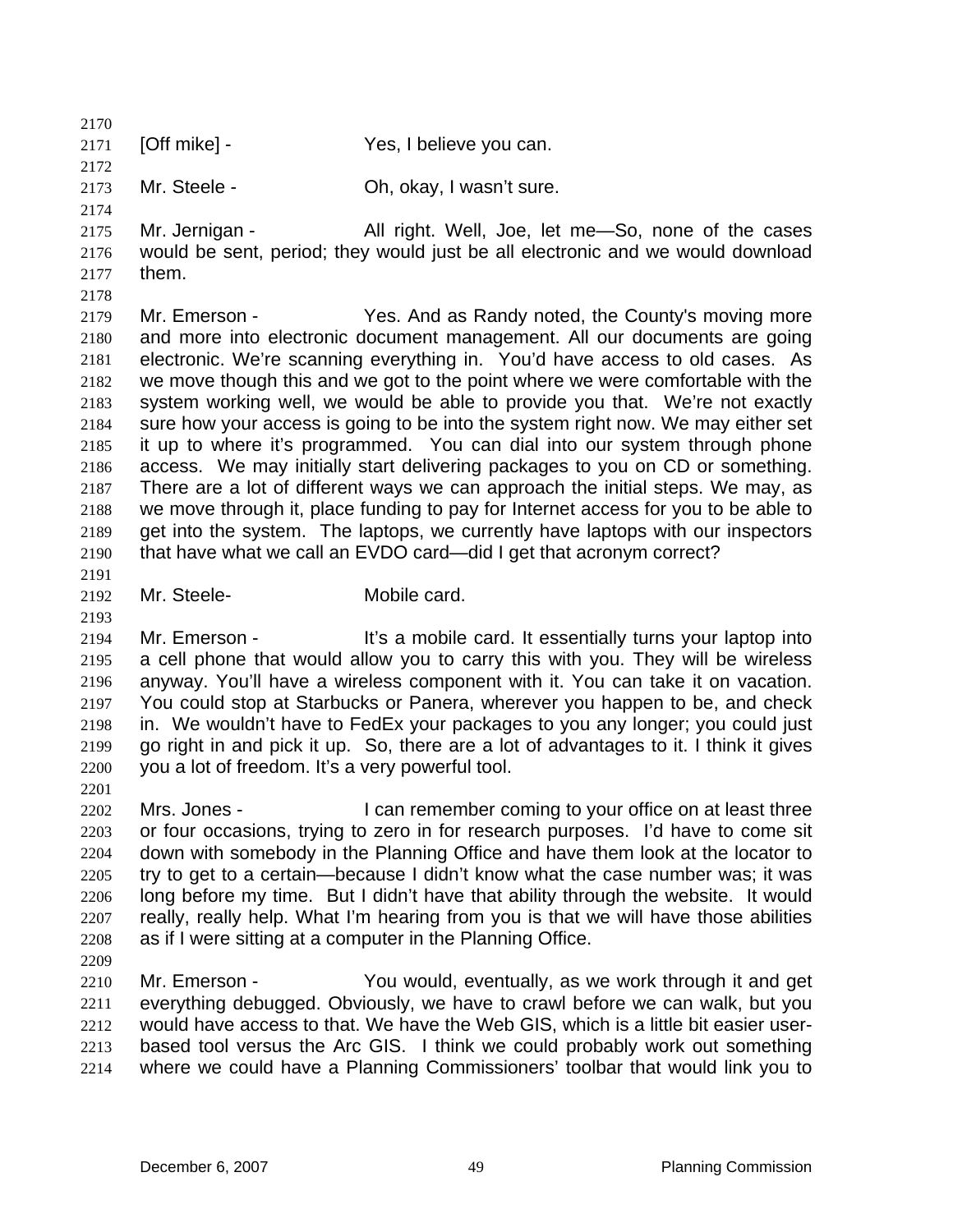2170 2171 [Off mike] - Yes, I believe you can.

2173 Mr. Steele - Ch, okay, I wasn't sure.

2174

2172

2175 2176 2177 Mr. Jernigan - All right. Well, Joe, let me-So, none of the cases would be sent, period; they would just be all electronic and we would download them.

2178

2179 2180 2181 2182 2183 2184 2185 2186 2187 2188 2189 2190 Mr. Emerson - Yes. And as Randy noted, the County's moving more and more into electronic document management. All our documents are going electronic. We're scanning everything in. You'd have access to old cases. As we move though this and we got to the point where we were comfortable with the system working well, we would be able to provide you that. We're not exactly sure how your access is going to be into the system right now. We may either set it up to where it's programmed. You can dial into our system through phone access. We may initially start delivering packages to you on CD or something. There are a lot of different ways we can approach the initial steps. We may, as we move through it, place funding to pay for Internet access for you to be able to get into the system. The laptops, we currently have laptops with our inspectors that have what we call an EVDO card—did I get that acronym correct?

2191

2193

2201

2192 Mr. Steele- Mobile card.

2194 2195 2196 2197 2198 2199 2200 Mr. Emerson - It's a mobile card. It essentially turns your laptop into a cell phone that would allow you to carry this with you. They will be wireless anyway. You'll have a wireless component with it. You can take it on vacation. You could stop at Starbucks or Panera, wherever you happen to be, and check in. We wouldn't have to FedEx your packages to you any longer; you could just go right in and pick it up. So, there are a lot of advantages to it. I think it gives you a lot of freedom. It's a very powerful tool.

- 2202 2203 2204 2205 2206 2207 2208 Mrs. Jones - I can remember coming to your office on at least three or four occasions, trying to zero in for research purposes. I'd have to come sit down with somebody in the Planning Office and have them look at the locator to try to get to a certain—because I didn't know what the case number was; it was long before my time. But I didn't have that ability through the website. It would really, really help. What I'm hearing from you is that we will have those abilities as if I were sitting at a computer in the Planning Office.
- 2209

2210 2211 2212 2213 2214 Mr. Emerson - You would, eventually, as we work through it and get everything debugged. Obviously, we have to crawl before we can walk, but you would have access to that. We have the Web GIS, which is a little bit easier userbased tool versus the Arc GIS. I think we could probably work out something where we could have a Planning Commissioners' toolbar that would link you to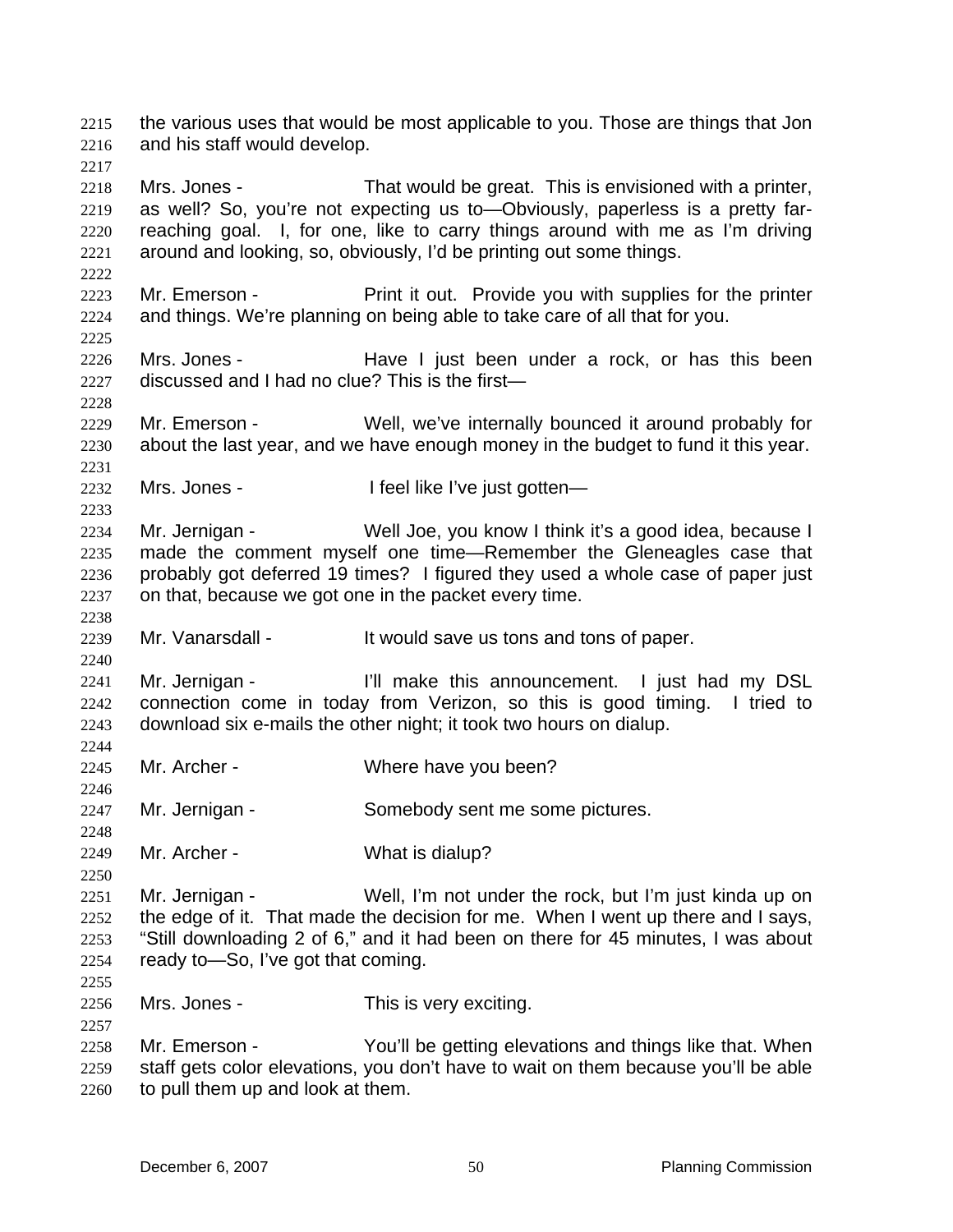the various uses that would be most applicable to you. Those are things that Jon and his staff would develop. 2215 2216 2217 2218 2219 2220 2221 2222 2223 2224 2225 2226 2227 2228 2229 2230 2231 2232 2233 2234 2235 2236 2237 2238 2239 2240 2241 2242 2243 2244 2245 2246 2247 2248 2249 2250 2251 2252 2253 2254 2255 2256 2257 2258 2259 2260 Mrs. Jones - That would be great. This is envisioned with a printer, as well? So, you're not expecting us to—Obviously, paperless is a pretty farreaching goal. I, for one, like to carry things around with me as I'm driving around and looking, so, obviously, I'd be printing out some things. Mr. Emerson - Print it out. Provide you with supplies for the printer and things. We're planning on being able to take care of all that for you. Mrs. Jones - The Have I just been under a rock, or has this been discussed and I had no clue? This is the first— Mr. Emerson - Well, we've internally bounced it around probably for about the last year, and we have enough money in the budget to fund it this year. Mrs. Jones - The I feel like I've just gotten— Mr. Jernigan - Well Joe, you know I think it's a good idea, because I made the comment myself one time—Remember the Gleneagles case that probably got deferred 19 times? I figured they used a whole case of paper just on that, because we got one in the packet every time. Mr. Vanarsdall - It would save us tons and tons of paper. Mr. Jernigan - The Till make this announcement. I just had my DSL connection come in today from Verizon, so this is good timing. I tried to download six e-mails the other night; it took two hours on dialup. Mr. Archer - Where have you been? Mr. Jernigan - Somebody sent me some pictures. Mr. Archer - What is dialup? Mr. Jernigan - Well, I'm not under the rock, but I'm just kinda up on the edge of it. That made the decision for me. When I went up there and I says, "Still downloading 2 of 6," and it had been on there for 45 minutes, I was about ready to—So, I've got that coming. Mrs. Jones - This is very exciting. Mr. Emerson - The You'll be getting elevations and things like that. When staff gets color elevations, you don't have to wait on them because you'll be able to pull them up and look at them.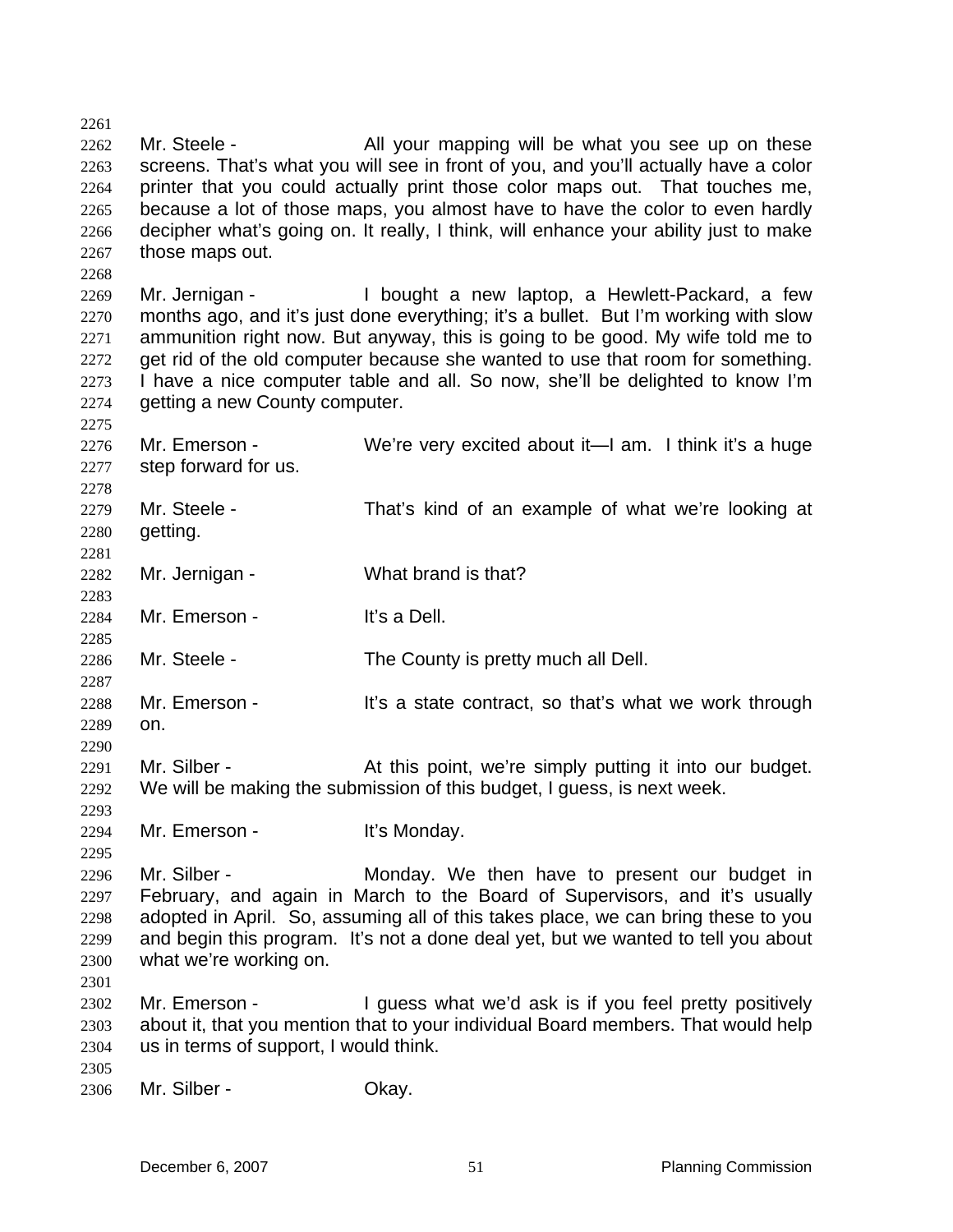2261 2262 2263 2264 2265 2266 2267 Mr. Steele - All your mapping will be what you see up on these screens. That's what you will see in front of you, and you'll actually have a color printer that you could actually print those color maps out. That touches me, because a lot of those maps, you almost have to have the color to even hardly decipher what's going on. It really, I think, will enhance your ability just to make those maps out.

2269 2270 2271 2272 2273 2274 Mr. Jernigan - The Bought a new laptop, a Hewlett-Packard, a few months ago, and it's just done everything; it's a bullet. But I'm working with slow ammunition right now. But anyway, this is going to be good. My wife told me to get rid of the old computer because she wanted to use that room for something. I have a nice computer table and all. So now, she'll be delighted to know I'm getting a new County computer.

2276 2277 2278 2279 2280 2281 2282 2283 2284 2285 2286 2287 2288 2289 Mr. Emerson - We're very excited about it—I am. I think it's a huge step forward for us. Mr. Steele - That's kind of an example of what we're looking at getting. Mr. Jernigan - What brand is that? Mr. Emerson - It's a Dell. Mr. Steele - The County is pretty much all Dell. Mr. Emerson - It's a state contract, so that's what we work through on.

2291 2292 Mr. Silber - **At this point, we're simply putting it into our budget.** We will be making the submission of this budget, I guess, is next week.

2294 Mr. Emerson - It's Monday.

2296 2297 2298 2299 2300 Mr. Silber - The Monday. We then have to present our budget in February, and again in March to the Board of Supervisors, and it's usually adopted in April. So, assuming all of this takes place, we can bring these to you and begin this program. It's not a done deal yet, but we wanted to tell you about what we're working on.

2302 2303 2304 Mr. Emerson - The understandant we'd ask is if you feel pretty positively about it, that you mention that to your individual Board members. That would help us in terms of support, I would think.

2305

2301

2268

2275

2290

2293

2295

2306 Mr. Silber - Chay.